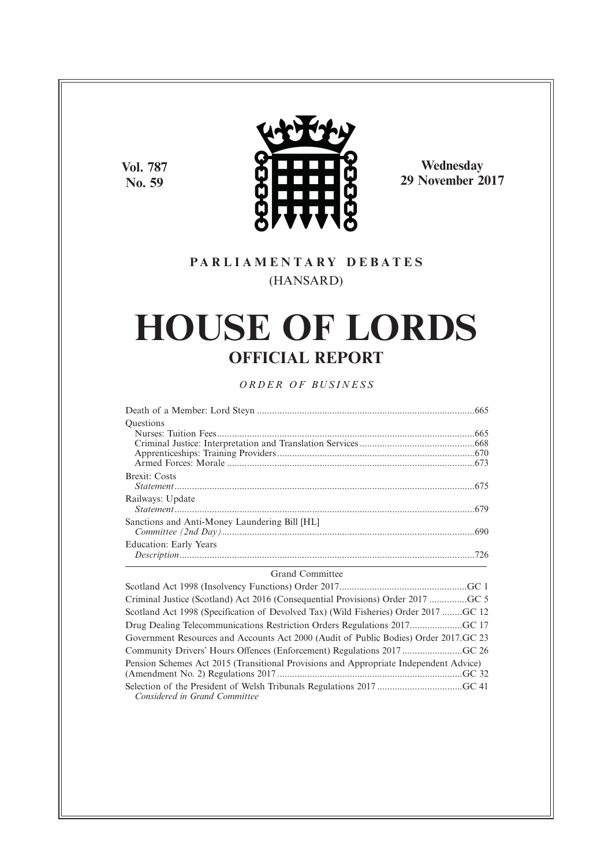**Vol. 787 No. 59**



**Wednesday 29 November 2017**

# **P A R L I A M E N T A R Y D E B A T E S** (HANSARD)

# **HOUSE OF LORDS OFFICIAL REPORT**

# *O R D E R O F BU S I N E S S*

| <b>Ouestions</b>                              |  |
|-----------------------------------------------|--|
|                                               |  |
|                                               |  |
|                                               |  |
|                                               |  |
| <b>Brexit:</b> Costs                          |  |
|                                               |  |
| Railways: Update                              |  |
|                                               |  |
| Sanctions and Anti-Money Laundering Bill [HL] |  |
|                                               |  |
| Education: Early Years                        |  |
|                                               |  |

#### Grand Committee

Scotland Act 1998 (Insolvency Functions) Order 2017...................................................GC 1 Criminal Justice (Scotland) Act 2016 (Consequential Provisions) Order 2017 ...............GC 5 Scotland Act 1998 (Specification of Devolved Tax) (Wild Fisheries) Order 2017 ........GC 12 Drug Dealing Telecommunications Restriction Orders Regulations 2017.....................GC 17 Government Resources and Accounts Act 2000 (Audit of Public Bodies) Order 2017.GC 23 Community Drivers' Hours Offences (Enforcement) Regulations 2017 ........................GC 26 Pension Schemes Act 2015 (Transitional Provisions and Appropriate Independent Advice) (Amendment No. 2) Regulations 2017 ..........................................................................GC 32 Selection of the President of Welsh Tribunals Regulations 2017 ..................................GC 41 *Considered in Grand Committee*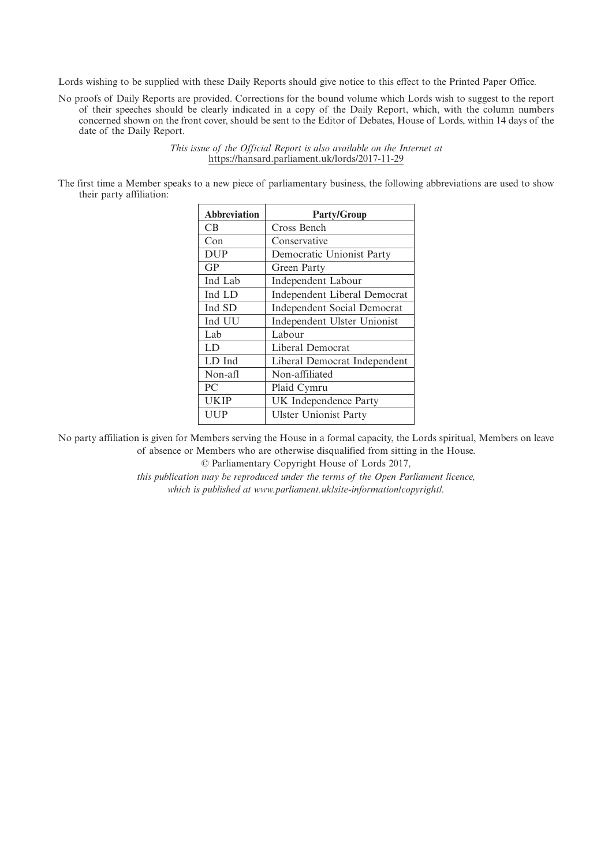Lords wishing to be supplied with these Daily Reports should give notice to this effect to the Printed Paper Office.

No proofs of Daily Reports are provided. Corrections for the bound volume which Lords wish to suggest to the report of their speeches should be clearly indicated in a copy of the Daily Report, which, with the column numbers concerned shown on the front cover, should be sent to the Editor of Debates, House of Lords, within 14 days of the date of the Daily Report.

> *This issue of the Official Report is also available on the Internet at* https://hansard.parliament.uk/lords/2017-11-29

The first time a Member speaks to a new piece of parliamentary business, the following abbreviations are used to show their party affiliation:

| <b>Abbreviation</b> | <b>Party/Group</b>                  |
|---------------------|-------------------------------------|
| CB.                 | Cross Bench                         |
| Con                 | Conservative                        |
| <b>DUP</b>          | Democratic Unionist Party           |
| GP                  | Green Party                         |
| Ind Lab             | Independent Labour                  |
| Ind LD              | <b>Independent Liberal Democrat</b> |
| Ind SD              | <b>Independent Social Democrat</b>  |
| Ind UU              | Independent Ulster Unionist         |
| Lab                 | Labour                              |
| LD                  | Liberal Democrat                    |
| LD Ind              | Liberal Democrat Independent        |
| Non-afl             | Non-affiliated                      |
| PC                  | Plaid Cymru                         |
| <b>UKIP</b>         | UK Independence Party               |
| UUP                 | <b>Ulster Unionist Party</b>        |

No party affiliation is given for Members serving the House in a formal capacity, the Lords spiritual, Members on leave of absence or Members who are otherwise disqualified from sitting in the House.

© Parliamentary Copyright House of Lords 2017,

*this publication may be reproduced under the terms of the Open Parliament licence, which is published at www.parliament.uk/site-information/copyright/.*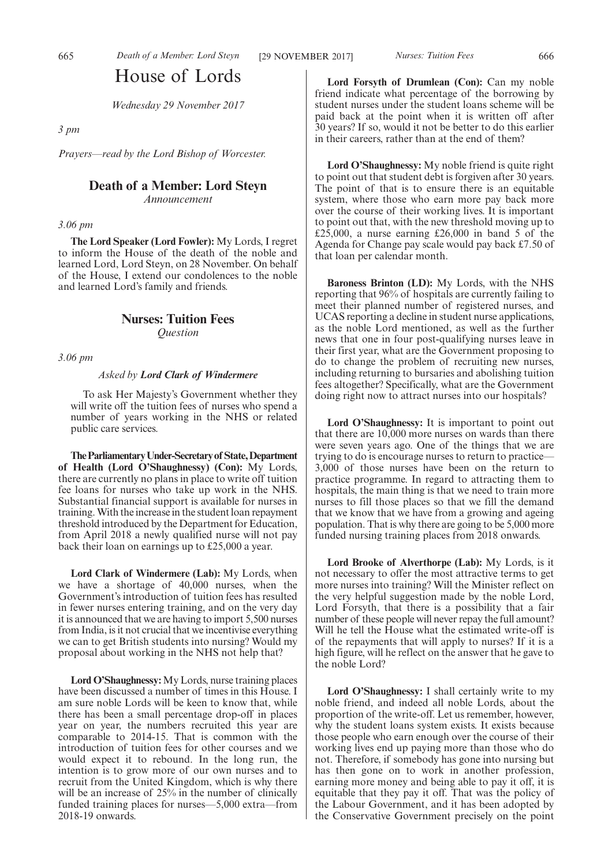# House of Lords

*Wednesday 29 November 2017*

*3 pm*

*Prayers—read by the Lord Bishop of Worcester.*

# **Death of a Member: Lord Steyn**

*Announcement*

*3.06 pm*

**The Lord Speaker (Lord Fowler):** My Lords, I regret to inform the House of the death of the noble and learned Lord, Lord Steyn, on 28 November. On behalf of the House, I extend our condolences to the noble and learned Lord's family and friends.

# **Nurses: Tuition Fees** *Question*

*3.06 pm*

#### *Asked by Lord Clark of Windermere*

To ask Her Majesty's Government whether they will write off the tuition fees of nurses who spend a number of years working in the NHS or related public care services.

**TheParliamentaryUnder-Secretaryof State,Department of Health (Lord O'Shaughnessy) (Con):** My Lords, there are currently no plans in place to write off tuition fee loans for nurses who take up work in the NHS. Substantial financial support is available for nurses in training. With the increase in the student loan repayment threshold introduced by the Department for Education, from April 2018 a newly qualified nurse will not pay back their loan on earnings up to £25,000 a year.

**Lord Clark of Windermere (Lab):** My Lords, when we have a shortage of 40,000 nurses, when the Government's introduction of tuition fees has resulted in fewer nurses entering training, and on the very day it is announced that we are having to import 5,500 nurses from India, is it not crucial that we incentivise everything we can to get British students into nursing? Would my proposal about working in the NHS not help that?

**Lord O'Shaughnessy:** My Lords, nurse training places have been discussed a number of times in this House. I am sure noble Lords will be keen to know that, while there has been a small percentage drop-off in places year on year, the numbers recruited this year are comparable to 2014-15. That is common with the introduction of tuition fees for other courses and we would expect it to rebound. In the long run, the intention is to grow more of our own nurses and to recruit from the United Kingdom, which is why there will be an increase of 25% in the number of clinically funded training places for nurses—5,000 extra—from 2018-19 onwards.

**Lord Forsyth of Drumlean (Con):** Can my noble friend indicate what percentage of the borrowing by student nurses under the student loans scheme will be paid back at the point when it is written off after 30 years? If so, would it not be better to do this earlier in their careers, rather than at the end of them?

**Lord O'Shaughnessy:** My noble friend is quite right to point out that student debt is forgiven after 30 years. The point of that is to ensure there is an equitable system, where those who earn more pay back more over the course of their working lives. It is important to point out that, with the new threshold moving up to £25,000, a nurse earning £26,000 in band 5 of the Agenda for Change pay scale would pay back £7.50 of that loan per calendar month.

**Baroness Brinton (LD):** My Lords, with the NHS reporting that 96% of hospitals are currently failing to meet their planned number of registered nurses, and UCAS reporting a decline in student nurse applications, as the noble Lord mentioned, as well as the further news that one in four post-qualifying nurses leave in their first year, what are the Government proposing to do to change the problem of recruiting new nurses, including returning to bursaries and abolishing tuition fees altogether? Specifically, what are the Government doing right now to attract nurses into our hospitals?

**Lord O'Shaughnessy:** It is important to point out that there are 10,000 more nurses on wards than there were seven years ago. One of the things that we are trying to do is encourage nurses to return to practice— 3,000 of those nurses have been on the return to practice programme. In regard to attracting them to hospitals, the main thing is that we need to train more nurses to fill those places so that we fill the demand that we know that we have from a growing and ageing population. That is why there are going to be 5,000 more funded nursing training places from 2018 onwards.

**Lord Brooke of Alverthorpe (Lab):** My Lords, is it not necessary to offer the most attractive terms to get more nurses into training? Will the Minister reflect on the very helpful suggestion made by the noble Lord, Lord Forsyth, that there is a possibility that a fair number of these people will never repay the full amount? Will he tell the House what the estimated write-off is of the repayments that will apply to nurses? If it is a high figure, will he reflect on the answer that he gave to the noble Lord?

Lord O'Shaughnessy: I shall certainly write to my noble friend, and indeed all noble Lords, about the proportion of the write-off. Let us remember, however, why the student loans system exists. It exists because those people who earn enough over the course of their working lives end up paying more than those who do not. Therefore, if somebody has gone into nursing but has then gone on to work in another profession, earning more money and being able to pay it off, it is equitable that they pay it off. That was the policy of the Labour Government, and it has been adopted by the Conservative Government precisely on the point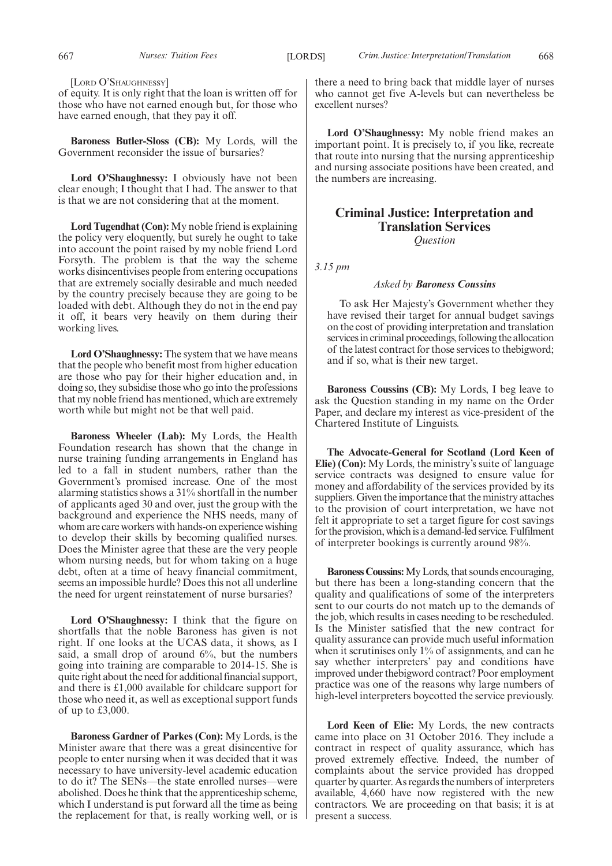[LORD O'SHAUGHNESSY]

of equity. It is only right that the loan is written off for those who have not earned enough but, for those who have earned enough, that they pay it off.

**Baroness Butler-Sloss (CB):** My Lords, will the Government reconsider the issue of bursaries?

**Lord O'Shaughnessy:** I obviously have not been clear enough; I thought that I had. The answer to that is that we are not considering that at the moment.

**Lord Tugendhat (Con):** My noble friend is explaining the policy very eloquently, but surely he ought to take into account the point raised by my noble friend Lord Forsyth. The problem is that the way the scheme works disincentivises people from entering occupations that are extremely socially desirable and much needed by the country precisely because they are going to be loaded with debt. Although they do not in the end pay it off, it bears very heavily on them during their working lives.

**Lord O'Shaughnessy:** The system that we have means that the people who benefit most from higher education are those who pay for their higher education and, in doing so, they subsidise those who go into the professions that my noble friend has mentioned, which are extremely worth while but might not be that well paid.

**Baroness Wheeler (Lab):** My Lords, the Health Foundation research has shown that the change in nurse training funding arrangements in England has led to a fall in student numbers, rather than the Government's promised increase. One of the most alarming statistics shows a 31% shortfall in the number of applicants aged 30 and over, just the group with the background and experience the NHS needs, many of whom are care workers with hands-on experience wishing to develop their skills by becoming qualified nurses. Does the Minister agree that these are the very people whom nursing needs, but for whom taking on a huge debt, often at a time of heavy financial commitment, seems an impossible hurdle? Does this not all underline the need for urgent reinstatement of nurse bursaries?

**Lord O'Shaughnessy:** I think that the figure on shortfalls that the noble Baroness has given is not right. If one looks at the UCAS data, it shows, as I said, a small drop of around 6%, but the numbers going into training are comparable to 2014-15. She is quite right about the need for additional financial support, and there is £1,000 available for childcare support for those who need it, as well as exceptional support funds of up to £3,000.

**Baroness Gardner of Parkes (Con):** My Lords, is the Minister aware that there was a great disincentive for people to enter nursing when it was decided that it was necessary to have university-level academic education to do it? The SENs—the state enrolled nurses—were abolished. Does he think that the apprenticeship scheme, which I understand is put forward all the time as being the replacement for that, is really working well, or is there a need to bring back that middle layer of nurses who cannot get five A-levels but can nevertheless be excellent nurses?

**Lord O'Shaughnessy:** My noble friend makes an important point. It is precisely to, if you like, recreate that route into nursing that the nursing apprenticeship and nursing associate positions have been created, and the numbers are increasing.

# **Criminal Justice: Interpretation and Translation Services** *Question*

*3.15 pm*

#### *Asked by Baroness Coussins*

To ask Her Majesty's Government whether they have revised their target for annual budget savings on the cost of providing interpretation and translation services in criminal proceedings, following the allocation of the latest contract for those services to thebigword; and if so, what is their new target.

**Baroness Coussins (CB):** My Lords, I beg leave to ask the Question standing in my name on the Order Paper, and declare my interest as vice-president of the Chartered Institute of Linguists.

**The Advocate-General for Scotland (Lord Keen of Elie) (Con):** My Lords, the ministry's suite of language service contracts was designed to ensure value for money and affordability of the services provided by its suppliers. Given the importance that the ministry attaches to the provision of court interpretation, we have not felt it appropriate to set a target figure for cost savings for the provision, which is a demand-led service. Fulfilment of interpreter bookings is currently around 98%.

**Baroness Coussins:**My Lords, that sounds encouraging, but there has been a long-standing concern that the quality and qualifications of some of the interpreters sent to our courts do not match up to the demands of the job, which results in cases needing to be rescheduled. Is the Minister satisfied that the new contract for quality assurance can provide much useful information when it scrutinises only 1% of assignments, and can he say whether interpreters' pay and conditions have improved under thebigword contract? Poor employment practice was one of the reasons why large numbers of high-level interpreters boycotted the service previously.

**Lord Keen of Elie:** My Lords, the new contracts came into place on 31 October 2016. They include a contract in respect of quality assurance, which has proved extremely effective. Indeed, the number of complaints about the service provided has dropped quarter by quarter. As regards the numbers of interpreters available, 4,660 have now registered with the new contractors. We are proceeding on that basis; it is at present a success.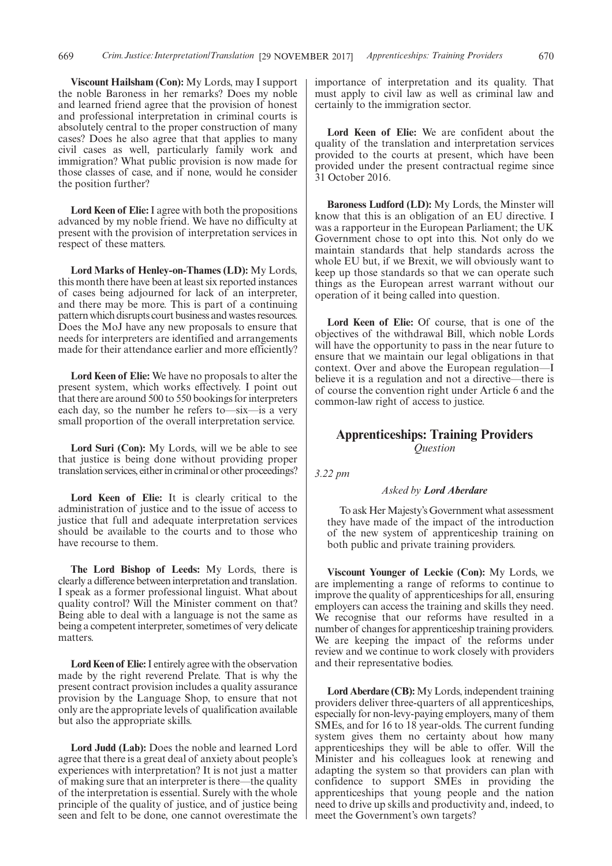**Viscount Hailsham (Con):** My Lords, may I support the noble Baroness in her remarks? Does my noble and learned friend agree that the provision of honest and professional interpretation in criminal courts is absolutely central to the proper construction of many cases? Does he also agree that that applies to many civil cases as well, particularly family work and immigration? What public provision is now made for those classes of case, and if none, would he consider the position further?

**Lord Keen of Elie:**I agree with both the propositions advanced by my noble friend. We have no difficulty at present with the provision of interpretation services in respect of these matters.

**Lord Marks of Henley-on-Thames (LD):** My Lords, this month there have been at least six reported instances of cases being adjourned for lack of an interpreter, and there may be more. This is part of a continuing pattern which disrupts court business and wastes resources. Does the MoJ have any new proposals to ensure that needs for interpreters are identified and arrangements made for their attendance earlier and more efficiently?

**Lord Keen of Elie:** We have no proposals to alter the present system, which works effectively. I point out that there are around 500 to 550 bookings for interpreters each day, so the number he refers to—six—is a very small proportion of the overall interpretation service.

**Lord Suri (Con):** My Lords, will we be able to see that justice is being done without providing proper translation services, either in criminal or other proceedings?

**Lord Keen of Elie:** It is clearly critical to the administration of justice and to the issue of access to justice that full and adequate interpretation services should be available to the courts and to those who have recourse to them.

**The Lord Bishop of Leeds:** My Lords, there is clearly a difference between interpretation and translation. I speak as a former professional linguist. What about quality control? Will the Minister comment on that? Being able to deal with a language is not the same as being a competent interpreter, sometimes of very delicate matters.

**Lord Keen of Elie:**I entirely agree with the observation made by the right reverend Prelate. That is why the present contract provision includes a quality assurance provision by the Language Shop, to ensure that not only are the appropriate levels of qualification available but also the appropriate skills.

**Lord Judd (Lab):** Does the noble and learned Lord agree that there is a great deal of anxiety about people's experiences with interpretation? It is not just a matter of making sure that an interpreter is there—the quality of the interpretation is essential. Surely with the whole principle of the quality of justice, and of justice being seen and felt to be done, one cannot overestimate the importance of interpretation and its quality. That must apply to civil law as well as criminal law and certainly to the immigration sector.

**Lord Keen of Elie:** We are confident about the quality of the translation and interpretation services provided to the courts at present, which have been provided under the present contractual regime since 31 October 2016.

**Baroness Ludford (LD):** My Lords, the Minster will know that this is an obligation of an EU directive. I was a rapporteur in the European Parliament; the UK Government chose to opt into this. Not only do we maintain standards that help standards across the whole EU but, if we Brexit, we will obviously want to keep up those standards so that we can operate such things as the European arrest warrant without our operation of it being called into question.

**Lord Keen of Elie:** Of course, that is one of the objectives of the withdrawal Bill, which noble Lords will have the opportunity to pass in the near future to ensure that we maintain our legal obligations in that context. Over and above the European regulation—I believe it is a regulation and not a directive—there is of course the convention right under Article 6 and the common-law right of access to justice.

# **Apprenticeships: Training Providers** *Question*

*3.22 pm*

#### *Asked by Lord Aberdare*

To ask Her Majesty's Government what assessment they have made of the impact of the introduction of the new system of apprenticeship training on both public and private training providers.

**Viscount Younger of Leckie (Con):** My Lords, we are implementing a range of reforms to continue to improve the quality of apprenticeships for all, ensuring employers can access the training and skills they need. We recognise that our reforms have resulted in a number of changes for apprenticeship training providers. We are keeping the impact of the reforms under review and we continue to work closely with providers and their representative bodies.

**Lord Aberdare (CB):** My Lords, independent training providers deliver three-quarters of all apprenticeships, especially for non-levy-paying employers, many of them SMEs, and for 16 to 18 year-olds. The current funding system gives them no certainty about how many apprenticeships they will be able to offer. Will the Minister and his colleagues look at renewing and adapting the system so that providers can plan with confidence to support SMEs in providing the apprenticeships that young people and the nation need to drive up skills and productivity and, indeed, to meet the Government's own targets?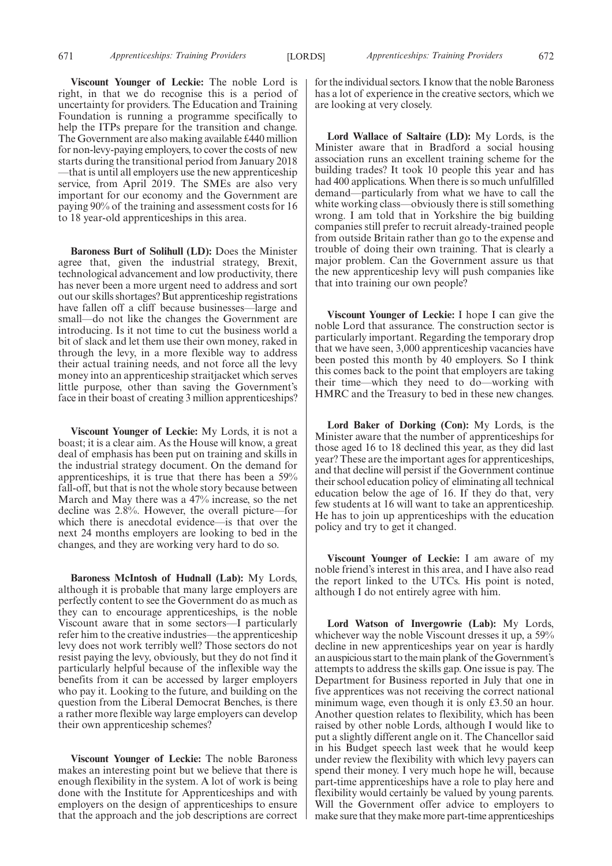**Viscount Younger of Leckie:** The noble Lord is right, in that we do recognise this is a period of uncertainty for providers. The Education and Training Foundation is running a programme specifically to help the ITPs prepare for the transition and change. The Government are also making available £440 million for non-levy-paying employers, to cover the costs of new starts during the transitional period from January 2018 —that is until all employers use the new apprenticeship service, from April 2019. The SMEs are also very important for our economy and the Government are paying 90% of the training and assessment costs for 16 to 18 year-old apprenticeships in this area.

**Baroness Burt of Solihull (LD):** Does the Minister agree that, given the industrial strategy, Brexit, technological advancement and low productivity, there has never been a more urgent need to address and sort out our skills shortages? But apprenticeship registrations have fallen off a cliff because businesses—large and small—do not like the changes the Government are introducing. Is it not time to cut the business world a bit of slack and let them use their own money, raked in through the levy, in a more flexible way to address their actual training needs, and not force all the levy money into an apprenticeship straitjacket which serves little purpose, other than saving the Government's face in their boast of creating 3 million apprenticeships?

**Viscount Younger of Leckie:** My Lords, it is not a boast; it is a clear aim. As the House will know, a great deal of emphasis has been put on training and skills in the industrial strategy document. On the demand for apprenticeships, it is true that there has been a 59% fall-off, but that is not the whole story because between March and May there was a 47% increase, so the net decline was 2.8%. However, the overall picture—for which there is anecdotal evidence—is that over the next 24 months employers are looking to bed in the changes, and they are working very hard to do so.

**Baroness McIntosh of Hudnall (Lab):** My Lords, although it is probable that many large employers are perfectly content to see the Government do as much as they can to encourage apprenticeships, is the noble Viscount aware that in some sectors—I particularly refer him to the creative industries—the apprenticeship levy does not work terribly well? Those sectors do not resist paying the levy, obviously, but they do not find it particularly helpful because of the inflexible way the benefits from it can be accessed by larger employers who pay it. Looking to the future, and building on the question from the Liberal Democrat Benches, is there a rather more flexible way large employers can develop their own apprenticeship schemes?

**Viscount Younger of Leckie:** The noble Baroness makes an interesting point but we believe that there is enough flexibility in the system. A lot of work is being done with the Institute for Apprenticeships and with employers on the design of apprenticeships to ensure that the approach and the job descriptions are correct for the individual sectors. I know that the noble Baroness has a lot of experience in the creative sectors, which we are looking at very closely.

**Lord Wallace of Saltaire (LD):** My Lords, is the Minister aware that in Bradford a social housing association runs an excellent training scheme for the building trades? It took 10 people this year and has had 400 applications. When there is so much unfulfilled demand—particularly from what we have to call the white working class—obviously there is still something wrong. I am told that in Yorkshire the big building companies still prefer to recruit already-trained people from outside Britain rather than go to the expense and trouble of doing their own training. That is clearly a major problem. Can the Government assure us that the new apprenticeship levy will push companies like that into training our own people?

**Viscount Younger of Leckie:** I hope I can give the noble Lord that assurance. The construction sector is particularly important. Regarding the temporary drop that we have seen, 3,000 apprenticeship vacancies have been posted this month by 40 employers. So I think this comes back to the point that employers are taking their time—which they need to do—working with HMRC and the Treasury to bed in these new changes.

**Lord Baker of Dorking (Con):** My Lords, is the Minister aware that the number of apprenticeships for those aged 16 to 18 declined this year, as they did last year? These are the important ages for apprenticeships, and that decline will persist if the Government continue their school education policy of eliminating all technical education below the age of 16. If they do that, very few students at 16 will want to take an apprenticeship. He has to join up apprenticeships with the education policy and try to get it changed.

**Viscount Younger of Leckie:** I am aware of my noble friend's interest in this area, and I have also read the report linked to the UTCs. His point is noted, although I do not entirely agree with him.

**Lord Watson of Invergowrie (Lab):** My Lords, whichever way the noble Viscount dresses it up, a 59% decline in new apprenticeships year on year is hardly an auspicious start to the main plank of the Government's attempts to address the skills gap. One issue is pay. The Department for Business reported in July that one in five apprentices was not receiving the correct national minimum wage, even though it is only £3.50 an hour. Another question relates to flexibility, which has been raised by other noble Lords, although I would like to put a slightly different angle on it. The Chancellor said in his Budget speech last week that he would keep under review the flexibility with which levy payers can spend their money. I very much hope he will, because part-time apprenticeships have a role to play here and flexibility would certainly be valued by young parents. Will the Government offer advice to employers to make sure that they make more part-time apprenticeships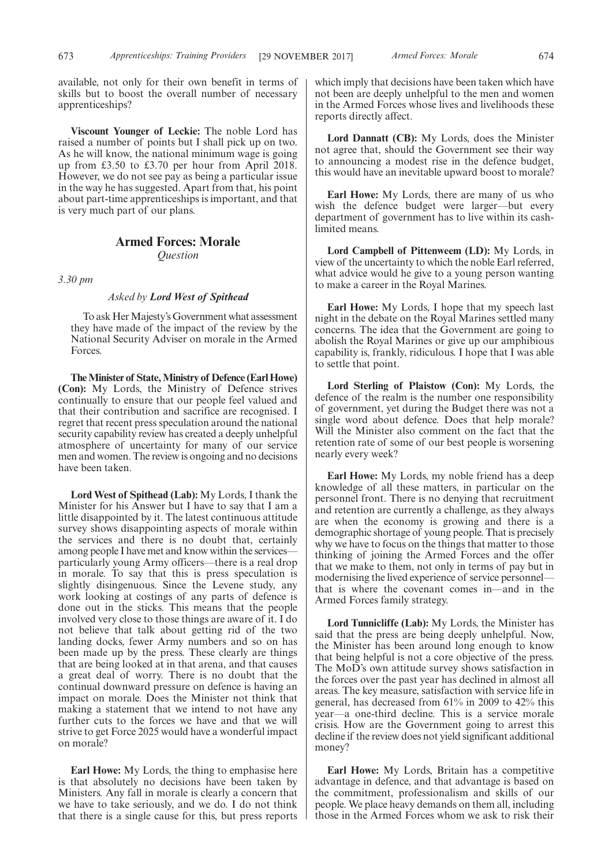available, not only for their own benefit in terms of skills but to boost the overall number of necessary apprenticeships?

**Viscount Younger of Leckie:** The noble Lord has raised a number of points but I shall pick up on two. As he will know, the national minimum wage is going up from £3.50 to £3.70 per hour from April 2018. However, we do not see pay as being a particular issue in the way he has suggested. Apart from that, his point about part-time apprenticeships is important, and that is very much part of our plans.

# **Armed Forces: Morale**

*Question*

*3.30 pm*

#### *Asked by Lord West of Spithead*

To ask Her Majesty's Government what assessment they have made of the impact of the review by the National Security Adviser on morale in the Armed Forces.

**The Minister of State, Ministry of Defence (Earl Howe) (Con):** My Lords, the Ministry of Defence strives continually to ensure that our people feel valued and that their contribution and sacrifice are recognised. I regret that recent press speculation around the national security capability review has created a deeply unhelpful atmosphere of uncertainty for many of our service men and women. The review is ongoing and no decisions have been taken.

**Lord West of Spithead (Lab):** My Lords, I thank the Minister for his Answer but I have to say that I am a little disappointed by it. The latest continuous attitude survey shows disappointing aspects of morale within the services and there is no doubt that, certainly among people I have met and know within the services particularly young Army officers—there is a real drop in morale. To say that this is press speculation is slightly disingenuous. Since the Levene study, any work looking at costings of any parts of defence is done out in the sticks. This means that the people involved very close to those things are aware of it. I do not believe that talk about getting rid of the two landing docks, fewer Army numbers and so on has been made up by the press. These clearly are things that are being looked at in that arena, and that causes a great deal of worry. There is no doubt that the continual downward pressure on defence is having an impact on morale. Does the Minister not think that making a statement that we intend to not have any further cuts to the forces we have and that we will strive to get Force 2025 would have a wonderful impact on morale?

**Earl Howe:** My Lords, the thing to emphasise here is that absolutely no decisions have been taken by Ministers. Any fall in morale is clearly a concern that we have to take seriously, and we do. I do not think that there is a single cause for this, but press reports which imply that decisions have been taken which have not been are deeply unhelpful to the men and women in the Armed Forces whose lives and livelihoods these reports directly affect.

**Lord Dannatt (CB):** My Lords, does the Minister not agree that, should the Government see their way to announcing a modest rise in the defence budget, this would have an inevitable upward boost to morale?

**Earl Howe:** My Lords, there are many of us who wish the defence budget were larger—but every department of government has to live within its cashlimited means.

**Lord Campbell of Pittenweem (LD):** My Lords, in view of the uncertainty to which the noble Earl referred, what advice would he give to a young person wanting to make a career in the Royal Marines.

**Earl Howe:** My Lords, I hope that my speech last night in the debate on the Royal Marines settled many concerns. The idea that the Government are going to abolish the Royal Marines or give up our amphibious capability is, frankly, ridiculous. I hope that I was able to settle that point.

**Lord Sterling of Plaistow (Con):** My Lords, the defence of the realm is the number one responsibility of government, yet during the Budget there was not a single word about defence. Does that help morale? Will the Minister also comment on the fact that the retention rate of some of our best people is worsening nearly every week?

**Earl Howe:** My Lords, my noble friend has a deep knowledge of all these matters, in particular on the personnel front. There is no denying that recruitment and retention are currently a challenge, as they always are when the economy is growing and there is a demographic shortage of young people. That is precisely why we have to focus on the things that matter to those thinking of joining the Armed Forces and the offer that we make to them, not only in terms of pay but in modernising the lived experience of service personnel that is where the covenant comes in—and in the Armed Forces family strategy.

**Lord Tunnicliffe (Lab):** My Lords, the Minister has said that the press are being deeply unhelpful. Now, the Minister has been around long enough to know that being helpful is not a core objective of the press. The MoD's own attitude survey shows satisfaction in the forces over the past year has declined in almost all areas. The key measure, satisfaction with service life in general, has decreased from 61% in 2009 to 42% this year—a one-third decline. This is a service morale crisis. How are the Government going to arrest this decline if the review does not yield significant additional money?

**Earl Howe:** My Lords, Britain has a competitive advantage in defence, and that advantage is based on the commitment, professionalism and skills of our people. We place heavy demands on them all, including those in the Armed Forces whom we ask to risk their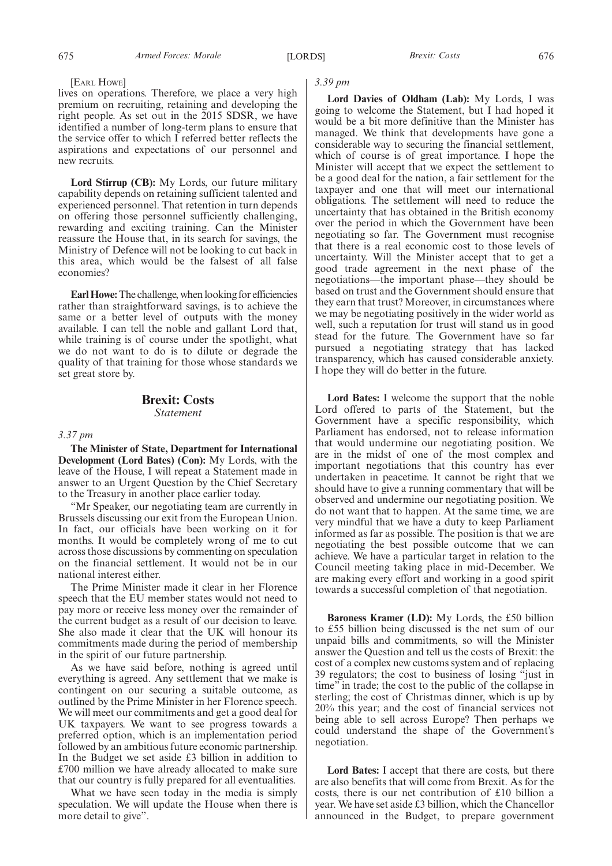#### [EARL HOWE]

lives on operations. Therefore, we place a very high premium on recruiting, retaining and developing the right people. As set out in the 2015 SDSR, we have identified a number of long-term plans to ensure that the service offer to which I referred better reflects the aspirations and expectations of our personnel and new recruits.

**Lord Stirrup (CB):** My Lords, our future military capability depends on retaining sufficient talented and experienced personnel. That retention in turn depends on offering those personnel sufficiently challenging, rewarding and exciting training. Can the Minister reassure the House that, in its search for savings, the Ministry of Defence will not be looking to cut back in this area, which would be the falsest of all false economies?

**Earl Howe:**The challenge, when looking for efficiencies rather than straightforward savings, is to achieve the same or a better level of outputs with the money available. I can tell the noble and gallant Lord that, while training is of course under the spotlight, what we do not want to do is to dilute or degrade the quality of that training for those whose standards we set great store by.

## **Brexit: Costs** *Statement*

#### *3.37 pm*

**The Minister of State, Department for International Development (Lord Bates) (Con):** My Lords, with the leave of the House, I will repeat a Statement made in answer to an Urgent Question by the Chief Secretary to the Treasury in another place earlier today.

"Mr Speaker, our negotiating team are currently in Brussels discussing our exit from the European Union. In fact, our officials have been working on it for months. It would be completely wrong of me to cut across those discussions by commenting on speculation on the financial settlement. It would not be in our national interest either.

The Prime Minister made it clear in her Florence speech that the EU member states would not need to pay more or receive less money over the remainder of the current budget as a result of our decision to leave. She also made it clear that the UK will honour its commitments made during the period of membership in the spirit of our future partnership.

As we have said before, nothing is agreed until everything is agreed. Any settlement that we make is contingent on our securing a suitable outcome, as outlined by the Prime Minister in her Florence speech. We will meet our commitments and get a good deal for UK taxpayers. We want to see progress towards a preferred option, which is an implementation period followed by an ambitious future economic partnership. In the Budget we set aside £3 billion in addition to £700 million we have already allocated to make sure that our country is fully prepared for all eventualities.

What we have seen today in the media is simply speculation. We will update the House when there is more detail to give".

# *3.39 pm*

**Lord Davies of Oldham (Lab):** My Lords, I was going to welcome the Statement, but I had hoped it would be a bit more definitive than the Minister has managed. We think that developments have gone a considerable way to securing the financial settlement, which of course is of great importance. I hope the Minister will accept that we expect the settlement to be a good deal for the nation, a fair settlement for the taxpayer and one that will meet our international obligations. The settlement will need to reduce the uncertainty that has obtained in the British economy over the period in which the Government have been negotiating so far. The Government must recognise that there is a real economic cost to those levels of uncertainty. Will the Minister accept that to get a good trade agreement in the next phase of the negotiations—the important phase—they should be based on trust and the Government should ensure that they earn that trust? Moreover, in circumstances where we may be negotiating positively in the wider world as well, such a reputation for trust will stand us in good stead for the future. The Government have so far pursued a negotiating strategy that has lacked transparency, which has caused considerable anxiety. I hope they will do better in the future.

**Lord Bates:** I welcome the support that the noble Lord offered to parts of the Statement, but the Government have a specific responsibility, which Parliament has endorsed, not to release information that would undermine our negotiating position. We are in the midst of one of the most complex and important negotiations that this country has ever undertaken in peacetime. It cannot be right that we should have to give a running commentary that will be observed and undermine our negotiating position. We do not want that to happen. At the same time, we are very mindful that we have a duty to keep Parliament informed as far as possible. The position is that we are negotiating the best possible outcome that we can achieve. We have a particular target in relation to the Council meeting taking place in mid-December. We are making every effort and working in a good spirit towards a successful completion of that negotiation.

**Baroness Kramer (LD):** My Lords, the £50 billion to £55 billion being discussed is the net sum of our unpaid bills and commitments, so will the Minister answer the Question and tell us the costs of Brexit: the cost of a complex new customs system and of replacing 39 regulators; the cost to business of losing "just in time" in trade; the cost to the public of the collapse in sterling; the cost of Christmas dinner, which is up by 20% this year; and the cost of financial services not being able to sell across Europe? Then perhaps we could understand the shape of the Government's negotiation.

**Lord Bates:** I accept that there are costs, but there are also benefits that will come from Brexit. As for the costs, there is our net contribution of £10 billion a year. We have set aside £3 billion, which the Chancellor announced in the Budget, to prepare government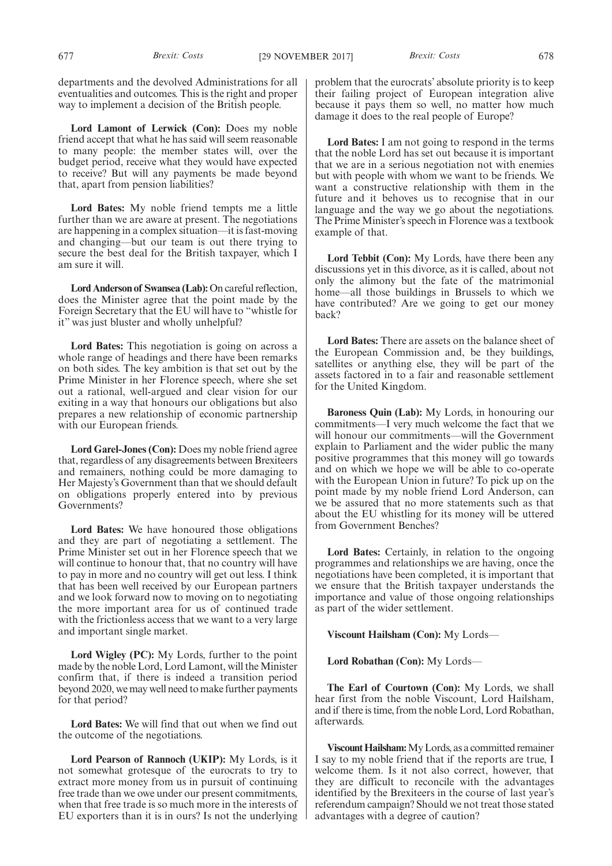departments and the devolved Administrations for all eventualities and outcomes. This is the right and proper way to implement a decision of the British people.

**Lord Lamont of Lerwick (Con):** Does my noble friend accept that what he has said will seem reasonable to many people: the member states will, over the budget period, receive what they would have expected to receive? But will any payments be made beyond that, apart from pension liabilities?

**Lord Bates:** My noble friend tempts me a little further than we are aware at present. The negotiations are happening in a complex situation—it is fast-moving and changing—but our team is out there trying to secure the best deal for the British taxpayer, which I am sure it will.

**Lord Anderson of Swansea (Lab):**On careful reflection, does the Minister agree that the point made by the Foreign Secretary that the EU will have to "whistle for it" was just bluster and wholly unhelpful?

**Lord Bates:** This negotiation is going on across a whole range of headings and there have been remarks on both sides. The key ambition is that set out by the Prime Minister in her Florence speech, where she set out a rational, well-argued and clear vision for our exiting in a way that honours our obligations but also prepares a new relationship of economic partnership with our European friends.

**Lord Garel-Jones (Con):** Does my noble friend agree that, regardless of any disagreements between Brexiteers and remainers, nothing could be more damaging to Her Majesty's Government than that we should default on obligations properly entered into by previous Governments?

**Lord Bates:** We have honoured those obligations and they are part of negotiating a settlement. The Prime Minister set out in her Florence speech that we will continue to honour that, that no country will have to pay in more and no country will get out less. I think that has been well received by our European partners and we look forward now to moving on to negotiating the more important area for us of continued trade with the frictionless access that we want to a very large. and important single market.

**Lord Wigley (PC):** My Lords, further to the point made by the noble Lord, Lord Lamont, will the Minister confirm that, if there is indeed a transition period beyond 2020, we may well need to make further payments for that period?

**Lord Bates:** We will find that out when we find out the outcome of the negotiations.

**Lord Pearson of Rannoch (UKIP):** My Lords, is it not somewhat grotesque of the eurocrats to try to extract more money from us in pursuit of continuing free trade than we owe under our present commitments, when that free trade is so much more in the interests of EU exporters than it is in ours? Is not the underlying problem that the eurocrats' absolute priority is to keep their failing project of European integration alive because it pays them so well, no matter how much damage it does to the real people of Europe?

**Lord Bates:** I am not going to respond in the terms that the noble Lord has set out because it is important that we are in a serious negotiation not with enemies but with people with whom we want to be friends. We want a constructive relationship with them in the future and it behoves us to recognise that in our language and the way we go about the negotiations. The Prime Minister's speech in Florence was a textbook example of that.

**Lord Tebbit (Con):** My Lords, have there been any discussions yet in this divorce, as it is called, about not only the alimony but the fate of the matrimonial home—all those buildings in Brussels to which we have contributed? Are we going to get our money back?

**Lord Bates:** There are assets on the balance sheet of the European Commission and, be they buildings, satellites or anything else, they will be part of the assets factored in to a fair and reasonable settlement for the United Kingdom.

**Baroness Quin (Lab):** My Lords, in honouring our commitments—I very much welcome the fact that we will honour our commitments—will the Government explain to Parliament and the wider public the many positive programmes that this money will go towards and on which we hope we will be able to co-operate with the European Union in future? To pick up on the point made by my noble friend Lord Anderson, can we be assured that no more statements such as that about the EU whistling for its money will be uttered from Government Benches?

**Lord Bates:** Certainly, in relation to the ongoing programmes and relationships we are having, once the negotiations have been completed, it is important that we ensure that the British taxpayer understands the importance and value of those ongoing relationships as part of the wider settlement.

**Viscount Hailsham (Con):** My Lords—

**Lord Robathan (Con):** My Lords—

**The Earl of Courtown (Con):** My Lords, we shall hear first from the noble Viscount, Lord Hailsham, and if there is time, from the noble Lord, Lord Robathan, afterwards.

**Viscount Hailsham:**My Lords, as a committed remainer I say to my noble friend that if the reports are true, I welcome them. Is it not also correct, however, that they are difficult to reconcile with the advantages identified by the Brexiteers in the course of last year's referendum campaign? Should we not treat those stated advantages with a degree of caution?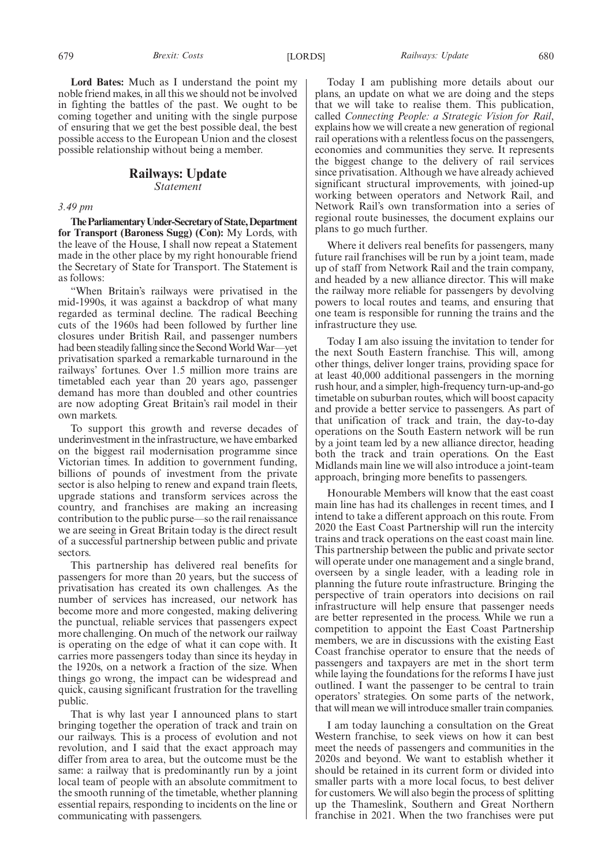**Lord Bates:** Much as I understand the point my noble friend makes, in all this we should not be involved in fighting the battles of the past. We ought to be coming together and uniting with the single purpose of ensuring that we get the best possible deal, the best possible access to the European Union and the closest possible relationship without being a member.

# **Railways: Update**

*Statement*

*3.49 pm*

**TheParliamentaryUnder-Secretaryof State,Department for Transport (Baroness Sugg) (Con):** My Lords, with the leave of the House, I shall now repeat a Statement made in the other place by my right honourable friend the Secretary of State for Transport. The Statement is as follows:

"When Britain's railways were privatised in the mid-1990s, it was against a backdrop of what many regarded as terminal decline. The radical Beeching cuts of the 1960s had been followed by further line closures under British Rail, and passenger numbers had been steadily falling since the Second World War—yet privatisation sparked a remarkable turnaround in the railways' fortunes. Over 1.5 million more trains are timetabled each year than 20 years ago, passenger demand has more than doubled and other countries are now adopting Great Britain's rail model in their own markets.

To support this growth and reverse decades of underinvestment in the infrastructure, we have embarked on the biggest rail modernisation programme since Victorian times. In addition to government funding, billions of pounds of investment from the private sector is also helping to renew and expand train fleets, upgrade stations and transform services across the country, and franchises are making an increasing contribution to the public purse—so the rail renaissance we are seeing in Great Britain today is the direct result of a successful partnership between public and private sectors.

This partnership has delivered real benefits for passengers for more than 20 years, but the success of privatisation has created its own challenges. As the number of services has increased, our network has become more and more congested, making delivering the punctual, reliable services that passengers expect more challenging. On much of the network our railway is operating on the edge of what it can cope with. It carries more passengers today than since its heyday in the 1920s, on a network a fraction of the size. When things go wrong, the impact can be widespread and quick, causing significant frustration for the travelling public.

That is why last year I announced plans to start bringing together the operation of track and train on our railways. This is a process of evolution and not revolution, and I said that the exact approach may differ from area to area, but the outcome must be the same: a railway that is predominantly run by a joint local team of people with an absolute commitment to the smooth running of the timetable, whether planning essential repairs, responding to incidents on the line or communicating with passengers.

Today I am publishing more details about our plans, an update on what we are doing and the steps that we will take to realise them. This publication, called *Connecting People: a Strategic Vision for Rail*, explains how we will create a new generation of regional rail operations with a relentless focus on the passengers, economies and communities they serve. It represents the biggest change to the delivery of rail services since privatisation. Although we have already achieved significant structural improvements, with joined-up working between operators and Network Rail, and Network Rail's own transformation into a series of regional route businesses, the document explains our plans to go much further.

Where it delivers real benefits for passengers, many future rail franchises will be run by a joint team, made up of staff from Network Rail and the train company, and headed by a new alliance director. This will make the railway more reliable for passengers by devolving powers to local routes and teams, and ensuring that one team is responsible for running the trains and the infrastructure they use.

Today I am also issuing the invitation to tender for the next South Eastern franchise. This will, among other things, deliver longer trains, providing space for at least 40,000 additional passengers in the morning rush hour, and a simpler, high-frequency turn-up-and-go timetable on suburban routes, which will boost capacity and provide a better service to passengers. As part of that unification of track and train, the day-to-day operations on the South Eastern network will be run by a joint team led by a new alliance director, heading both the track and train operations. On the East Midlands main line we will also introduce a joint-team approach, bringing more benefits to passengers.

Honourable Members will know that the east coast main line has had its challenges in recent times, and I intend to take a different approach on this route. From 2020 the East Coast Partnership will run the intercity trains and track operations on the east coast main line. This partnership between the public and private sector will operate under one management and a single brand, overseen by a single leader, with a leading role in planning the future route infrastructure. Bringing the perspective of train operators into decisions on rail infrastructure will help ensure that passenger needs are better represented in the process. While we run a competition to appoint the East Coast Partnership members, we are in discussions with the existing East Coast franchise operator to ensure that the needs of passengers and taxpayers are met in the short term while laying the foundations for the reforms I have just outlined. I want the passenger to be central to train operators' strategies. On some parts of the network, that will mean we will introduce smaller train companies.

I am today launching a consultation on the Great Western franchise, to seek views on how it can best meet the needs of passengers and communities in the 2020s and beyond. We want to establish whether it should be retained in its current form or divided into smaller parts with a more local focus, to best deliver for customers. We will also begin the process of splitting up the Thameslink, Southern and Great Northern franchise in 2021. When the two franchises were put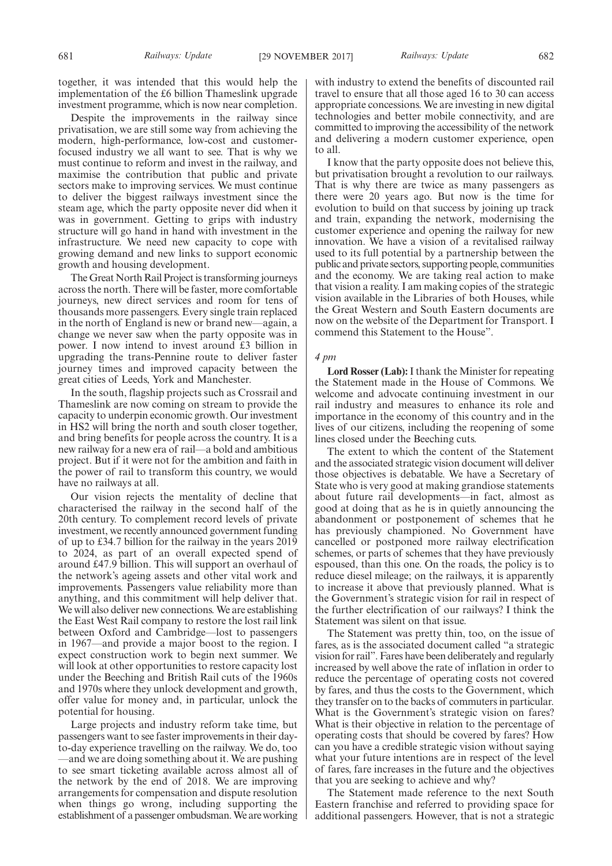together, it was intended that this would help the implementation of the £6 billion Thameslink upgrade investment programme, which is now near completion.

Despite the improvements in the railway since privatisation, we are still some way from achieving the modern, high-performance, low-cost and customerfocused industry we all want to see. That is why we must continue to reform and invest in the railway, and maximise the contribution that public and private sectors make to improving services. We must continue to deliver the biggest railways investment since the steam age, which the party opposite never did when it was in government. Getting to grips with industry structure will go hand in hand with investment in the infrastructure. We need new capacity to cope with growing demand and new links to support economic growth and housing development.

The Great North Rail Project is transforming journeys across the north. There will be faster, more comfortable journeys, new direct services and room for tens of thousands more passengers. Every single train replaced in the north of England is new or brand new—again, a change we never saw when the party opposite was in power. I now intend to invest around £3 billion in upgrading the trans-Pennine route to deliver faster journey times and improved capacity between the great cities of Leeds, York and Manchester.

In the south, flagship projects such as Crossrail and Thameslink are now coming on stream to provide the capacity to underpin economic growth. Our investment in HS2 will bring the north and south closer together, and bring benefits for people across the country. It is a new railway for a new era of rail—a bold and ambitious project. But if it were not for the ambition and faith in the power of rail to transform this country, we would have no railways at all.

Our vision rejects the mentality of decline that characterised the railway in the second half of the 20th century. To complement record levels of private investment, we recently announced government funding of up to £34.7 billion for the railway in the years 2019 to 2024, as part of an overall expected spend of around £47.9 billion. This will support an overhaul of the network's ageing assets and other vital work and improvements. Passengers value reliability more than anything, and this commitment will help deliver that. We will also deliver new connections. We are establishing the East West Rail company to restore the lost rail link between Oxford and Cambridge—lost to passengers in 1967—and provide a major boost to the region. I expect construction work to begin next summer. We will look at other opportunities to restore capacity lost under the Beeching and British Rail cuts of the 1960s and 1970s where they unlock development and growth, offer value for money and, in particular, unlock the potential for housing.

Large projects and industry reform take time, but passengers want to see faster improvements in their dayto-day experience travelling on the railway. We do, too —and we are doing something about it. We are pushing to see smart ticketing available across almost all of the network by the end of 2018. We are improving arrangements for compensation and dispute resolution when things go wrong, including supporting the establishment of a passenger ombudsman. We are working with industry to extend the benefits of discounted rail travel to ensure that all those aged 16 to 30 can access appropriate concessions. We are investing in new digital technologies and better mobile connectivity, and are committed to improving the accessibility of the network and delivering a modern customer experience, open to all.

I know that the party opposite does not believe this, but privatisation brought a revolution to our railways. That is why there are twice as many passengers as there were 20 years ago. But now is the time for evolution to build on that success by joining up track and train, expanding the network, modernising the customer experience and opening the railway for new innovation. We have a vision of a revitalised railway used to its full potential by a partnership between the public and private sectors, supporting people, communities and the economy. We are taking real action to make that vision a reality. I am making copies of the strategic vision available in the Libraries of both Houses, while the Great Western and South Eastern documents are now on the website of the Department for Transport. I commend this Statement to the House".

#### *4 pm*

**Lord Rosser (Lab):**I thank the Minister for repeating the Statement made in the House of Commons. We welcome and advocate continuing investment in our rail industry and measures to enhance its role and importance in the economy of this country and in the lives of our citizens, including the reopening of some lines closed under the Beeching cuts.

The extent to which the content of the Statement and the associated strategic vision document will deliver those objectives is debatable. We have a Secretary of State who is very good at making grandiose statements about future rail developments—in fact, almost as good at doing that as he is in quietly announcing the abandonment or postponement of schemes that he has previously championed. No Government have cancelled or postponed more railway electrification schemes, or parts of schemes that they have previously espoused, than this one. On the roads, the policy is to reduce diesel mileage; on the railways, it is apparently to increase it above that previously planned. What is the Government's strategic vision for rail in respect of the further electrification of our railways? I think the Statement was silent on that issue.

The Statement was pretty thin, too, on the issue of fares, as is the associated document called "a strategic vision for rail". Fares have been deliberately and regularly increased by well above the rate of inflation in order to reduce the percentage of operating costs not covered by fares, and thus the costs to the Government, which they transfer on to the backs of commuters in particular. What is the Government's strategic vision on fares? What is their objective in relation to the percentage of operating costs that should be covered by fares? How can you have a credible strategic vision without saying what your future intentions are in respect of the level of fares, fare increases in the future and the objectives that you are seeking to achieve and why?

The Statement made reference to the next South Eastern franchise and referred to providing space for additional passengers. However, that is not a strategic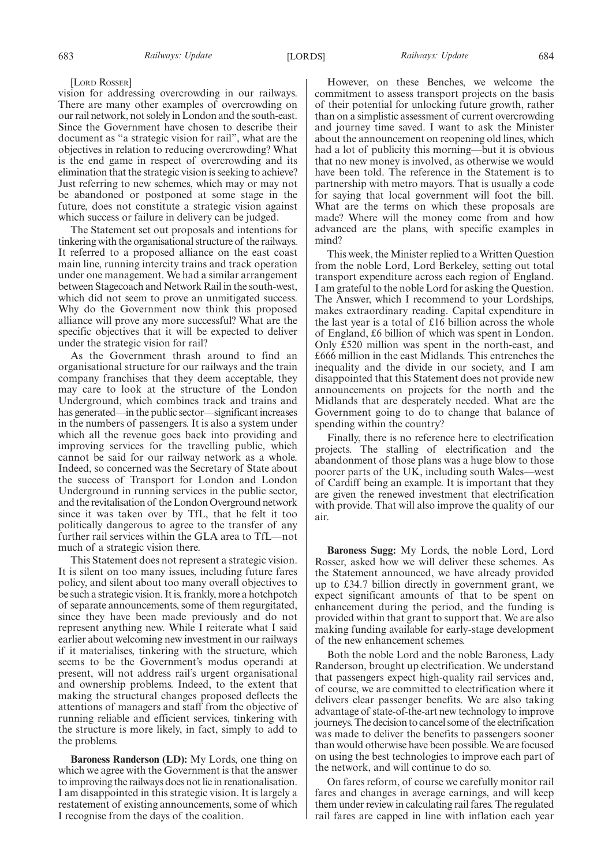[LORD ROSSER]

vision for addressing overcrowding in our railways. There are many other examples of overcrowding on our rail network, not solely in London and the south-east. Since the Government have chosen to describe their document as "a strategic vision for rail", what are the objectives in relation to reducing overcrowding? What is the end game in respect of overcrowding and its elimination that the strategic vision is seeking to achieve? Just referring to new schemes, which may or may not be abandoned or postponed at some stage in the future, does not constitute a strategic vision against which success or failure in delivery can be judged.

The Statement set out proposals and intentions for tinkering with the organisational structure of the railways. It referred to a proposed alliance on the east coast main line, running intercity trains and track operation under one management. We had a similar arrangement between Stagecoach and Network Rail in the south-west, which did not seem to prove an unmitigated success. Why do the Government now think this proposed alliance will prove any more successful? What are the specific objectives that it will be expected to deliver under the strategic vision for rail?

As the Government thrash around to find an organisational structure for our railways and the train company franchises that they deem acceptable, they may care to look at the structure of the London Underground, which combines track and trains and has generated—in the public sector—significant increases in the numbers of passengers. It is also a system under which all the revenue goes back into providing and improving services for the travelling public, which cannot be said for our railway network as a whole. Indeed, so concerned was the Secretary of State about the success of Transport for London and London Underground in running services in the public sector, and the revitalisation of the London Overground network since it was taken over by TfL, that he felt it too politically dangerous to agree to the transfer of any further rail services within the GLA area to TfL—not much of a strategic vision there.

This Statement does not represent a strategic vision. It is silent on too many issues, including future fares policy, and silent about too many overall objectives to be such a strategic vision. It is, frankly, more a hotchpotch of separate announcements, some of them regurgitated, since they have been made previously and do not represent anything new. While I reiterate what I said earlier about welcoming new investment in our railways if it materialises, tinkering with the structure, which seems to be the Government's modus operandi at present, will not address rail's urgent organisational and ownership problems. Indeed, to the extent that making the structural changes proposed deflects the attentions of managers and staff from the objective of running reliable and efficient services, tinkering with the structure is more likely, in fact, simply to add to the problems.

**Baroness Randerson (LD):** My Lords, one thing on which we agree with the Government is that the answer to improving the railways does not lie in renationalisation. I am disappointed in this strategic vision. It is largely a restatement of existing announcements, some of which I recognise from the days of the coalition.

However, on these Benches, we welcome the commitment to assess transport projects on the basis of their potential for unlocking future growth, rather than on a simplistic assessment of current overcrowding and journey time saved. I want to ask the Minister about the announcement on reopening old lines, which had a lot of publicity this morning—but it is obvious that no new money is involved, as otherwise we would have been told. The reference in the Statement is to partnership with metro mayors. That is usually a code for saying that local government will foot the bill. What are the terms on which these proposals are made? Where will the money come from and how advanced are the plans, with specific examples in mind?

This week, the Minister replied to a Written Question from the noble Lord, Lord Berkeley, setting out total transport expenditure across each region of England. I am grateful to the noble Lord for asking the Question. The Answer, which I recommend to your Lordships, makes extraordinary reading. Capital expenditure in the last year is a total of £16 billion across the whole of England, £6 billion of which was spent in London. Only £520 million was spent in the north-east, and £666 million in the east Midlands. This entrenches the inequality and the divide in our society, and I am disappointed that this Statement does not provide new announcements on projects for the north and the Midlands that are desperately needed. What are the Government going to do to change that balance of spending within the country?

Finally, there is no reference here to electrification projects. The stalling of electrification and the abandonment of those plans was a huge blow to those poorer parts of the UK, including south Wales—west of Cardiff being an example. It is important that they are given the renewed investment that electrification with provide. That will also improve the quality of our air.

**Baroness Sugg:** My Lords, the noble Lord, Lord Rosser, asked how we will deliver these schemes. As the Statement announced, we have already provided up to £34.7 billion directly in government grant, we expect significant amounts of that to be spent on enhancement during the period, and the funding is provided within that grant to support that. We are also making funding available for early-stage development of the new enhancement schemes.

Both the noble Lord and the noble Baroness, Lady Randerson, brought up electrification. We understand that passengers expect high-quality rail services and, of course, we are committed to electrification where it delivers clear passenger benefits. We are also taking advantage of state-of-the-art new technology to improve journeys. The decision to cancel some of the electrification was made to deliver the benefits to passengers sooner than would otherwise have been possible. We are focused on using the best technologies to improve each part of the network, and will continue to do so.

On fares reform, of course we carefully monitor rail fares and changes in average earnings, and will keep them under review in calculating rail fares. The regulated rail fares are capped in line with inflation each year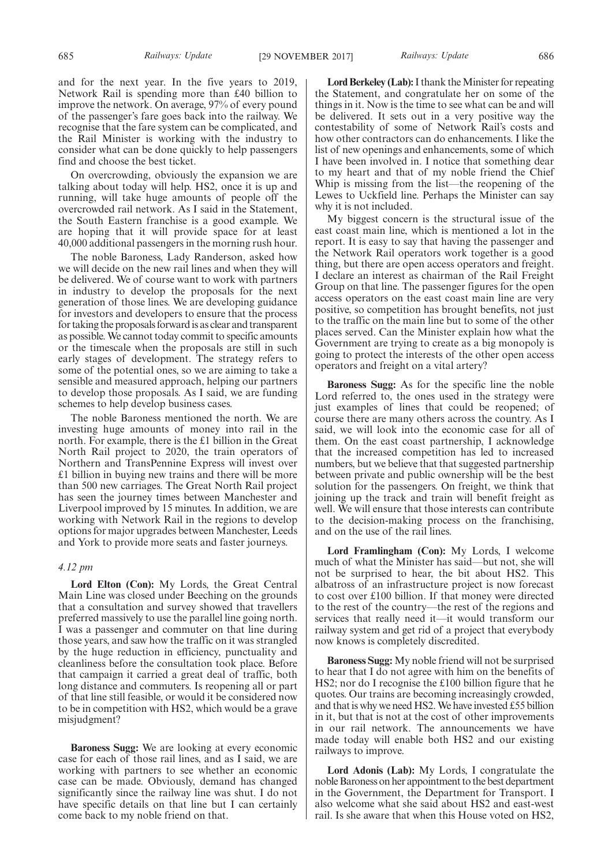and for the next year. In the five years to 2019, Network Rail is spending more than £40 billion to improve the network. On average, 97% of every pound of the passenger's fare goes back into the railway. We recognise that the fare system can be complicated, and the Rail Minister is working with the industry to consider what can be done quickly to help passengers find and choose the best ticket.

On overcrowding, obviously the expansion we are talking about today will help. HS2, once it is up and running, will take huge amounts of people off the overcrowded rail network. As I said in the Statement, the South Eastern franchise is a good example. We are hoping that it will provide space for at least 40,000 additional passengers in the morning rush hour.

The noble Baroness, Lady Randerson, asked how we will decide on the new rail lines and when they will be delivered. We of course want to work with partners in industry to develop the proposals for the next generation of those lines. We are developing guidance for investors and developers to ensure that the process for taking the proposals forward is as clear and transparent as possible. We cannot today commit to specific amounts or the timescale when the proposals are still in such early stages of development. The strategy refers to some of the potential ones, so we are aiming to take a sensible and measured approach, helping our partners to develop those proposals. As I said, we are funding schemes to help develop business cases.

The noble Baroness mentioned the north. We are investing huge amounts of money into rail in the north. For example, there is the £1 billion in the Great North Rail project to 2020, the train operators of Northern and TransPennine Express will invest over £1 billion in buying new trains and there will be more than 500 new carriages. The Great North Rail project has seen the journey times between Manchester and Liverpool improved by 15 minutes. In addition, we are working with Network Rail in the regions to develop options for major upgrades between Manchester, Leeds and York to provide more seats and faster journeys.

#### *4.12 pm*

**Lord Elton (Con):** My Lords, the Great Central Main Line was closed under Beeching on the grounds that a consultation and survey showed that travellers preferred massively to use the parallel line going north. I was a passenger and commuter on that line during those years, and saw how the traffic on it was strangled by the huge reduction in efficiency, punctuality and cleanliness before the consultation took place. Before that campaign it carried a great deal of traffic, both long distance and commuters. Is reopening all or part of that line still feasible, or would it be considered now to be in competition with HS2, which would be a grave misjudgment?

**Baroness Sugg:** We are looking at every economic case for each of those rail lines, and as I said, we are working with partners to see whether an economic case can be made. Obviously, demand has changed significantly since the railway line was shut. I do not have specific details on that line but I can certainly come back to my noble friend on that.

**Lord Berkeley (Lab):**I thank the Minister for repeating the Statement, and congratulate her on some of the things in it. Now is the time to see what can be and will be delivered. It sets out in a very positive way the contestability of some of Network Rail's costs and how other contractors can do enhancements. I like the list of new openings and enhancements, some of which I have been involved in. I notice that something dear to my heart and that of my noble friend the Chief Whip is missing from the list—the reopening of the Lewes to Uckfield line. Perhaps the Minister can say why it is not included.

My biggest concern is the structural issue of the east coast main line, which is mentioned a lot in the report. It is easy to say that having the passenger and the Network Rail operators work together is a good thing, but there are open access operators and freight. I declare an interest as chairman of the Rail Freight Group on that line. The passenger figures for the open access operators on the east coast main line are very positive, so competition has brought benefits, not just to the traffic on the main line but to some of the other places served. Can the Minister explain how what the Government are trying to create as a big monopoly is going to protect the interests of the other open access operators and freight on a vital artery?

**Baroness Sugg:** As for the specific line the noble Lord referred to, the ones used in the strategy were just examples of lines that could be reopened; of course there are many others across the country. As I said, we will look into the economic case for all of them. On the east coast partnership, I acknowledge that the increased competition has led to increased numbers, but we believe that that suggested partnership between private and public ownership will be the best solution for the passengers. On freight, we think that joining up the track and train will benefit freight as well. We will ensure that those interests can contribute to the decision-making process on the franchising, and on the use of the rail lines.

**Lord Framlingham (Con):** My Lords, I welcome much of what the Minister has said—but not, she will not be surprised to hear, the bit about HS2. This albatross of an infrastructure project is now forecast to cost over £100 billion. If that money were directed to the rest of the country—the rest of the regions and services that really need it—it would transform our railway system and get rid of a project that everybody now knows is completely discredited.

**Baroness Sugg:** My noble friend will not be surprised to hear that I do not agree with him on the benefits of HS2; nor do I recognise the £100 billion figure that he quotes. Our trains are becoming increasingly crowded, and that is why we need HS2. We have invested £55 billion in it, but that is not at the cost of other improvements in our rail network. The announcements we have made today will enable both HS2 and our existing railways to improve.

**Lord Adonis (Lab):** My Lords, I congratulate the noble Baroness on her appointment to the best department in the Government, the Department for Transport. I also welcome what she said about HS2 and east-west rail. Is she aware that when this House voted on HS2,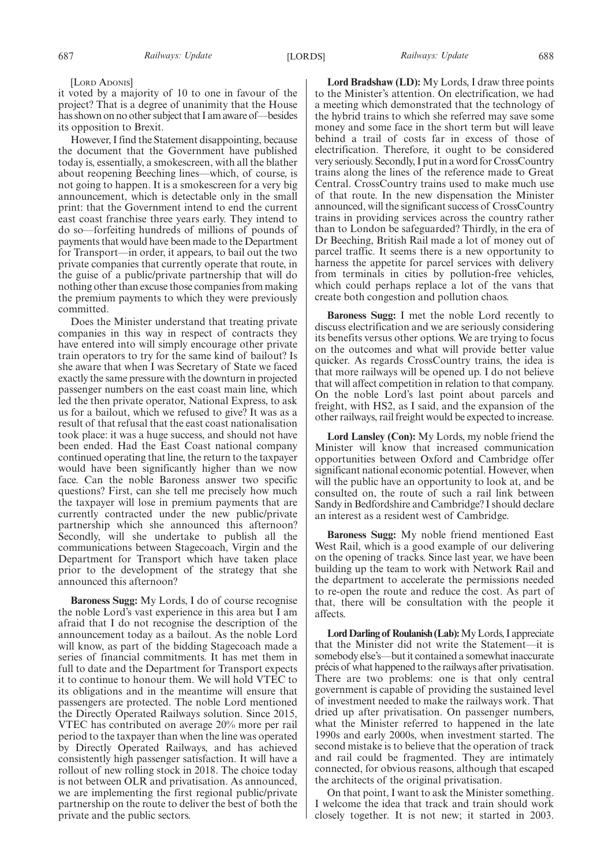#### [LORD ADONIS]

it voted by a majority of 10 to one in favour of the project? That is a degree of unanimity that the House has shown on no other subject that I am aware of—besides its opposition to Brexit.

However, I find the Statement disappointing, because the document that the Government have published today is, essentially, a smokescreen, with all the blather about reopening Beeching lines—which, of course, is not going to happen. It is a smokescreen for a very big announcement, which is detectable only in the small print: that the Government intend to end the current east coast franchise three years early. They intend to do so—forfeiting hundreds of millions of pounds of payments that would have been made to the Department for Transport—in order, it appears, to bail out the two private companies that currently operate that route, in the guise of a public/private partnership that will do nothing other than excuse those companies from making the premium payments to which they were previously committed.

Does the Minister understand that treating private companies in this way in respect of contracts they have entered into will simply encourage other private train operators to try for the same kind of bailout? Is she aware that when I was Secretary of State we faced exactly the same pressure with the downturn in projected passenger numbers on the east coast main line, which led the then private operator, National Express, to ask us for a bailout, which we refused to give? It was as a result of that refusal that the east coast nationalisation took place: it was a huge success, and should not have been ended. Had the East Coast national company continued operating that line, the return to the taxpayer would have been significantly higher than we now face. Can the noble Baroness answer two specific questions? First, can she tell me precisely how much the taxpayer will lose in premium payments that are currently contracted under the new public/private partnership which she announced this afternoon? Secondly, will she undertake to publish all the communications between Stagecoach, Virgin and the Department for Transport which have taken place prior to the development of the strategy that she announced this afternoon?

**Baroness Sugg:** My Lords, I do of course recognise the noble Lord's vast experience in this area but I am afraid that I do not recognise the description of the announcement today as a bailout. As the noble Lord will know, as part of the bidding Stagecoach made a series of financial commitments. It has met them in full to date and the Department for Transport expects it to continue to honour them. We will hold VTEC to its obligations and in the meantime will ensure that passengers are protected. The noble Lord mentioned the Directly Operated Railways solution. Since 2015, VTEC has contributed on average 20% more per rail period to the taxpayer than when the line was operated by Directly Operated Railways, and has achieved consistently high passenger satisfaction. It will have a rollout of new rolling stock in 2018. The choice today is not between OLR and privatisation. As announced, we are implementing the first regional public/private partnership on the route to deliver the best of both the private and the public sectors.

**Lord Bradshaw (LD):** My Lords, I draw three points to the Minister's attention. On electrification, we had a meeting which demonstrated that the technology of the hybrid trains to which she referred may save some money and some face in the short term but will leave behind a trail of costs far in excess of those of electrification. Therefore, it ought to be considered very seriously. Secondly, I put in a word for CrossCountry trains along the lines of the reference made to Great Central. CrossCountry trains used to make much use of that route. In the new dispensation the Minister announced, will the significant success of CrossCountry trains in providing services across the country rather than to London be safeguarded? Thirdly, in the era of Dr Beeching, British Rail made a lot of money out of parcel traffic. It seems there is a new opportunity to harness the appetite for parcel services with delivery from terminals in cities by pollution-free vehicles, which could perhaps replace a lot of the vans that create both congestion and pollution chaos.

**Baroness Sugg:** I met the noble Lord recently to discuss electrification and we are seriously considering its benefits versus other options. We are trying to focus on the outcomes and what will provide better value quicker. As regards CrossCountry trains, the idea is that more railways will be opened up. I do not believe that will affect competition in relation to that company. On the noble Lord's last point about parcels and freight, with HS2, as I said, and the expansion of the other railways, rail freight would be expected to increase.

**Lord Lansley (Con):** My Lords, my noble friend the Minister will know that increased communication opportunities between Oxford and Cambridge offer significant national economic potential. However, when will the public have an opportunity to look at, and be consulted on, the route of such a rail link between Sandy in Bedfordshire and Cambridge? I should declare an interest as a resident west of Cambridge.

**Baroness Sugg:** My noble friend mentioned East West Rail, which is a good example of our delivering on the opening of tracks. Since last year, we have been building up the team to work with Network Rail and the department to accelerate the permissions needed to re-open the route and reduce the cost. As part of that, there will be consultation with the people it affects.

Lord Darling of Roulanish (Lab): My Lords, I appreciate that the Minister did not write the Statement—it is somebody else's—but it contained a somewhat inaccurate précis of what happened to the railways after privatisation. There are two problems: one is that only central government is capable of providing the sustained level of investment needed to make the railways work. That dried up after privatisation. On passenger numbers, what the Minister referred to happened in the late 1990s and early 2000s, when investment started. The second mistake is to believe that the operation of track and rail could be fragmented. They are intimately connected, for obvious reasons, although that escaped the architects of the original privatisation.

On that point, I want to ask the Minister something. I welcome the idea that track and train should work closely together. It is not new; it started in 2003.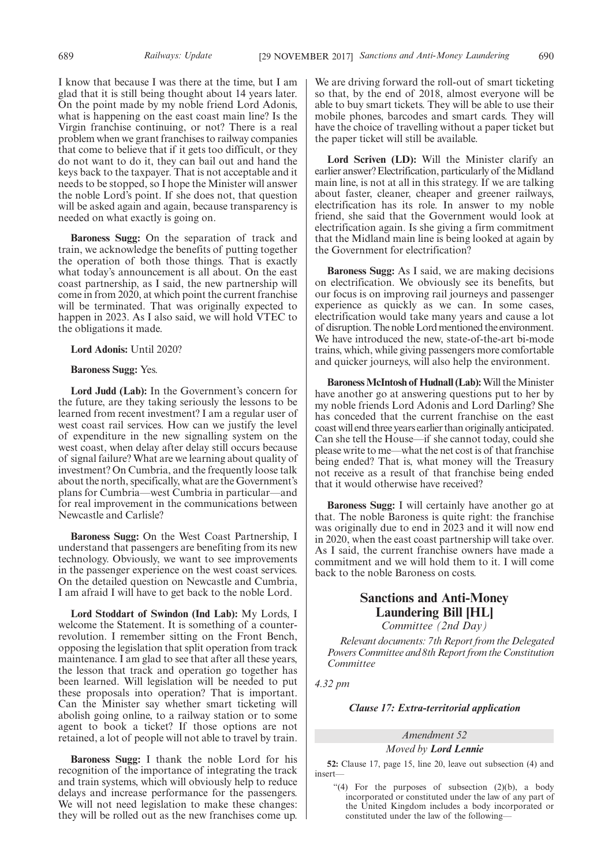I know that because I was there at the time, but I am glad that it is still being thought about 14 years later. On the point made by my noble friend Lord Adonis, what is happening on the east coast main line? Is the Virgin franchise continuing, or not? There is a real problem when we grant franchises to railway companies that come to believe that if it gets too difficult, or they do not want to do it, they can bail out and hand the keys back to the taxpayer. That is not acceptable and it needs to be stopped, so I hope the Minister will answer the noble Lord's point. If she does not, that question will be asked again and again, because transparency is needed on what exactly is going on.

**Baroness Sugg:** On the separation of track and train, we acknowledge the benefits of putting together the operation of both those things. That is exactly what today's announcement is all about. On the east coast partnership, as I said, the new partnership will come in from 2020, at which point the current franchise will be terminated. That was originally expected to happen in 2023. As I also said, we will hold VTEC to the obligations it made.

**Lord Adonis:** Until 2020?

#### **Baroness Sugg:** Yes.

**Lord Judd (Lab):** In the Government's concern for the future, are they taking seriously the lessons to be learned from recent investment? I am a regular user of west coast rail services. How can we justify the level of expenditure in the new signalling system on the west coast, when delay after delay still occurs because of signal failure? What are we learning about quality of investment? On Cumbria, and the frequently loose talk about the north, specifically, what are the Government's plans for Cumbria—west Cumbria in particular—and for real improvement in the communications between Newcastle and Carlisle?

**Baroness Sugg:** On the West Coast Partnership, I understand that passengers are benefiting from its new technology. Obviously, we want to see improvements in the passenger experience on the west coast services. On the detailed question on Newcastle and Cumbria, I am afraid I will have to get back to the noble Lord.

**Lord Stoddart of Swindon (Ind Lab):** My Lords, I welcome the Statement. It is something of a counterrevolution. I remember sitting on the Front Bench, opposing the legislation that split operation from track maintenance. I am glad to see that after all these years, the lesson that track and operation go together has been learned. Will legislation will be needed to put these proposals into operation? That is important. Can the Minister say whether smart ticketing will abolish going online, to a railway station or to some agent to book a ticket? If those options are not retained, a lot of people will not able to travel by train.

**Baroness Sugg:** I thank the noble Lord for his recognition of the importance of integrating the track and train systems, which will obviously help to reduce delays and increase performance for the passengers. We will not need legislation to make these changes: they will be rolled out as the new franchises come up.

We are driving forward the roll-out of smart ticketing so that, by the end of 2018, almost everyone will be able to buy smart tickets. They will be able to use their mobile phones, barcodes and smart cards. They will have the choice of travelling without a paper ticket but the paper ticket will still be available.

**Lord Scriven (LD):** Will the Minister clarify an earlier answer? Electrification, particularly of the Midland main line, is not at all in this strategy. If we are talking about faster, cleaner, cheaper and greener railways, electrification has its role. In answer to my noble friend, she said that the Government would look at electrification again. Is she giving a firm commitment that the Midland main line is being looked at again by the Government for electrification?

**Baroness Sugg:** As I said, we are making decisions on electrification. We obviously see its benefits, but our focus is on improving rail journeys and passenger experience as quickly as we can. In some cases, electrification would take many years and cause a lot of disruption. The noble Lord mentioned the environment. We have introduced the new, state-of-the-art bi-mode trains, which, while giving passengers more comfortable and quicker journeys, will also help the environment.

**Baroness McIntosh of Hudnall (Lab):**Will the Minister have another go at answering questions put to her by my noble friends Lord Adonis and Lord Darling? She has conceded that the current franchise on the east coast will end three years earlier than originally anticipated. Can she tell the House—if she cannot today, could she please write to me—what the net cost is of that franchise being ended? That is, what money will the Treasury not receive as a result of that franchise being ended that it would otherwise have received?

**Baroness Sugg:** I will certainly have another go at that. The noble Baroness is quite right: the franchise was originally due to end in 2023 and it will now end in 2020, when the east coast partnership will take over. As I said, the current franchise owners have made a commitment and we will hold them to it. I will come back to the noble Baroness on costs.

# **Sanctions and Anti-Money Laundering Bill [HL]** *Committee (2nd Day)*

*Relevant documents: 7th Report from the Delegated Powers Committee and 8th Report from the Constitution*

*4.32 pm*

*Committee*

*Clause 17: Extra-territorial application*

#### *Amendment 52*

*Moved by Lord Lennie*

**52:** Clause 17, page 15, line 20, leave out subsection (4) and insert—

"(4) For the purposes of subsection  $(2)(b)$ , a body incorporated or constituted under the law of any part of the United Kingdom includes a body incorporated or constituted under the law of the following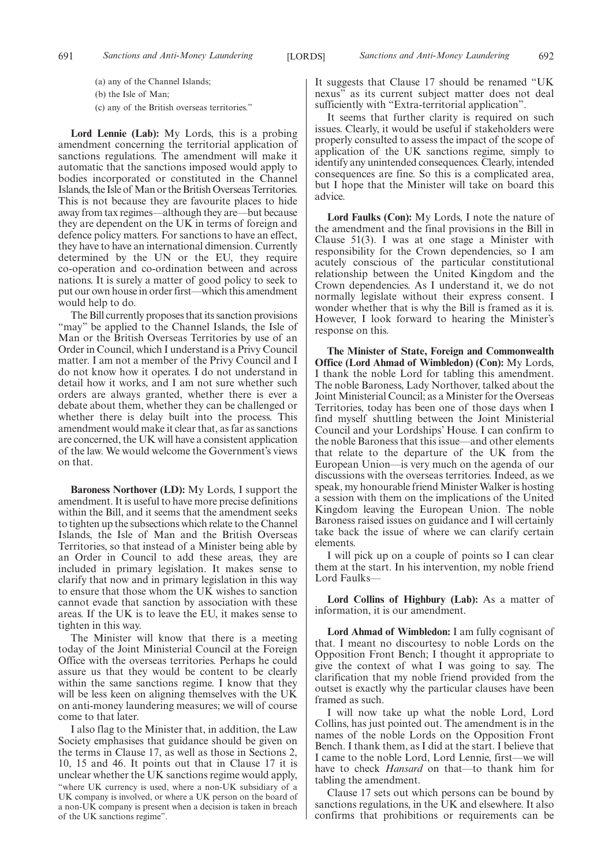(a) any of the Channel Islands;

(b) the Isle of Man;

(c) any of the British overseas territories."

**Lord Lennie (Lab):** My Lords, this is a probing amendment concerning the territorial application of sanctions regulations. The amendment will make it automatic that the sanctions imposed would apply to bodies incorporated or constituted in the Channel Islands, the Isle of Man or the British Overseas Territories. This is not because they are favourite places to hide away from tax regimes—although they are—but because they are dependent on the UK in terms of foreign and defence policy matters. For sanctions to have an effect, they have to have an international dimension. Currently determined by the UN or the EU, they require co-operation and co-ordination between and across nations. It is surely a matter of good policy to seek to put our own house in order first—which this amendment would help to do.

The Bill currently proposes that its sanction provisions "may" be applied to the Channel Islands, the Isle of Man or the British Overseas Territories by use of an Order in Council, which I understand is a Privy Council matter. I am not a member of the Privy Council and I do not know how it operates. I do not understand in detail how it works, and I am not sure whether such orders are always granted, whether there is ever a debate about them, whether they can be challenged or whether there is delay built into the process. This amendment would make it clear that, as far as sanctions are concerned, the UK will have a consistent application of the law. We would welcome the Government's views on that.

**Baroness Northover (LD):** My Lords, I support the amendment. It is useful to have more precise definitions within the Bill, and it seems that the amendment seeks to tighten up the subsections which relate to the Channel Islands, the Isle of Man and the British Overseas Territories, so that instead of a Minister being able by an Order in Council to add these areas, they are included in primary legislation. It makes sense to clarify that now and in primary legislation in this way to ensure that those whom the UK wishes to sanction cannot evade that sanction by association with these areas. If the UK is to leave the EU, it makes sense to tighten in this way.

The Minister will know that there is a meeting today of the Joint Ministerial Council at the Foreign Office with the overseas territories. Perhaps he could assure us that they would be content to be clearly within the same sanctions regime. I know that they will be less keen on aligning themselves with the UK on anti-money laundering measures; we will of course come to that later.

I also flag to the Minister that, in addition, the Law Society emphasises that guidance should be given on the terms in Clause 17, as well as those in Sections 2, 10, 15 and 46. It points out that in Clause 17 it is unclear whether the UK sanctions regime would apply, "where UK currency is used, where a non-UK subsidiary of a UK company is involved, or where a UK person on the board of a non-UK company is present when a decision is taken in breach of the UK sanctions regime".

It suggests that Clause 17 should be renamed "UK nexus" as its current subject matter does not deal sufficiently with "Extra-territorial application".

It seems that further clarity is required on such issues. Clearly, it would be useful if stakeholders were properly consulted to assess the impact of the scope of application of the UK sanctions regime, simply to identify any unintended consequences. Clearly, intended consequences are fine. So this is a complicated area, but I hope that the Minister will take on board this advice.

**Lord Faulks (Con):** My Lords, I note the nature of the amendment and the final provisions in the Bill in Clause 51(3). I was at one stage a Minister with responsibility for the Crown dependencies, so I am acutely conscious of the particular constitutional relationship between the United Kingdom and the Crown dependencies. As I understand it, we do not normally legislate without their express consent. I wonder whether that is why the Bill is framed as it is. However, I look forward to hearing the Minister's response on this.

**The Minister of State, Foreign and Commonwealth Office (Lord Ahmad of Wimbledon) (Con):** My Lords, I thank the noble Lord for tabling this amendment. The noble Baroness, Lady Northover, talked about the Joint Ministerial Council; as a Minister for the Overseas Territories, today has been one of those days when I find myself shuttling between the Joint Ministerial Council and your Lordships' House. I can confirm to the noble Baroness that this issue—and other elements that relate to the departure of the UK from the European Union—is very much on the agenda of our discussions with the overseas territories. Indeed, as we speak, my honourable friend Minister Walker is hosting a session with them on the implications of the United Kingdom leaving the European Union. The noble Baroness raised issues on guidance and I will certainly take back the issue of where we can clarify certain elements.

I will pick up on a couple of points so I can clear them at the start. In his intervention, my noble friend Lord Faulks—

**Lord Collins of Highbury (Lab):** As a matter of information, it is our amendment.

**Lord Ahmad of Wimbledon:** I am fully cognisant of that. I meant no discourtesy to noble Lords on the Opposition Front Bench; I thought it appropriate to give the context of what I was going to say. The clarification that my noble friend provided from the outset is exactly why the particular clauses have been framed as such.

I will now take up what the noble Lord, Lord Collins, has just pointed out. The amendment is in the names of the noble Lords on the Opposition Front Bench. I thank them, as I did at the start. I believe that I came to the noble Lord, Lord Lennie, first—we will have to check *Hansard* on that—to thank him for tabling the amendment.

Clause 17 sets out which persons can be bound by sanctions regulations, in the UK and elsewhere. It also confirms that prohibitions or requirements can be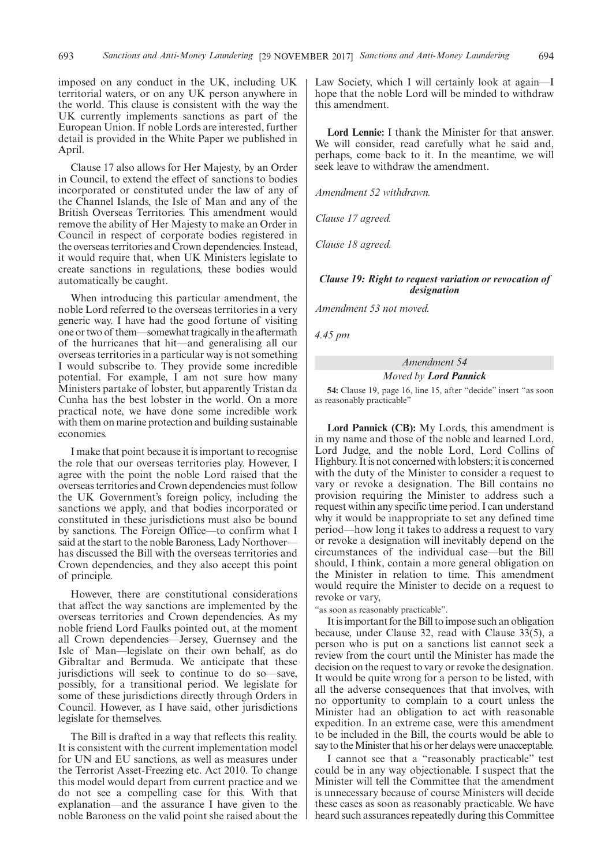imposed on any conduct in the UK, including UK territorial waters, or on any UK person anywhere in the world. This clause is consistent with the way the UK currently implements sanctions as part of the European Union. If noble Lords are interested, further detail is provided in the White Paper we published in April.

Clause 17 also allows for Her Majesty, by an Order in Council, to extend the effect of sanctions to bodies incorporated or constituted under the law of any of the Channel Islands, the Isle of Man and any of the British Overseas Territories. This amendment would remove the ability of Her Majesty to make an Order in Council in respect of corporate bodies registered in the overseas territories and Crown dependencies. Instead, it would require that, when UK Ministers legislate to create sanctions in regulations, these bodies would automatically be caught.

When introducing this particular amendment, the noble Lord referred to the overseas territories in a very generic way. I have had the good fortune of visiting one or two of them—somewhat tragically in the aftermath of the hurricanes that hit—and generalising all our overseas territories in a particular way is not something I would subscribe to. They provide some incredible potential. For example, I am not sure how many Ministers partake of lobster, but apparently Tristan da Cunha has the best lobster in the world. On a more practical note, we have done some incredible work with them on marine protection and building sustainable economies.

I make that point because it is important to recognise the role that our overseas territories play. However, I agree with the point the noble Lord raised that the overseas territories and Crown dependencies must follow the UK Government's foreign policy, including the sanctions we apply, and that bodies incorporated or constituted in these jurisdictions must also be bound by sanctions. The Foreign Office—to confirm what I said at the start to the noble Baroness, Lady Northover has discussed the Bill with the overseas territories and Crown dependencies, and they also accept this point of principle.

However, there are constitutional considerations that affect the way sanctions are implemented by the overseas territories and Crown dependencies. As my noble friend Lord Faulks pointed out, at the moment all Crown dependencies—Jersey, Guernsey and the Isle of Man—legislate on their own behalf, as do Gibraltar and Bermuda. We anticipate that these jurisdictions will seek to continue to do so—save, possibly, for a transitional period. We legislate for some of these jurisdictions directly through Orders in Council. However, as I have said, other jurisdictions legislate for themselves.

The Bill is drafted in a way that reflects this reality. It is consistent with the current implementation model for UN and EU sanctions, as well as measures under the Terrorist Asset-Freezing etc. Act 2010. To change this model would depart from current practice and we do not see a compelling case for this. With that explanation—and the assurance I have given to the noble Baroness on the valid point she raised about the Law Society, which I will certainly look at again—I hope that the noble Lord will be minded to withdraw this amendment.

**Lord Lennie:** I thank the Minister for that answer. We will consider, read carefully what he said and, perhaps, come back to it. In the meantime, we will seek leave to withdraw the amendment.

*Amendment 52 withdrawn.*

*Clause 17 agreed.*

*Clause 18 agreed.*

#### *Clause 19: Right to request variation or revocation of designation*

*Amendment 53 not moved.*

*4.45 pm*

# *Amendment 54 Moved by Lord Pannick*

**54:** Clause 19, page 16, line 15, after "decide" insert "as soon as reasonably practicable"

**Lord Pannick (CB):** My Lords, this amendment is in my name and those of the noble and learned Lord, Lord Judge, and the noble Lord, Lord Collins of Highbury. It is not concerned with lobsters; it is concerned with the duty of the Minister to consider a request to vary or revoke a designation. The Bill contains no provision requiring the Minister to address such a request within any specific time period. I can understand why it would be inappropriate to set any defined time period—how long it takes to address a request to vary or revoke a designation will inevitably depend on the circumstances of the individual case—but the Bill should, I think, contain a more general obligation on the Minister in relation to time. This amendment would require the Minister to decide on a request to revoke or vary,

"as soon as reasonably practicable".

It is important for the Bill to impose such an obligation because, under Clause 32, read with Clause 33(5), a person who is put on a sanctions list cannot seek a review from the court until the Minister has made the decision on the request to vary or revoke the designation. It would be quite wrong for a person to be listed, with all the adverse consequences that that involves, with no opportunity to complain to a court unless the Minister had an obligation to act with reasonable expedition. In an extreme case, were this amendment to be included in the Bill, the courts would be able to say to the Minister that his or her delays were unacceptable.

I cannot see that a "reasonably practicable" test could be in any way objectionable. I suspect that the Minister will tell the Committee that the amendment is unnecessary because of course Ministers will decide these cases as soon as reasonably practicable. We have heard such assurances repeatedly during this Committee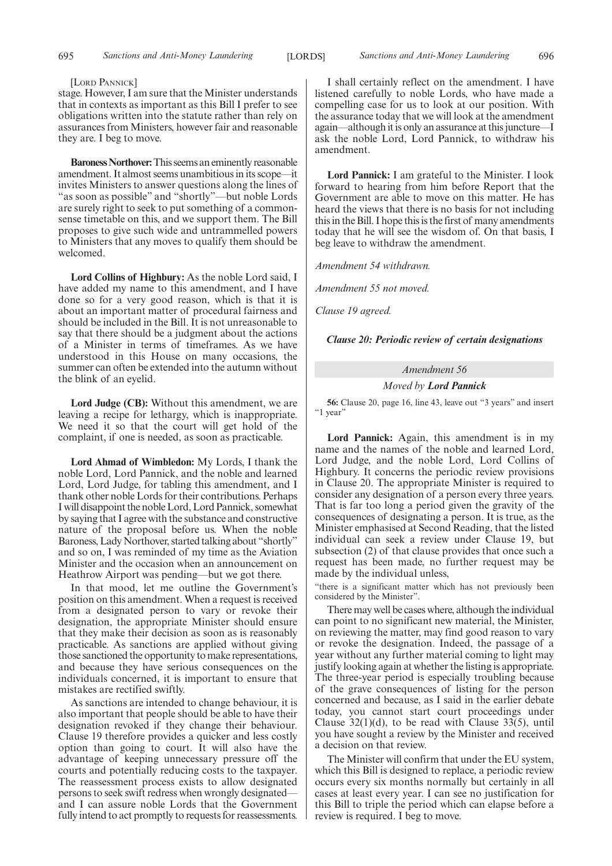#### [LORD PANNICK]

stage. However, I am sure that the Minister understands that in contexts as important as this Bill I prefer to see obligations written into the statute rather than rely on assurances from Ministers, however fair and reasonable they are. I beg to move.

**Baroness Northover:**This seems an eminently reasonable amendment. It almost seems unambitious in its scope—it invites Ministers to answer questions along the lines of "as soon as possible" and "shortly"—but noble Lords are surely right to seek to put something of a commonsense timetable on this, and we support them. The Bill proposes to give such wide and untrammelled powers to Ministers that any moves to qualify them should be welcomed.

**Lord Collins of Highbury:** As the noble Lord said, I have added my name to this amendment, and I have done so for a very good reason, which is that it is about an important matter of procedural fairness and should be included in the Bill. It is not unreasonable to say that there should be a judgment about the actions of a Minister in terms of timeframes. As we have understood in this House on many occasions, the summer can often be extended into the autumn without the blink of an eyelid.

**Lord Judge (CB):** Without this amendment, we are leaving a recipe for lethargy, which is inappropriate. We need it so that the court will get hold of the complaint, if one is needed, as soon as practicable.

**Lord Ahmad of Wimbledon:** My Lords, I thank the noble Lord, Lord Pannick, and the noble and learned Lord, Lord Judge, for tabling this amendment, and I thank other noble Lords for their contributions. Perhaps I will disappoint the noble Lord, Lord Pannick, somewhat by saying that I agree with the substance and constructive nature of the proposal before us. When the noble Baroness, Lady Northover, started talking about "shortly" and so on, I was reminded of my time as the Aviation Minister and the occasion when an announcement on Heathrow Airport was pending—but we got there.

In that mood, let me outline the Government's position on this amendment. When a request is received from a designated person to vary or revoke their designation, the appropriate Minister should ensure that they make their decision as soon as is reasonably practicable. As sanctions are applied without giving those sanctioned the opportunity to make representations, and because they have serious consequences on the individuals concerned, it is important to ensure that mistakes are rectified swiftly.

As sanctions are intended to change behaviour, it is also important that people should be able to have their designation revoked if they change their behaviour. Clause 19 therefore provides a quicker and less costly option than going to court. It will also have the advantage of keeping unnecessary pressure off the courts and potentially reducing costs to the taxpayer. The reassessment process exists to allow designated persons to seek swift redress when wrongly designated and I can assure noble Lords that the Government fully intend to act promptly to requests for reassessments.

I shall certainly reflect on the amendment. I have listened carefully to noble Lords, who have made a compelling case for us to look at our position. With the assurance today that we will look at the amendment again—although it is only an assurance at this juncture—I ask the noble Lord, Lord Pannick, to withdraw his amendment.

**Lord Pannick:** I am grateful to the Minister. I look forward to hearing from him before Report that the Government are able to move on this matter. He has heard the views that there is no basis for not including this in the Bill. I hope this is the first of many amendments today that he will see the wisdom of. On that basis, I beg leave to withdraw the amendment.

*Amendment 54 withdrawn.*

*Amendment 55 not moved.*

*Clause 19 agreed.*

*Clause 20: Periodic review of certain designations*

# *Amendment 56*

*Moved by Lord Pannick*

**56:** Clause 20, page 16, line 43, leave out "3 years" and insert "1 year"

**Lord Pannick:** Again, this amendment is in my name and the names of the noble and learned Lord, Lord Judge, and the noble Lord, Lord Collins of Highbury. It concerns the periodic review provisions in Clause 20. The appropriate Minister is required to consider any designation of a person every three years. That is far too long a period given the gravity of the consequences of designating a person. It is true, as the Minister emphasised at Second Reading, that the listed individual can seek a review under Clause 19, but subsection (2) of that clause provides that once such a request has been made, no further request may be made by the individual unless,

"there is a significant matter which has not previously been considered by the Minister".

There may well be cases where, although the individual can point to no significant new material, the Minister, on reviewing the matter, may find good reason to vary or revoke the designation. Indeed, the passage of a year without any further material coming to light may justify looking again at whether the listing is appropriate. The three-year period is especially troubling because of the grave consequences of listing for the person concerned and because, as I said in the earlier debate today, you cannot start court proceedings under Clause  $32(1)(d)$ , to be read with Clause  $33(5)$ , until you have sought a review by the Minister and received a decision on that review.

The Minister will confirm that under the EU system, which this Bill is designed to replace, a periodic review occurs every six months normally but certainly in all cases at least every year. I can see no justification for this Bill to triple the period which can elapse before a review is required. I beg to move.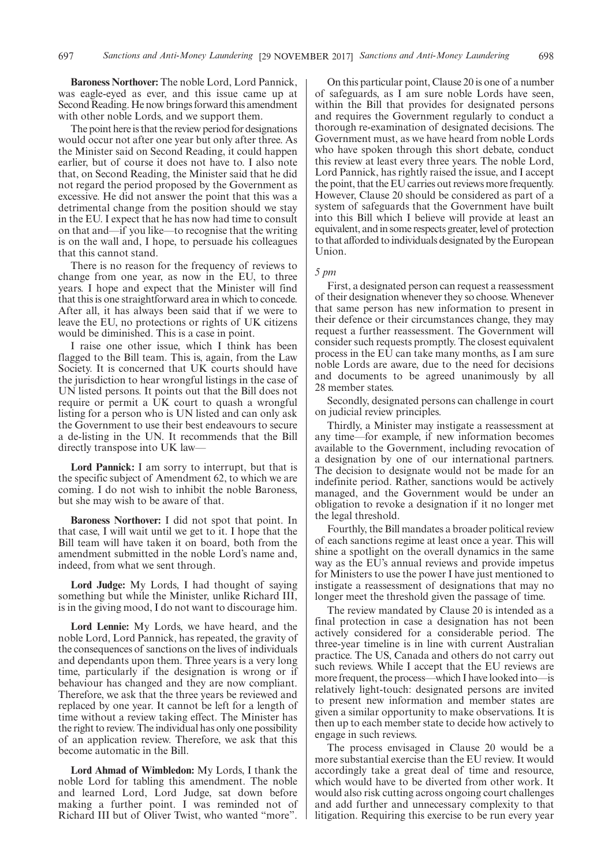**Baroness Northover:** The noble Lord, Lord Pannick, was eagle-eyed as ever, and this issue came up at Second Reading. He now brings forward this amendment with other noble Lords, and we support them.

The point here is that the review period for designations would occur not after one year but only after three. As the Minister said on Second Reading, it could happen earlier, but of course it does not have to. I also note that, on Second Reading, the Minister said that he did not regard the period proposed by the Government as excessive. He did not answer the point that this was a detrimental change from the position should we stay in the EU. I expect that he has now had time to consult on that and—if you like—to recognise that the writing is on the wall and, I hope, to persuade his colleagues that this cannot stand.

There is no reason for the frequency of reviews to change from one year, as now in the EU, to three years. I hope and expect that the Minister will find that this is one straightforward area in which to concede. After all, it has always been said that if we were to leave the EU, no protections or rights of UK citizens would be diminished. This is a case in point.

I raise one other issue, which I think has been flagged to the Bill team. This is, again, from the Law Society. It is concerned that UK courts should have the jurisdiction to hear wrongful listings in the case of UN listed persons. It points out that the Bill does not require or permit a UK court to quash a wrongful listing for a person who is UN listed and can only ask the Government to use their best endeavours to secure a de-listing in the UN. It recommends that the Bill directly transpose into UK law—

**Lord Pannick:** I am sorry to interrupt, but that is the specific subject of Amendment 62, to which we are coming. I do not wish to inhibit the noble Baroness, but she may wish to be aware of that.

**Baroness Northover:** I did not spot that point. In that case, I will wait until we get to it. I hope that the Bill team will have taken it on board, both from the amendment submitted in the noble Lord's name and, indeed, from what we sent through.

**Lord Judge:** My Lords, I had thought of saying something but while the Minister, unlike Richard III, is in the giving mood, I do not want to discourage him.

**Lord Lennie:** My Lords, we have heard, and the noble Lord, Lord Pannick, has repeated, the gravity of the consequences of sanctions on the lives of individuals and dependants upon them. Three years is a very long time, particularly if the designation is wrong or if behaviour has changed and they are now compliant. Therefore, we ask that the three years be reviewed and replaced by one year. It cannot be left for a length of time without a review taking effect. The Minister has the right to review. The individual has only one possibility of an application review. Therefore, we ask that this become automatic in the Bill.

**Lord Ahmad of Wimbledon:** My Lords, I thank the noble Lord for tabling this amendment. The noble and learned Lord, Lord Judge, sat down before making a further point. I was reminded not of Richard III but of Oliver Twist, who wanted "more".

On this particular point, Clause 20 is one of a number of safeguards, as I am sure noble Lords have seen, within the Bill that provides for designated persons and requires the Government regularly to conduct a thorough re-examination of designated decisions. The Government must, as we have heard from noble Lords who have spoken through this short debate, conduct this review at least every three years. The noble Lord, Lord Pannick, has rightly raised the issue, and I accept the point, that the EU carries out reviews more frequently. However, Clause 20 should be considered as part of a system of safeguards that the Government have built into this Bill which I believe will provide at least an equivalent, and in some respects greater, level of protection to that afforded to individuals designated by the European Union.

#### *5 pm*

First, a designated person can request a reassessment of their designation whenever they so choose. Whenever that same person has new information to present in their defence or their circumstances change, they may request a further reassessment. The Government will consider such requests promptly. The closest equivalent process in the EU can take many months, as I am sure noble Lords are aware, due to the need for decisions and documents to be agreed unanimously by all 28 member states.

Secondly, designated persons can challenge in court on judicial review principles.

Thirdly, a Minister may instigate a reassessment at any time—for example, if new information becomes available to the Government, including revocation of a designation by one of our international partners. The decision to designate would not be made for an indefinite period. Rather, sanctions would be actively managed, and the Government would be under an obligation to revoke a designation if it no longer met the legal threshold.

Fourthly, the Bill mandates a broader political review of each sanctions regime at least once a year. This will shine a spotlight on the overall dynamics in the same way as the EU's annual reviews and provide impetus for Ministers to use the power I have just mentioned to instigate a reassessment of designations that may no longer meet the threshold given the passage of time.

The review mandated by Clause 20 is intended as a final protection in case a designation has not been actively considered for a considerable period. The three-year timeline is in line with current Australian practice. The US, Canada and others do not carry out such reviews. While I accept that the EU reviews are more frequent, the process—which I have looked into—is relatively light-touch: designated persons are invited to present new information and member states are given a similar opportunity to make observations. It is then up to each member state to decide how actively to engage in such reviews.

The process envisaged in Clause 20 would be a more substantial exercise than the EU review. It would accordingly take a great deal of time and resource, which would have to be diverted from other work. It would also risk cutting across ongoing court challenges and add further and unnecessary complexity to that litigation. Requiring this exercise to be run every year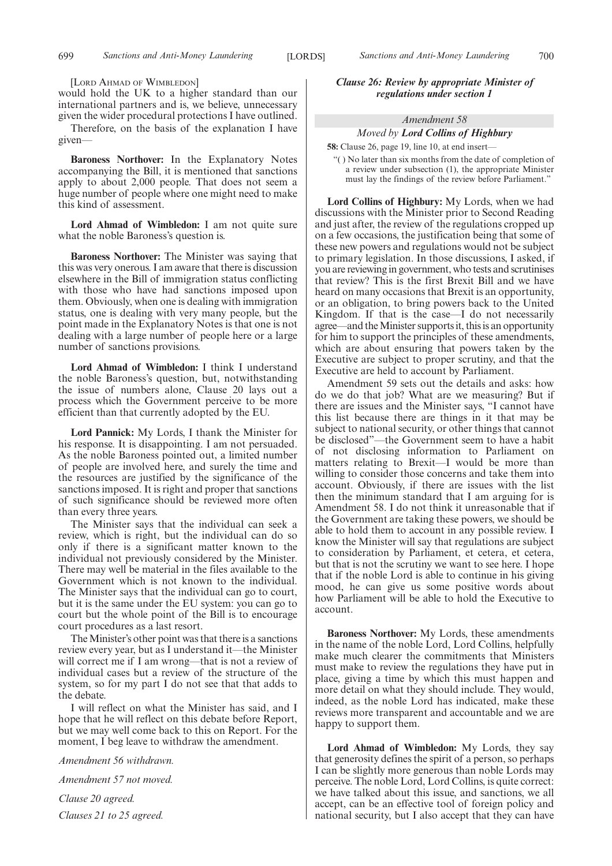[LORD AHMAD OF WIMBLEDON]

would hold the UK to a higher standard than our international partners and is, we believe, unnecessary given the wider procedural protections I have outlined.

Therefore, on the basis of the explanation I have given—

**Baroness Northover:** In the Explanatory Notes accompanying the Bill, it is mentioned that sanctions apply to about 2,000 people. That does not seem a huge number of people where one might need to make this kind of assessment.

**Lord Ahmad of Wimbledon:** I am not quite sure what the noble Baroness's question is.

**Baroness Northover:** The Minister was saying that this was very onerous. I am aware that there is discussion elsewhere in the Bill of immigration status conflicting with those who have had sanctions imposed upon them. Obviously, when one is dealing with immigration status, one is dealing with very many people, but the point made in the Explanatory Notes is that one is not dealing with a large number of people here or a large number of sanctions provisions.

**Lord Ahmad of Wimbledon:** I think I understand the noble Baroness's question, but, notwithstanding the issue of numbers alone, Clause 20 lays out a process which the Government perceive to be more efficient than that currently adopted by the EU.

**Lord Pannick:** My Lords, I thank the Minister for his response. It is disappointing. I am not persuaded. As the noble Baroness pointed out, a limited number of people are involved here, and surely the time and the resources are justified by the significance of the sanctions imposed. It is right and proper that sanctions of such significance should be reviewed more often than every three years.

The Minister says that the individual can seek a review, which is right, but the individual can do so only if there is a significant matter known to the individual not previously considered by the Minister. There may well be material in the files available to the Government which is not known to the individual. The Minister says that the individual can go to court, but it is the same under the EU system: you can go to court but the whole point of the Bill is to encourage court procedures as a last resort.

The Minister's other point was that there is a sanctions review every year, but as I understand it—the Minister will correct me if I am wrong—that is not a review of individual cases but a review of the structure of the system, so for my part I do not see that that adds to the debate.

I will reflect on what the Minister has said, and I hope that he will reflect on this debate before Report, but we may well come back to this on Report. For the moment, I beg leave to withdraw the amendment.

*Amendment 56 withdrawn.*

*Amendment 57 not moved.*

*Clause 20 agreed. Clauses 21 to 25 agreed.* *Clause 26: Review by appropriate Minister of regulations under section 1*

## *Amendment 58 Moved by Lord Collins of Highbury*

**58:** Clause 26, page 19, line 10, at end insert—

"( ) No later than six months from the date of completion of a review under subsection (1), the appropriate Minister must lay the findings of the review before Parliament."

**Lord Collins of Highbury:** My Lords, when we had discussions with the Minister prior to Second Reading and just after, the review of the regulations cropped up on a few occasions, the justification being that some of these new powers and regulations would not be subject to primary legislation. In those discussions, I asked, if you are reviewing in government, who tests and scrutinises that review? This is the first Brexit Bill and we have heard on many occasions that Brexit is an opportunity, or an obligation, to bring powers back to the United Kingdom. If that is the case—I do not necessarily agree—and the Minister supports it, this is an opportunity for him to support the principles of these amendments, which are about ensuring that powers taken by the Executive are subject to proper scrutiny, and that the Executive are held to account by Parliament.

Amendment 59 sets out the details and asks: how do we do that job? What are we measuring? But if there are issues and the Minister says, "I cannot have this list because there are things in it that may be subject to national security, or other things that cannot be disclosed"—the Government seem to have a habit of not disclosing information to Parliament on matters relating to Brexit—I would be more than willing to consider those concerns and take them into account. Obviously, if there are issues with the list then the minimum standard that I am arguing for is Amendment 58. I do not think it unreasonable that if the Government are taking these powers, we should be able to hold them to account in any possible review. I know the Minister will say that regulations are subject to consideration by Parliament, et cetera, et cetera, but that is not the scrutiny we want to see here. I hope that if the noble Lord is able to continue in his giving mood, he can give us some positive words about how Parliament will be able to hold the Executive to account.

**Baroness Northover:** My Lords, these amendments in the name of the noble Lord, Lord Collins, helpfully make much clearer the commitments that Ministers must make to review the regulations they have put in place, giving a time by which this must happen and more detail on what they should include. They would, indeed, as the noble Lord has indicated, make these reviews more transparent and accountable and we are happy to support them.

**Lord Ahmad of Wimbledon:** My Lords, they say that generosity defines the spirit of a person, so perhaps I can be slightly more generous than noble Lords may perceive. The noble Lord, Lord Collins, is quite correct: we have talked about this issue, and sanctions, we all accept, can be an effective tool of foreign policy and national security, but I also accept that they can have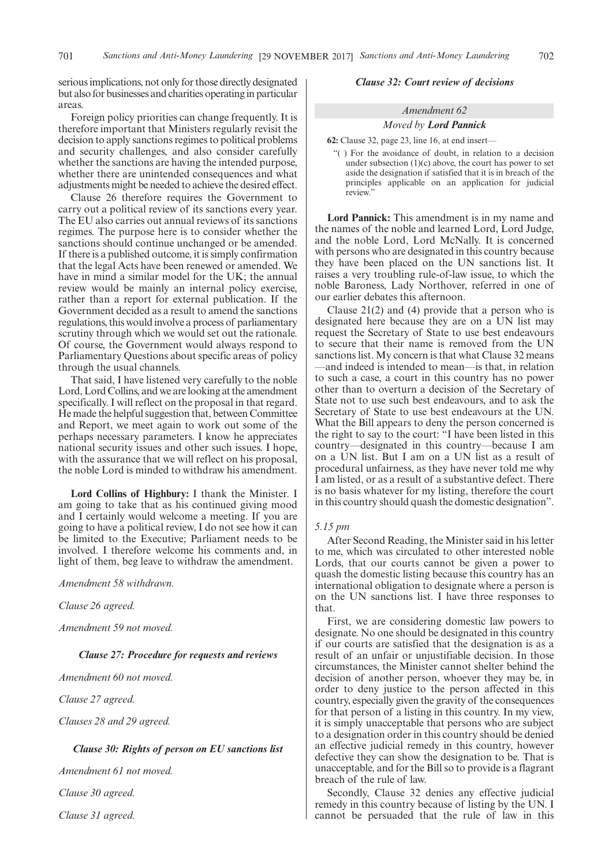serious implications, not only for those directly designated but also for businesses and charities operating in particular areas.

Foreign policy priorities can change frequently. It is therefore important that Ministers regularly revisit the decision to apply sanctions regimes to political problems and security challenges, and also consider carefully whether the sanctions are having the intended purpose, whether there are unintended consequences and what adjustments might be needed to achieve the desired effect.

Clause 26 therefore requires the Government to carry out a political review of its sanctions every year. The EU also carries out annual reviews of its sanctions regimes. The purpose here is to consider whether the sanctions should continue unchanged or be amended. If there is a published outcome, it is simply confirmation that the legal Acts have been renewed or amended. We have in mind a similar model for the UK; the annual review would be mainly an internal policy exercise, rather than a report for external publication. If the Government decided as a result to amend the sanctions regulations, this would involve a process of parliamentary scrutiny through which we would set out the rationale. Of course, the Government would always respond to Parliamentary Questions about specific areas of policy through the usual channels.

That said, I have listened very carefully to the noble Lord, Lord Collins, and we are looking at the amendment specifically. I will reflect on the proposal in that regard. He made the helpful suggestion that, between Committee and Report, we meet again to work out some of the perhaps necessary parameters. I know he appreciates national security issues and other such issues. I hope, with the assurance that we will reflect on his proposal. the noble Lord is minded to withdraw his amendment.

**Lord Collins of Highbury:** I thank the Minister. I am going to take that as his continued giving mood and I certainly would welcome a meeting. If you are going to have a political review, I do not see how it can be limited to the Executive; Parliament needs to be involved. I therefore welcome his comments and, in light of them, beg leave to withdraw the amendment.

*Amendment 58 withdrawn.*

*Clause 26 agreed.*

*Amendment 59 not moved.*

#### *Clause 27: Procedure for requests and reviews*

*Amendment 60 not moved.*

*Clause 27 agreed.*

*Clauses 28 and 29 agreed.*

#### *Clause 30: Rights of person on EU sanctions list*

*Amendment 61 not moved.*

*Clause 30 agreed.*

*Clause 31 agreed.*

#### *Clause 32: Court review of decisions*

# *Amendment 62 Moved by Lord Pannick*

**62:** Clause 32, page 23, line 16, at end insert—

"( ) For the avoidance of doubt, in relation to a decision under subsection (1)(c) above, the court has power to set aside the designation if satisfied that it is in breach of the principles applicable on an application for judicial review."

**Lord Pannick:** This amendment is in my name and the names of the noble and learned Lord, Lord Judge, and the noble Lord, Lord McNally. It is concerned with persons who are designated in this country because they have been placed on the UN sanctions list. It raises a very troubling rule-of-law issue, to which the noble Baroness, Lady Northover, referred in one of our earlier debates this afternoon.

Clause 21(2) and (4) provide that a person who is designated here because they are on a UN list may request the Secretary of State to use best endeavours to secure that their name is removed from the UN sanctions list. My concern is that what Clause 32 means —and indeed is intended to mean—is that, in relation to such a case, a court in this country has no power other than to overturn a decision of the Secretary of State not to use such best endeavours, and to ask the Secretary of State to use best endeavours at the UN. What the Bill appears to deny the person concerned is the right to say to the court: "I have been listed in this country—designated in this country—because I am on a UN list. But I am on a UN list as a result of procedural unfairness, as they have never told me why I am listed, or as a result of a substantive defect. There is no basis whatever for my listing, therefore the court in this country should quash the domestic designation".

#### *5.15 pm*

After Second Reading, the Minister said in his letter to me, which was circulated to other interested noble Lords, that our courts cannot be given a power to quash the domestic listing because this country has an international obligation to designate where a person is on the UN sanctions list. I have three responses to that.

First, we are considering domestic law powers to designate. No one should be designated in this country if our courts are satisfied that the designation is as a result of an unfair or unjustifiable decision. In those circumstances, the Minister cannot shelter behind the decision of another person, whoever they may be, in order to deny justice to the person affected in this country, especially given the gravity of the consequences for that person of a listing in this country. In my view, it is simply unacceptable that persons who are subject to a designation order in this country should be denied an effective judicial remedy in this country, however defective they can show the designation to be. That is unacceptable, and for the Bill so to provide is a flagrant breach of the rule of law.

Secondly, Clause 32 denies any effective judicial remedy in this country because of listing by the UN. I cannot be persuaded that the rule of law in this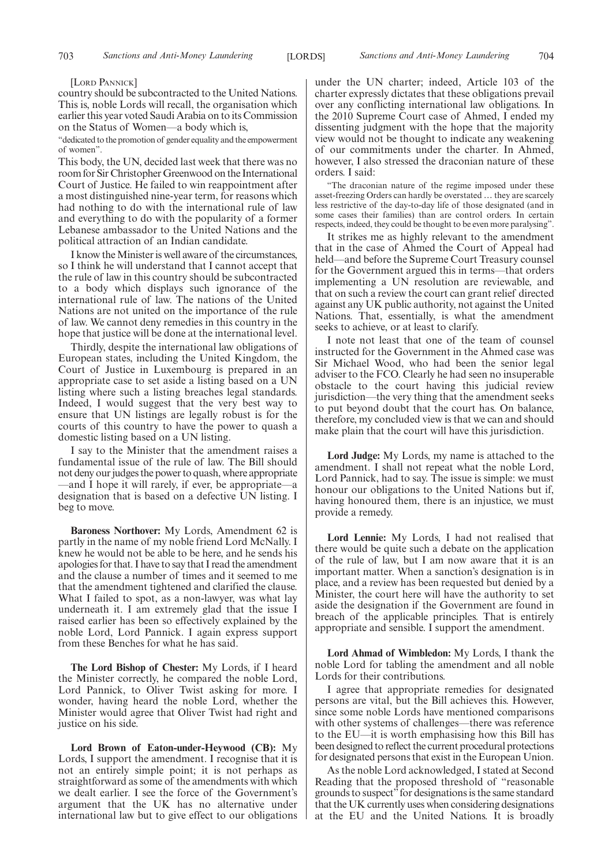#### [LORD PANNICK]

country should be subcontracted to the United Nations. This is, noble Lords will recall, the organisation which earlier this year voted Saudi Arabia on to its Commission on the Status of Women—a body which is,

"dedicated to the promotion of gender equality and the empowerment of women".

This body, the UN, decided last week that there was no room for Sir Christopher Greenwood on the International Court of Justice. He failed to win reappointment after a most distinguished nine-year term, for reasons which had nothing to do with the international rule of law and everything to do with the popularity of a former Lebanese ambassador to the United Nations and the political attraction of an Indian candidate.

I know the Minister is well aware of the circumstances, so I think he will understand that I cannot accept that the rule of law in this country should be subcontracted to a body which displays such ignorance of the international rule of law. The nations of the United Nations are not united on the importance of the rule of law. We cannot deny remedies in this country in the hope that justice will be done at the international level.

Thirdly, despite the international law obligations of European states, including the United Kingdom, the Court of Justice in Luxembourg is prepared in an appropriate case to set aside a listing based on a UN listing where such a listing breaches legal standards. Indeed, I would suggest that the very best way to ensure that UN listings are legally robust is for the courts of this country to have the power to quash a domestic listing based on a UN listing.

I say to the Minister that the amendment raises a fundamental issue of the rule of law. The Bill should not deny our judges the power to quash, where appropriate —and I hope it will rarely, if ever, be appropriate—a designation that is based on a defective UN listing. I beg to move.

**Baroness Northover:** My Lords, Amendment 62 is partly in the name of my noble friend Lord McNally. I knew he would not be able to be here, and he sends his apologies for that. I have to say that I read the amendment and the clause a number of times and it seemed to me that the amendment tightened and clarified the clause. What I failed to spot, as a non-lawyer, was what lay underneath it. I am extremely glad that the issue I raised earlier has been so effectively explained by the noble Lord, Lord Pannick. I again express support from these Benches for what he has said.

**The Lord Bishop of Chester:** My Lords, if I heard the Minister correctly, he compared the noble Lord, Lord Pannick, to Oliver Twist asking for more. I wonder, having heard the noble Lord, whether the Minister would agree that Oliver Twist had right and justice on his side.

**Lord Brown of Eaton-under-Heywood (CB):** My Lords, I support the amendment. I recognise that it is not an entirely simple point; it is not perhaps as straightforward as some of the amendments with which we dealt earlier. I see the force of the Government's argument that the UK has no alternative under international law but to give effect to our obligations

under the UN charter; indeed, Article 103 of the charter expressly dictates that these obligations prevail over any conflicting international law obligations. In the 2010 Supreme Court case of Ahmed, I ended my dissenting judgment with the hope that the majority view would not be thought to indicate any weakening of our commitments under the charter. In Ahmed, however, I also stressed the draconian nature of these orders. I said:

"The draconian nature of the regime imposed under these asset-freezing Orders can hardly be overstated … they are scarcely less restrictive of the day-to-day life of those designated (and in some cases their families) than are control orders. In certain respects, indeed, they could be thought to be even more paralysing".

It strikes me as highly relevant to the amendment that in the case of Ahmed the Court of Appeal had held—and before the Supreme Court Treasury counsel for the Government argued this in terms—that orders implementing a UN resolution are reviewable, and that on such a review the court can grant relief directed against any UK public authority, not against the United Nations. That, essentially, is what the amendment seeks to achieve, or at least to clarify.

I note not least that one of the team of counsel instructed for the Government in the Ahmed case was Sir Michael Wood, who had been the senior legal adviser to the FCO. Clearly he had seen no insuperable obstacle to the court having this judicial review jurisdiction—the very thing that the amendment seeks to put beyond doubt that the court has. On balance, therefore, my concluded view is that we can and should make plain that the court will have this jurisdiction.

**Lord Judge:** My Lords, my name is attached to the amendment. I shall not repeat what the noble Lord, Lord Pannick, had to say. The issue is simple: we must honour our obligations to the United Nations but if, having honoured them, there is an injustice, we must provide a remedy.

**Lord Lennie:** My Lords, I had not realised that there would be quite such a debate on the application of the rule of law, but I am now aware that it is an important matter. When a sanction's designation is in place, and a review has been requested but denied by a Minister, the court here will have the authority to set aside the designation if the Government are found in breach of the applicable principles. That is entirely appropriate and sensible. I support the amendment.

**Lord Ahmad of Wimbledon:** My Lords, I thank the noble Lord for tabling the amendment and all noble Lords for their contributions.

I agree that appropriate remedies for designated persons are vital, but the Bill achieves this. However, since some noble Lords have mentioned comparisons with other systems of challenges—there was reference to the EU—it is worth emphasising how this Bill has been designed to reflect the current procedural protections for designated persons that exist in the European Union.

As the noble Lord acknowledged, I stated at Second Reading that the proposed threshold of "reasonable grounds to suspect"for designations is the same standard that the UK currently uses when considering designations at the EU and the United Nations. It is broadly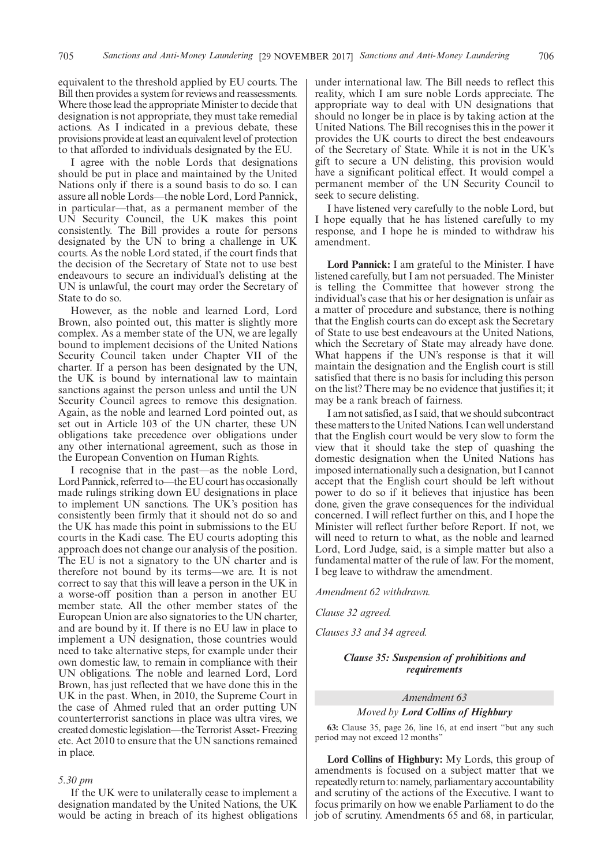equivalent to the threshold applied by EU courts. The Bill then provides a system for reviews and reassessments. Where those lead the appropriate Minister to decide that designation is not appropriate, they must take remedial actions. As I indicated in a previous debate, these provisions provide at least an equivalent level of protection to that afforded to individuals designated by the EU.

I agree with the noble Lords that designations should be put in place and maintained by the United Nations only if there is a sound basis to do so. I can assure all noble Lords—the noble Lord, Lord Pannick, in particular—that, as a permanent member of the UN Security Council, the UK makes this point consistently. The Bill provides a route for persons designated by the UN to bring a challenge in UK courts. As the noble Lord stated, if the court finds that the decision of the Secretary of State not to use best endeavours to secure an individual's delisting at the UN is unlawful, the court may order the Secretary of State to do so.

However, as the noble and learned Lord, Lord Brown, also pointed out, this matter is slightly more complex. As a member state of the UN, we are legally bound to implement decisions of the United Nations Security Council taken under Chapter VII of the charter. If a person has been designated by the UN, the UK is bound by international law to maintain sanctions against the person unless and until the UN Security Council agrees to remove this designation. Again, as the noble and learned Lord pointed out, as set out in Article 103 of the UN charter, these UN obligations take precedence over obligations under any other international agreement, such as those in the European Convention on Human Rights.

I recognise that in the past—as the noble Lord, Lord Pannick, referred to—the EU court has occasionally made rulings striking down EU designations in place to implement UN sanctions. The UK's position has consistently been firmly that it should not do so and the UK has made this point in submissions to the EU courts in the Kadi case. The EU courts adopting this approach does not change our analysis of the position. The EU is not a signatory to the UN charter and is therefore not bound by its terms—we are. It is not correct to say that this will leave a person in the UK in a worse-off position than a person in another EU member state. All the other member states of the European Union are also signatories to the UN charter, and are bound by it. If there is no EU law in place to implement a UN designation, those countries would need to take alternative steps, for example under their own domestic law, to remain in compliance with their UN obligations. The noble and learned Lord, Lord Brown, has just reflected that we have done this in the UK in the past. When, in 2010, the Supreme Court in the case of Ahmed ruled that an order putting UN counterterrorist sanctions in place was ultra vires, we created domestic legislation—the Terrorist Asset- Freezing etc. Act 2010 to ensure that the UN sanctions remained in place.

#### *5.30 pm*

If the UK were to unilaterally cease to implement a designation mandated by the United Nations, the UK would be acting in breach of its highest obligations under international law. The Bill needs to reflect this reality, which I am sure noble Lords appreciate. The appropriate way to deal with UN designations that should no longer be in place is by taking action at the United Nations. The Bill recognises this in the power it provides the UK courts to direct the best endeavours of the Secretary of State. While it is not in the UK's gift to secure a UN delisting, this provision would have a significant political effect. It would compel a permanent member of the UN Security Council to seek to secure delisting.

I have listened very carefully to the noble Lord, but I hope equally that he has listened carefully to my response, and I hope he is minded to withdraw his amendment.

**Lord Pannick:** I am grateful to the Minister. I have listened carefully, but I am not persuaded. The Minister is telling the Committee that however strong the individual's case that his or her designation is unfair as a matter of procedure and substance, there is nothing that the English courts can do except ask the Secretary of State to use best endeavours at the United Nations, which the Secretary of State may already have done. What happens if the UN's response is that it will maintain the designation and the English court is still satisfied that there is no basis for including this person on the list? There may be no evidence that justifies it; it may be a rank breach of fairness.

I am not satisfied, as I said, that we should subcontract these matters to the United Nations. I can well understand that the English court would be very slow to form the view that it should take the step of quashing the domestic designation when the United Nations has imposed internationally such a designation, but I cannot accept that the English court should be left without power to do so if it believes that injustice has been done, given the grave consequences for the individual concerned. I will reflect further on this, and I hope the Minister will reflect further before Report. If not, we will need to return to what, as the noble and learned Lord, Lord Judge, said, is a simple matter but also a fundamental matter of the rule of law. For the moment, I beg leave to withdraw the amendment.

*Amendment 62 withdrawn.*

*Clause 32 agreed.*

*Clauses 33 and 34 agreed.*

#### *Clause 35: Suspension of prohibitions and requirements*

### *Amendment 63*

#### *Moved by Lord Collins of Highbury*

**63:** Clause 35, page 26, line 16, at end insert "but any such period may not exceed 12 months"

**Lord Collins of Highbury:** My Lords, this group of amendments is focused on a subject matter that we repeatedly return to: namely, parliamentary accountability and scrutiny of the actions of the Executive. I want to focus primarily on how we enable Parliament to do the job of scrutiny. Amendments 65 and 68, in particular,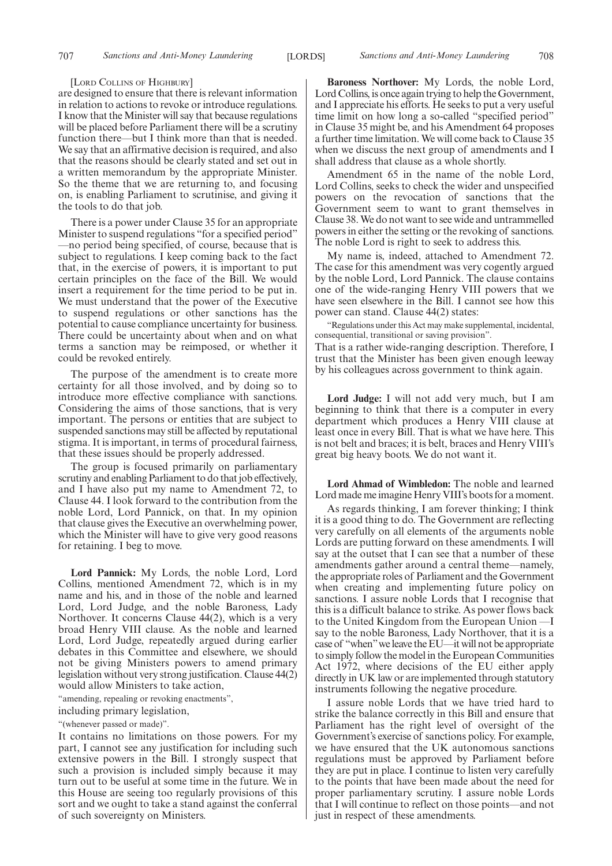#### [LORD COLLINS OF HIGHBURY]

are designed to ensure that there is relevant information in relation to actions to revoke or introduce regulations. I know that the Minister will say that because regulations will be placed before Parliament there will be a scrutiny function there—but I think more than that is needed. We say that an affirmative decision is required, and also that the reasons should be clearly stated and set out in a written memorandum by the appropriate Minister. So the theme that we are returning to, and focusing on, is enabling Parliament to scrutinise, and giving it the tools to do that job.

There is a power under Clause 35 for an appropriate Minister to suspend regulations "for a specified period" —no period being specified, of course, because that is subject to regulations. I keep coming back to the fact that, in the exercise of powers, it is important to put certain principles on the face of the Bill. We would insert a requirement for the time period to be put in. We must understand that the power of the Executive to suspend regulations or other sanctions has the potential to cause compliance uncertainty for business. There could be uncertainty about when and on what terms a sanction may be reimposed, or whether it could be revoked entirely.

The purpose of the amendment is to create more certainty for all those involved, and by doing so to introduce more effective compliance with sanctions. Considering the aims of those sanctions, that is very important. The persons or entities that are subject to suspended sanctions may still be affected by reputational stigma. It is important, in terms of procedural fairness, that these issues should be properly addressed.

The group is focused primarily on parliamentary scrutiny and enabling Parliament to do that job effectively, and I have also put my name to Amendment 72, to Clause 44. I look forward to the contribution from the noble Lord, Lord Pannick, on that. In my opinion that clause gives the Executive an overwhelming power, which the Minister will have to give very good reasons for retaining. I beg to move.

**Lord Pannick:** My Lords, the noble Lord, Lord Collins, mentioned Amendment 72, which is in my name and his, and in those of the noble and learned Lord, Lord Judge, and the noble Baroness, Lady Northover. It concerns Clause 44(2), which is a very broad Henry VIII clause. As the noble and learned Lord, Lord Judge, repeatedly argued during earlier debates in this Committee and elsewhere, we should not be giving Ministers powers to amend primary legislation without very strong justification. Clause 44(2) would allow Ministers to take action,

"amending, repealing or revoking enactments",

including primary legislation,

"(whenever passed or made)".

It contains no limitations on those powers. For my part, I cannot see any justification for including such extensive powers in the Bill. I strongly suspect that such a provision is included simply because it may turn out to be useful at some time in the future. We in this House are seeing too regularly provisions of this sort and we ought to take a stand against the conferral of such sovereignty on Ministers.

**Baroness Northover:** My Lords, the noble Lord, Lord Collins, is once again trying to help the Government, and I appreciate his efforts. He seeks to put a very useful time limit on how long a so-called "specified period" in Clause 35 might be, and his Amendment 64 proposes a further time limitation. We will come back to Clause 35 when we discuss the next group of amendments and I shall address that clause as a whole shortly.

Amendment 65 in the name of the noble Lord, Lord Collins, seeks to check the wider and unspecified powers on the revocation of sanctions that the Government seem to want to grant themselves in Clause 38. We do not want to see wide and untrammelled powers in either the setting or the revoking of sanctions. The noble Lord is right to seek to address this.

My name is, indeed, attached to Amendment 72. The case for this amendment was very cogently argued by the noble Lord, Lord Pannick. The clause contains one of the wide-ranging Henry VIII powers that we have seen elsewhere in the Bill. I cannot see how this power can stand. Clause 44(2) states:

"Regulations under this Act may make supplemental, incidental, consequential, transitional or saving provision".

That is a rather wide-ranging description. Therefore, I trust that the Minister has been given enough leeway by his colleagues across government to think again.

**Lord Judge:** I will not add very much, but I am beginning to think that there is a computer in every department which produces a Henry VIII clause at least once in every Bill. That is what we have here. This is not belt and braces; it is belt, braces and Henry VIII's great big heavy boots. We do not want it.

**Lord Ahmad of Wimbledon:** The noble and learned Lord made me imagine Henry VIII's boots for a moment.

As regards thinking, I am forever thinking; I think it is a good thing to do. The Government are reflecting very carefully on all elements of the arguments noble Lords are putting forward on these amendments. I will say at the outset that I can see that a number of these amendments gather around a central theme—namely, the appropriate roles of Parliament and the Government when creating and implementing future policy on sanctions. I assure noble Lords that I recognise that this is a difficult balance to strike. As power flows back to the United Kingdom from the European Union —I say to the noble Baroness, Lady Northover, that it is a case of "when"we leave the EU—it will not be appropriate to simply follow the model in the European Communities Act 1972, where decisions of the EU either apply directly in UK law or are implemented through statutory instruments following the negative procedure.

I assure noble Lords that we have tried hard to strike the balance correctly in this Bill and ensure that Parliament has the right level of oversight of the Government's exercise of sanctions policy. For example, we have ensured that the UK autonomous sanctions regulations must be approved by Parliament before they are put in place. I continue to listen very carefully to the points that have been made about the need for proper parliamentary scrutiny. I assure noble Lords that I will continue to reflect on those points—and not just in respect of these amendments.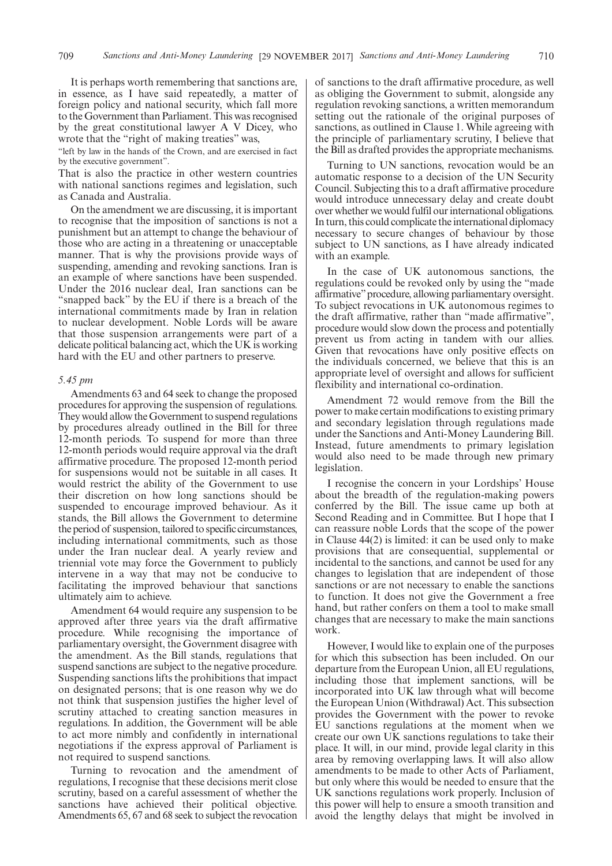It is perhaps worth remembering that sanctions are, in essence, as I have said repeatedly, a matter of foreign policy and national security, which fall more to the Government than Parliament. This was recognised by the great constitutional lawyer A V Dicey, who wrote that the "right of making treaties" was,

"left by law in the hands of the Crown, and are exercised in fact by the executive government".

That is also the practice in other western countries with national sanctions regimes and legislation, such as Canada and Australia.

On the amendment we are discussing, it is important to recognise that the imposition of sanctions is not a punishment but an attempt to change the behaviour of those who are acting in a threatening or unacceptable manner. That is why the provisions provide ways of suspending, amending and revoking sanctions. Iran is an example of where sanctions have been suspended. Under the 2016 nuclear deal, Iran sanctions can be "snapped back" by the EU if there is a breach of the international commitments made by Iran in relation to nuclear development. Noble Lords will be aware that those suspension arrangements were part of a delicate political balancing act, which the UK is working hard with the EU and other partners to preserve.

#### *5.45 pm*

Amendments 63 and 64 seek to change the proposed procedures for approving the suspension of regulations. They would allow the Government to suspend regulations by procedures already outlined in the Bill for three 12-month periods. To suspend for more than three 12-month periods would require approval via the draft affirmative procedure. The proposed 12-month period for suspensions would not be suitable in all cases. It would restrict the ability of the Government to use their discretion on how long sanctions should be suspended to encourage improved behaviour. As it stands, the Bill allows the Government to determine the period of suspension, tailored to specific circumstances, including international commitments, such as those under the Iran nuclear deal. A yearly review and triennial vote may force the Government to publicly intervene in a way that may not be conducive to facilitating the improved behaviour that sanctions ultimately aim to achieve.

Amendment 64 would require any suspension to be approved after three years via the draft affirmative procedure. While recognising the importance of parliamentary oversight, the Government disagree with the amendment. As the Bill stands, regulations that suspend sanctions are subject to the negative procedure. Suspending sanctions lifts the prohibitions that impact on designated persons; that is one reason why we do not think that suspension justifies the higher level of scrutiny attached to creating sanction measures in regulations. In addition, the Government will be able to act more nimbly and confidently in international negotiations if the express approval of Parliament is not required to suspend sanctions.

Turning to revocation and the amendment of regulations, I recognise that these decisions merit close scrutiny, based on a careful assessment of whether the sanctions have achieved their political objective. Amendments 65, 67 and 68 seek to subject the revocation of sanctions to the draft affirmative procedure, as well as obliging the Government to submit, alongside any regulation revoking sanctions, a written memorandum setting out the rationale of the original purposes of sanctions, as outlined in Clause 1. While agreeing with the principle of parliamentary scrutiny, I believe that the Bill as drafted provides the appropriate mechanisms.

Turning to UN sanctions, revocation would be an automatic response to a decision of the UN Security Council. Subjecting this to a draft affirmative procedure would introduce unnecessary delay and create doubt over whether we would fulfil our international obligations. In turn, this could complicate the international diplomacy necessary to secure changes of behaviour by those subject to UN sanctions, as I have already indicated with an example.

In the case of UK autonomous sanctions, the regulations could be revoked only by using the "made affirmative"procedure, allowing parliamentary oversight. To subject revocations in UK autonomous regimes to the draft affirmative, rather than "made affirmative", procedure would slow down the process and potentially prevent us from acting in tandem with our allies. Given that revocations have only positive effects on the individuals concerned, we believe that this is an appropriate level of oversight and allows for sufficient flexibility and international co-ordination.

Amendment 72 would remove from the Bill the power to make certain modifications to existing primary and secondary legislation through regulations made under the Sanctions and Anti-Money Laundering Bill. Instead, future amendments to primary legislation would also need to be made through new primary legislation.

I recognise the concern in your Lordships' House about the breadth of the regulation-making powers conferred by the Bill. The issue came up both at Second Reading and in Committee. But I hope that I can reassure noble Lords that the scope of the power in Clause 44(2) is limited: it can be used only to make provisions that are consequential, supplemental or incidental to the sanctions, and cannot be used for any changes to legislation that are independent of those sanctions or are not necessary to enable the sanctions to function. It does not give the Government a free hand, but rather confers on them a tool to make small changes that are necessary to make the main sanctions work.

However, I would like to explain one of the purposes for which this subsection has been included. On our departure from the European Union, all EU regulations, including those that implement sanctions, will be incorporated into UK law through what will become the European Union (Withdrawal) Act. This subsection provides the Government with the power to revoke EU sanctions regulations at the moment when we create our own UK sanctions regulations to take their place. It will, in our mind, provide legal clarity in this area by removing overlapping laws. It will also allow amendments to be made to other Acts of Parliament, but only where this would be needed to ensure that the UK sanctions regulations work properly. Inclusion of this power will help to ensure a smooth transition and avoid the lengthy delays that might be involved in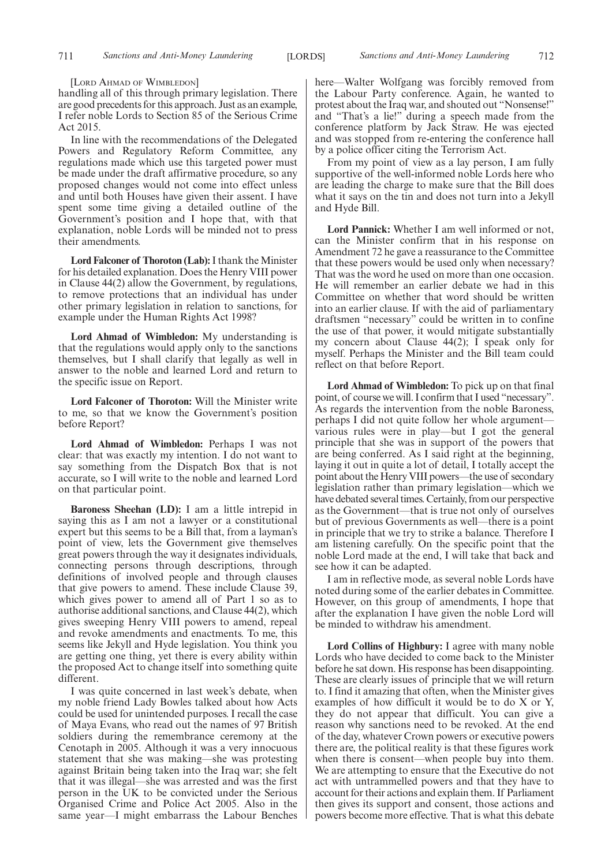[LORD AHMAD OF WIMBLEDON]

handling all of this through primary legislation. There are good precedents for this approach. Just as an example, I refer noble Lords to Section 85 of the Serious Crime Act 2015.

In line with the recommendations of the Delegated Powers and Regulatory Reform Committee, any regulations made which use this targeted power must be made under the draft affirmative procedure, so any proposed changes would not come into effect unless and until both Houses have given their assent. I have spent some time giving a detailed outline of the Government's position and I hope that, with that explanation, noble Lords will be minded not to press their amendments.

**Lord Falconer of Thoroton (Lab):**I thank the Minister for his detailed explanation. Does the Henry VIII power in Clause 44(2) allow the Government, by regulations, to remove protections that an individual has under other primary legislation in relation to sanctions, for example under the Human Rights Act 1998?

**Lord Ahmad of Wimbledon:** My understanding is that the regulations would apply only to the sanctions themselves, but I shall clarify that legally as well in answer to the noble and learned Lord and return to the specific issue on Report.

**Lord Falconer of Thoroton:** Will the Minister write to me, so that we know the Government's position before Report?

**Lord Ahmad of Wimbledon:** Perhaps I was not clear: that was exactly my intention. I do not want to say something from the Dispatch Box that is not accurate, so I will write to the noble and learned Lord on that particular point.

**Baroness Sheehan (LD):** I am a little intrepid in saying this as I am not a lawyer or a constitutional expert but this seems to be a Bill that, from a layman's point of view, lets the Government give themselves great powers through the way it designates individuals, connecting persons through descriptions, through definitions of involved people and through clauses that give powers to amend. These include Clause 39, which gives power to amend all of Part 1 so as to authorise additional sanctions, and Clause 44(2), which gives sweeping Henry VIII powers to amend, repeal and revoke amendments and enactments. To me, this seems like Jekyll and Hyde legislation. You think you are getting one thing, yet there is every ability within the proposed Act to change itself into something quite different.

I was quite concerned in last week's debate, when my noble friend Lady Bowles talked about how Acts could be used for unintended purposes. I recall the case of Maya Evans, who read out the names of 97 British soldiers during the remembrance ceremony at the Cenotaph in 2005. Although it was a very innocuous statement that she was making—she was protesting against Britain being taken into the Iraq war; she felt that it was illegal—she was arrested and was the first person in the UK to be convicted under the Serious Organised Crime and Police Act 2005. Also in the same year—I might embarrass the Labour Benches here—Walter Wolfgang was forcibly removed from the Labour Party conference. Again, he wanted to protest about the Iraq war, and shouted out "Nonsense!" and "That's a lie!" during a speech made from the conference platform by Jack Straw. He was ejected and was stopped from re-entering the conference hall by a police officer citing the Terrorism Act.

From my point of view as a lay person, I am fully supportive of the well-informed noble Lords here who are leading the charge to make sure that the Bill does what it says on the tin and does not turn into a Jekyll and Hyde Bill.

**Lord Pannick:** Whether I am well informed or not, can the Minister confirm that in his response on Amendment 72 he gave a reassurance to the Committee that these powers would be used only when necessary? That was the word he used on more than one occasion. He will remember an earlier debate we had in this Committee on whether that word should be written into an earlier clause. If with the aid of parliamentary draftsmen "necessary" could be written in to confine the use of that power, it would mitigate substantially my concern about Clause 44(2); I speak only for myself. Perhaps the Minister and the Bill team could reflect on that before Report.

**Lord Ahmad of Wimbledon:** To pick up on that final point, of course we will. I confirm that I used "necessary". As regards the intervention from the noble Baroness, perhaps I did not quite follow her whole argument various rules were in play—but I got the general principle that she was in support of the powers that are being conferred. As I said right at the beginning, laying it out in quite a lot of detail, I totally accept the point about the Henry VIII powers—the use of secondary legislation rather than primary legislation—which we have debated several times. Certainly, from our perspective as the Government—that is true not only of ourselves but of previous Governments as well—there is a point in principle that we try to strike a balance. Therefore I am listening carefully. On the specific point that the noble Lord made at the end, I will take that back and see how it can be adapted.

I am in reflective mode, as several noble Lords have noted during some of the earlier debates in Committee. However, on this group of amendments, I hope that after the explanation I have given the noble Lord will be minded to withdraw his amendment.

**Lord Collins of Highbury:** I agree with many noble Lords who have decided to come back to the Minister before he sat down. His response has been disappointing. These are clearly issues of principle that we will return to. I find it amazing that often, when the Minister gives examples of how difficult it would be to do X or Y, they do not appear that difficult. You can give a reason why sanctions need to be revoked. At the end of the day, whatever Crown powers or executive powers there are, the political reality is that these figures work when there is consent—when people buy into them. We are attempting to ensure that the Executive do not act with untrammelled powers and that they have to account for their actions and explain them. If Parliament then gives its support and consent, those actions and powers become more effective. That is what this debate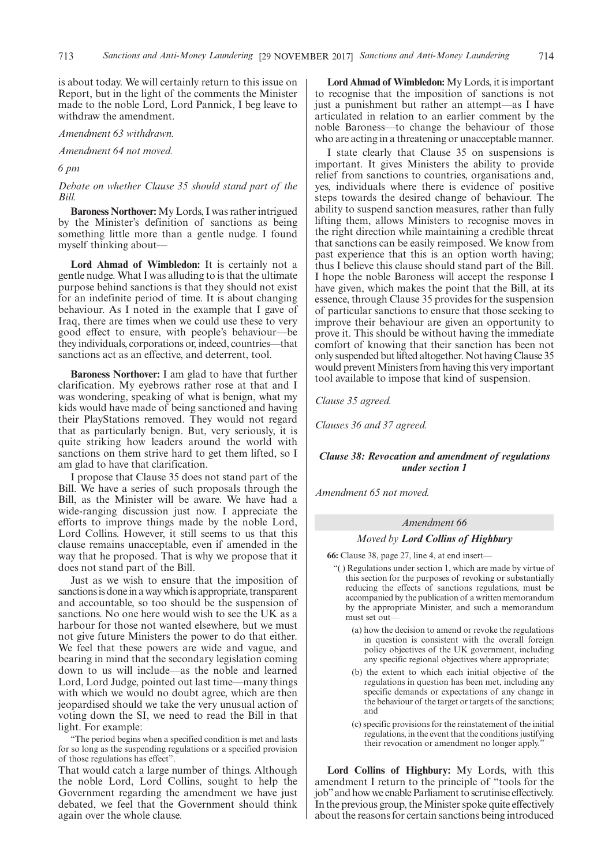is about today. We will certainly return to this issue on Report, but in the light of the comments the Minister made to the noble Lord, Lord Pannick, I beg leave to withdraw the amendment.

#### *Amendment 63 withdrawn.*

*Amendment 64 not moved.*

*6 pm*

*Debate on whether Clause 35 should stand part of the Bill.*

**Baroness Northover:** My Lords, I was rather intrigued by the Minister's definition of sanctions as being something little more than a gentle nudge. I found myself thinking about—

**Lord Ahmad of Wimbledon:** It is certainly not a gentle nudge. What I was alluding to is that the ultimate purpose behind sanctions is that they should not exist for an indefinite period of time. It is about changing behaviour. As I noted in the example that I gave of Iraq, there are times when we could use these to very good effect to ensure, with people's behaviour—be they individuals, corporations or, indeed, countries—that sanctions act as an effective, and deterrent, tool.

**Baroness Northover:** I am glad to have that further clarification. My eyebrows rather rose at that and I was wondering, speaking of what is benign, what my kids would have made of being sanctioned and having their PlayStations removed. They would not regard that as particularly benign. But, very seriously, it is quite striking how leaders around the world with sanctions on them strive hard to get them lifted, so I am glad to have that clarification.

I propose that Clause 35 does not stand part of the Bill. We have a series of such proposals through the Bill, as the Minister will be aware. We have had a wide-ranging discussion just now. I appreciate the efforts to improve things made by the noble Lord, Lord Collins. However, it still seems to us that this clause remains unacceptable, even if amended in the way that he proposed. That is why we propose that it does not stand part of the Bill.

Just as we wish to ensure that the imposition of sanctions is done in a way which is appropriate, transparent and accountable, so too should be the suspension of sanctions. No one here would wish to see the UK as a harbour for those not wanted elsewhere, but we must not give future Ministers the power to do that either. We feel that these powers are wide and vague, and bearing in mind that the secondary legislation coming down to us will include—as the noble and learned Lord, Lord Judge, pointed out last time—many things with which we would no doubt agree, which are then jeopardised should we take the very unusual action of voting down the SI, we need to read the Bill in that light. For example:

"The period begins when a specified condition is met and lasts for so long as the suspending regulations or a specified provision of those regulations has effect".

That would catch a large number of things. Although the noble Lord, Lord Collins, sought to help the Government regarding the amendment we have just debated, we feel that the Government should think again over the whole clause.

**Lord Ahmad of Wimbledon:** My Lords, it is important to recognise that the imposition of sanctions is not just a punishment but rather an attempt—as I have articulated in relation to an earlier comment by the noble Baroness—to change the behaviour of those who are acting in a threatening or unacceptable manner.

I state clearly that Clause 35 on suspensions is important. It gives Ministers the ability to provide relief from sanctions to countries, organisations and, yes, individuals where there is evidence of positive steps towards the desired change of behaviour. The ability to suspend sanction measures, rather than fully lifting them, allows Ministers to recognise moves in the right direction while maintaining a credible threat that sanctions can be easily reimposed. We know from past experience that this is an option worth having; thus I believe this clause should stand part of the Bill. I hope the noble Baroness will accept the response I have given, which makes the point that the Bill, at its essence, through Clause 35 provides for the suspension of particular sanctions to ensure that those seeking to improve their behaviour are given an opportunity to prove it. This should be without having the immediate comfort of knowing that their sanction has been not only suspended but lifted altogether. Not having Clause 35 would prevent Ministers from having this very important tool available to impose that kind of suspension.

*Clause 35 agreed.*

*Clauses 36 and 37 agreed.*

#### *Clause 38: Revocation and amendment of regulations under section 1*

*Amendment 65 not moved.*

#### *Amendment 66*

#### *Moved by Lord Collins of Highbury*

**66:** Clause 38, page 27, line 4, at end insert—

- "( ) Regulations under section 1, which are made by virtue of this section for the purposes of revoking or substantially reducing the effects of sanctions regulations, must be accompanied by the publication of a written memorandum by the appropriate Minister, and such a memorandum must set out—
	- (a) how the decision to amend or revoke the regulations in question is consistent with the overall foreign policy objectives of the UK government, including any specific regional objectives where appropriate;
	- (b) the extent to which each initial objective of the regulations in question has been met, including any specific demands or expectations of any change in the behaviour of the target or targets of the sanctions; and
	- (c) specific provisions for the reinstatement of the initial regulations, in the event that the conditions justifying their revocation or amendment no longer apply."

**Lord Collins of Highbury:** My Lords, with this amendment I return to the principle of "tools for the job"and how we enable Parliament to scrutinise effectively. In the previous group, the Minister spoke quite effectively about the reasons for certain sanctions being introduced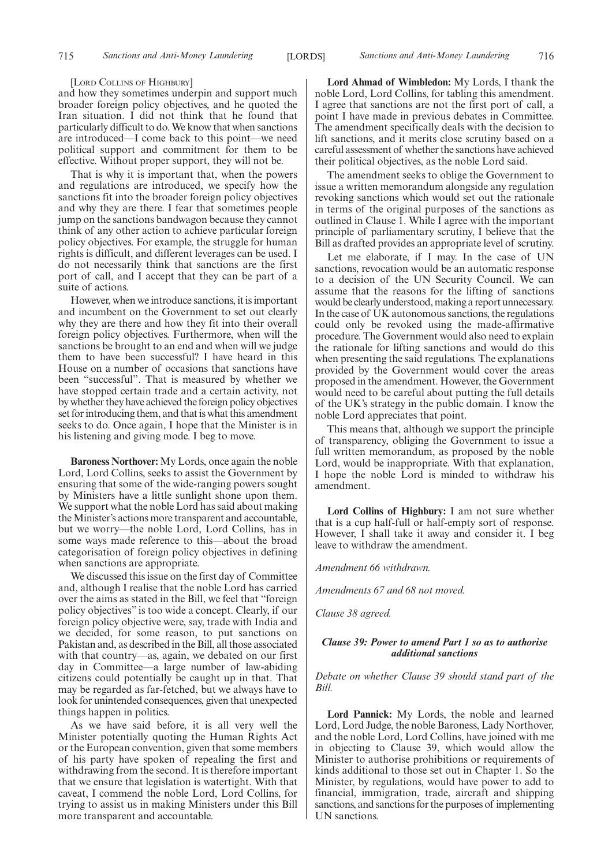#### [LORD COLLINS OF HIGHBURY]

and how they sometimes underpin and support much broader foreign policy objectives, and he quoted the Iran situation. I did not think that he found that particularly difficult to do. We know that when sanctions are introduced—I come back to this point—we need political support and commitment for them to be effective. Without proper support, they will not be.

That is why it is important that, when the powers and regulations are introduced, we specify how the sanctions fit into the broader foreign policy objectives and why they are there. I fear that sometimes people jump on the sanctions bandwagon because they cannot think of any other action to achieve particular foreign policy objectives. For example, the struggle for human rights is difficult, and different leverages can be used. I do not necessarily think that sanctions are the first port of call, and I accept that they can be part of a suite of actions.

However, when we introduce sanctions, it is important and incumbent on the Government to set out clearly why they are there and how they fit into their overall foreign policy objectives. Furthermore, when will the sanctions be brought to an end and when will we judge them to have been successful? I have heard in this House on a number of occasions that sanctions have been "successful". That is measured by whether we have stopped certain trade and a certain activity, not by whether they have achieved the foreign policy objectives set for introducing them, and that is what this amendment seeks to do. Once again, I hope that the Minister is in his listening and giving mode. I beg to move.

**Baroness Northover:** My Lords, once again the noble Lord, Lord Collins, seeks to assist the Government by ensuring that some of the wide-ranging powers sought by Ministers have a little sunlight shone upon them. We support what the noble Lord has said about making the Minister's actions more transparent and accountable, but we worry—the noble Lord, Lord Collins, has in some ways made reference to this—about the broad categorisation of foreign policy objectives in defining when sanctions are appropriate.

We discussed this issue on the first day of Committee and, although I realise that the noble Lord has carried over the aims as stated in the Bill, we feel that "foreign policy objectives" is too wide a concept. Clearly, if our foreign policy objective were, say, trade with India and we decided, for some reason, to put sanctions on Pakistan and, as described in the Bill, all those associated with that country—as, again, we debated on our first day in Committee—a large number of law-abiding citizens could potentially be caught up in that. That may be regarded as far-fetched, but we always have to look for unintended consequences, given that unexpected things happen in politics.

As we have said before, it is all very well the Minister potentially quoting the Human Rights Act or the European convention, given that some members of his party have spoken of repealing the first and withdrawing from the second. It is therefore important that we ensure that legislation is watertight. With that caveat, I commend the noble Lord, Lord Collins, for trying to assist us in making Ministers under this Bill more transparent and accountable.

**Lord Ahmad of Wimbledon:** My Lords, I thank the noble Lord, Lord Collins, for tabling this amendment. I agree that sanctions are not the first port of call, a point I have made in previous debates in Committee. The amendment specifically deals with the decision to lift sanctions, and it merits close scrutiny based on a careful assessment of whether the sanctions have achieved their political objectives, as the noble Lord said.

The amendment seeks to oblige the Government to issue a written memorandum alongside any regulation revoking sanctions which would set out the rationale in terms of the original purposes of the sanctions as outlined in Clause 1. While I agree with the important principle of parliamentary scrutiny, I believe that the Bill as drafted provides an appropriate level of scrutiny.

Let me elaborate, if I may. In the case of UN sanctions, revocation would be an automatic response to a decision of the UN Security Council. We can assume that the reasons for the lifting of sanctions would be clearly understood, making a report unnecessary. In the case of UK autonomous sanctions, the regulations could only be revoked using the made-affirmative procedure. The Government would also need to explain the rationale for lifting sanctions and would do this when presenting the said regulations. The explanations provided by the Government would cover the areas proposed in the amendment. However, the Government would need to be careful about putting the full details of the UK's strategy in the public domain. I know the noble Lord appreciates that point.

This means that, although we support the principle of transparency, obliging the Government to issue a full written memorandum, as proposed by the noble Lord, would be inappropriate. With that explanation, I hope the noble Lord is minded to withdraw his amendment.

**Lord Collins of Highbury:** I am not sure whether that is a cup half-full or half-empty sort of response. However, I shall take it away and consider it. I beg leave to withdraw the amendment.

*Amendment 66 withdrawn.*

*Amendments 67 and 68 not moved.*

*Clause 38 agreed.*

#### *Clause 39: Power to amend Part 1 so as to authorise additional sanctions*

*Debate on whether Clause 39 should stand part of the Bill.*

**Lord Pannick:** My Lords, the noble and learned Lord, Lord Judge, the noble Baroness, Lady Northover, and the noble Lord, Lord Collins, have joined with me in objecting to Clause 39, which would allow the Minister to authorise prohibitions or requirements of kinds additional to those set out in Chapter 1. So the Minister, by regulations, would have power to add to financial, immigration, trade, aircraft and shipping sanctions, and sanctions for the purposes of implementing UN sanctions.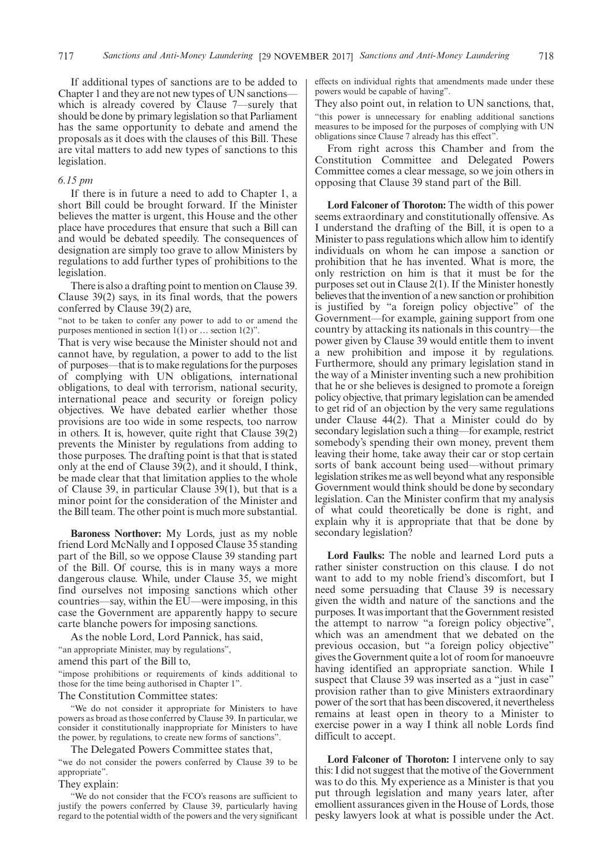If additional types of sanctions are to be added to Chapter 1 and they are not new types of UN sanctions which is already covered by Clause 7—surely that should be done by primary legislation so that Parliament has the same opportunity to debate and amend the proposals as it does with the clauses of this Bill. These are vital matters to add new types of sanctions to this legislation.

#### *6.15 pm*

If there is in future a need to add to Chapter 1, a short Bill could be brought forward. If the Minister believes the matter is urgent, this House and the other place have procedures that ensure that such a Bill can and would be debated speedily. The consequences of designation are simply too grave to allow Ministers by regulations to add further types of prohibitions to the legislation.

There is also a drafting point to mention on Clause 39. Clause 39(2) says, in its final words, that the powers conferred by Clause 39(2) are,

"not to be taken to confer any power to add to or amend the purposes mentioned in section  $1(1)$  or  $\ldots$  section  $1(2)$ ".

That is very wise because the Minister should not and cannot have, by regulation, a power to add to the list of purposes—that is to make regulations for the purposes of complying with UN obligations, international obligations, to deal with terrorism, national security, international peace and security or foreign policy objectives. We have debated earlier whether those provisions are too wide in some respects, too narrow in others. It is, however, quite right that Clause 39(2) prevents the Minister by regulations from adding to those purposes. The drafting point is that that is stated only at the end of Clause 39(2), and it should, I think, be made clear that that limitation applies to the whole of Clause 39, in particular Clause 39(1), but that is a minor point for the consideration of the Minister and the Bill team. The other point is much more substantial.

**Baroness Northover:** My Lords, just as my noble friend Lord McNally and I opposed Clause 35 standing part of the Bill, so we oppose Clause 39 standing part of the Bill. Of course, this is in many ways a more dangerous clause. While, under Clause 35, we might find ourselves not imposing sanctions which other countries—say, within the EU—were imposing, in this case the Government are apparently happy to secure carte blanche powers for imposing sanctions.

As the noble Lord, Lord Pannick, has said, "an appropriate Minister, may by regulations", amend this part of the Bill to,

"impose prohibitions or requirements of kinds additional to those for the time being authorised in Chapter 1".

The Constitution Committee states:

"We do not consider it appropriate for Ministers to have powers as broad as those conferred by Clause 39. In particular, we consider it constitutionally inappropriate for Ministers to have the power, by regulations, to create new forms of sanctions".

The Delegated Powers Committee states that,

"we do not consider the powers conferred by Clause 39 to be appropriate".

They explain:

"We do not consider that the FCO's reasons are sufficient to justify the powers conferred by Clause 39, particularly having regard to the potential width of the powers and the very significant effects on individual rights that amendments made under these powers would be capable of having".

They also point out, in relation to UN sanctions, that, "this power is unnecessary for enabling additional sanctions measures to be imposed for the purposes of complying with UN obligations since Clause 7 already has this effect".

From right across this Chamber and from the Constitution Committee and Delegated Powers Committee comes a clear message, so we join others in opposing that Clause 39 stand part of the Bill.

**Lord Falconer of Thoroton:** The width of this power seems extraordinary and constitutionally offensive. As I understand the drafting of the Bill, it is open to a Minister to pass regulations which allow him to identify individuals on whom he can impose a sanction or prohibition that he has invented. What is more, the only restriction on him is that it must be for the purposes set out in Clause 2(1). If the Minister honestly believes that the invention of a new sanction or prohibition is justified by "a foreign policy objective" of the Government—for example, gaining support from one country by attacking its nationals in this country—the power given by Clause 39 would entitle them to invent a new prohibition and impose it by regulations. Furthermore, should any primary legislation stand in the way of a Minister inventing such a new prohibition that he or she believes is designed to promote a foreign policy objective, that primary legislation can be amended to get rid of an objection by the very same regulations under Clause 44(2). That a Minister could do by secondary legislation such a thing—for example, restrict somebody's spending their own money, prevent them leaving their home, take away their car or stop certain sorts of bank account being used—without primary legislation strikes me as well beyond what any responsible Government would think should be done by secondary legislation. Can the Minister confirm that my analysis of what could theoretically be done is right, and explain why it is appropriate that that be done by secondary legislation?

**Lord Faulks:** The noble and learned Lord puts a rather sinister construction on this clause. I do not want to add to my noble friend's discomfort, but I need some persuading that Clause 39 is necessary given the width and nature of the sanctions and the purposes. It was important that the Government resisted the attempt to narrow "a foreign policy objective", which was an amendment that we debated on the previous occasion, but "a foreign policy objective" gives the Government quite a lot of room for manoeuvre having identified an appropriate sanction. While I suspect that Clause 39 was inserted as a "just in case" provision rather than to give Ministers extraordinary power of the sort that has been discovered, it nevertheless remains at least open in theory to a Minister to exercise power in a way I think all noble Lords find difficult to accept.

**Lord Falconer of Thoroton:** I intervene only to say this: I did not suggest that the motive of the Government was to do this. My experience as a Minister is that you put through legislation and many years later, after emollient assurances given in the House of Lords, those pesky lawyers look at what is possible under the Act.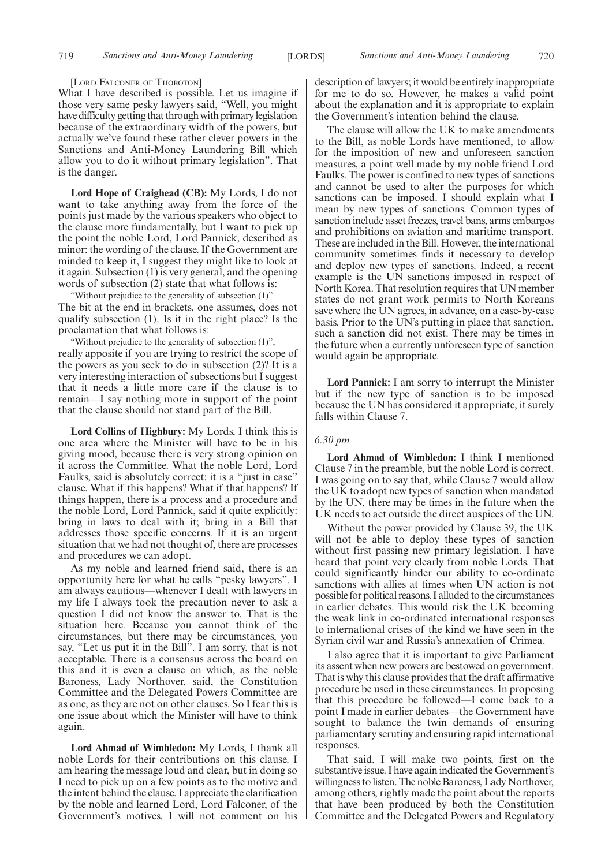#### [LORD FALCONER OF THOROTON]

What I have described is possible. Let us imagine if those very same pesky lawyers said, "Well, you might have difficulty getting that through with primary legislation because of the extraordinary width of the powers, but actually we've found these rather clever powers in the Sanctions and Anti-Money Laundering Bill which allow you to do it without primary legislation". That is the danger.

**Lord Hope of Craighead (CB):** My Lords, I do not want to take anything away from the force of the points just made by the various speakers who object to the clause more fundamentally, but I want to pick up the point the noble Lord, Lord Pannick, described as minor: the wording of the clause. If the Government are minded to keep it, I suggest they might like to look at it again. Subsection (1) is very general, and the opening words of subsection (2) state that what follows is:

"Without prejudice to the generality of subsection (1)". The bit at the end in brackets, one assumes, does not qualify subsection (1). Is it in the right place? Is the proclamation that what follows is:

"Without prejudice to the generality of subsection (1)", really apposite if you are trying to restrict the scope of the powers as you seek to do in subsection (2)? It is a very interesting interaction of subsections but I suggest that it needs a little more care if the clause is to remain—I say nothing more in support of the point that the clause should not stand part of the Bill.

**Lord Collins of Highbury:** My Lords, I think this is one area where the Minister will have to be in his giving mood, because there is very strong opinion on it across the Committee. What the noble Lord, Lord Faulks, said is absolutely correct: it is a "just in case" clause. What if this happens? What if that happens? If things happen, there is a process and a procedure and the noble Lord, Lord Pannick, said it quite explicitly: bring in laws to deal with it; bring in a Bill that addresses those specific concerns. If it is an urgent situation that we had not thought of, there are processes and procedures we can adopt.

As my noble and learned friend said, there is an opportunity here for what he calls "pesky lawyers". I am always cautious—whenever I dealt with lawyers in my life I always took the precaution never to ask a question I did not know the answer to. That is the situation here. Because you cannot think of the circumstances, but there may be circumstances, you say, "Let us put it in the Bill". I am sorry, that is not acceptable. There is a consensus across the board on this and it is even a clause on which, as the noble Baroness, Lady Northover, said, the Constitution Committee and the Delegated Powers Committee are as one, as they are not on other clauses. So I fear this is one issue about which the Minister will have to think again.

**Lord Ahmad of Wimbledon:** My Lords, I thank all noble Lords for their contributions on this clause. I am hearing the message loud and clear, but in doing so I need to pick up on a few points as to the motive and the intent behind the clause. I appreciate the clarification by the noble and learned Lord, Lord Falconer, of the Government's motives. I will not comment on his

description of lawyers; it would be entirely inappropriate for me to do so. However, he makes a valid point about the explanation and it is appropriate to explain the Government's intention behind the clause.

The clause will allow the UK to make amendments to the Bill, as noble Lords have mentioned, to allow for the imposition of new and unforeseen sanction measures, a point well made by my noble friend Lord Faulks. The power is confined to new types of sanctions and cannot be used to alter the purposes for which sanctions can be imposed. I should explain what I mean by new types of sanctions. Common types of sanction include asset freezes, travel bans, arms embargos and prohibitions on aviation and maritime transport. These are included in the Bill. However, the international community sometimes finds it necessary to develop and deploy new types of sanctions. Indeed, a recent example is the UN sanctions imposed in respect of North Korea. That resolution requires that UN member states do not grant work permits to North Koreans save where the UN agrees, in advance, on a case-by-case basis. Prior to the UN's putting in place that sanction, such a sanction did not exist. There may be times in the future when a currently unforeseen type of sanction would again be appropriate.

**Lord Pannick:** I am sorry to interrupt the Minister but if the new type of sanction is to be imposed because the UN has considered it appropriate, it surely falls within Clause 7.

#### *6.30 pm*

**Lord Ahmad of Wimbledon:** I think I mentioned Clause 7 in the preamble, but the noble Lord is correct. I was going on to say that, while Clause 7 would allow the UK to adopt new types of sanction when mandated by the UN, there may be times in the future when the UK needs to act outside the direct auspices of the UN.

Without the power provided by Clause 39, the UK will not be able to deploy these types of sanction without first passing new primary legislation. I have heard that point very clearly from noble Lords. That could significantly hinder our ability to co-ordinate sanctions with allies at times when UN action is not possible for political reasons. I alluded to the circumstances in earlier debates. This would risk the UK becoming the weak link in co-ordinated international responses to international crises of the kind we have seen in the Syrian civil war and Russia's annexation of Crimea.

I also agree that it is important to give Parliament its assent when new powers are bestowed on government. That is why this clause provides that the draft affirmative procedure be used in these circumstances. In proposing that this procedure be followed—I come back to a point I made in earlier debates—the Government have sought to balance the twin demands of ensuring parliamentary scrutiny and ensuring rapid international responses.

That said, I will make two points, first on the substantive issue. I have again indicated the Government's willingness to listen. The noble Baroness, Lady Northover, among others, rightly made the point about the reports that have been produced by both the Constitution Committee and the Delegated Powers and Regulatory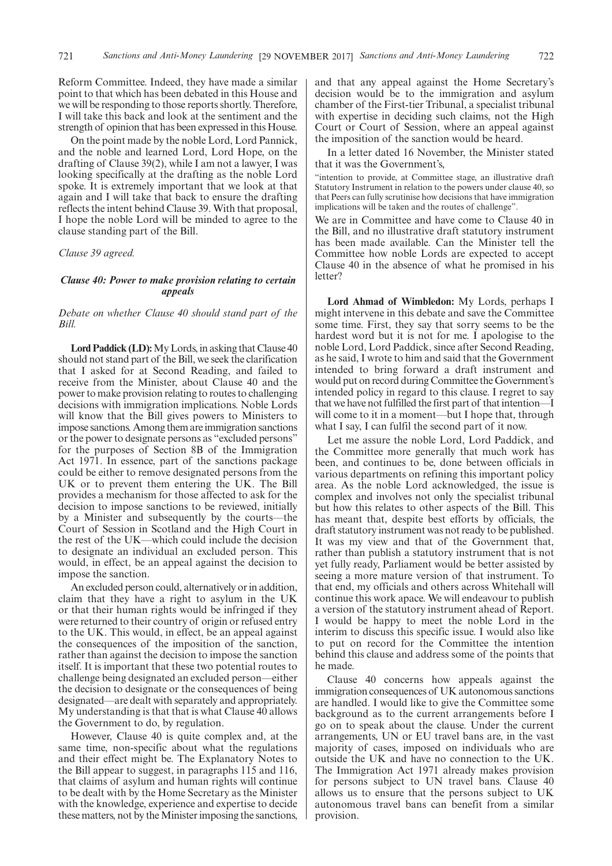Reform Committee. Indeed, they have made a similar point to that which has been debated in this House and we will be responding to those reports shortly. Therefore, I will take this back and look at the sentiment and the strength of opinion that has been expressed in this House.

On the point made by the noble Lord, Lord Pannick, and the noble and learned Lord, Lord Hope, on the drafting of Clause 39(2), while I am not a lawyer, I was looking specifically at the drafting as the noble Lord spoke. It is extremely important that we look at that again and I will take that back to ensure the drafting reflects the intent behind Clause 39. With that proposal, I hope the noble Lord will be minded to agree to the clause standing part of the Bill.

*Clause 39 agreed.*

#### *Clause 40: Power to make provision relating to certain appeals*

#### *Debate on whether Clause 40 should stand part of the Bill.*

**Lord Paddick (LD):**My Lords, in asking that Clause 40 should not stand part of the Bill, we seek the clarification that I asked for at Second Reading, and failed to receive from the Minister, about Clause 40 and the power to make provision relating to routes to challenging decisions with immigration implications. Noble Lords will know that the Bill gives powers to Ministers to impose sanctions. Among them are immigration sanctions or the power to designate persons as "excluded persons" for the purposes of Section 8B of the Immigration Act 1971. In essence, part of the sanctions package could be either to remove designated persons from the UK or to prevent them entering the UK. The Bill provides a mechanism for those affected to ask for the decision to impose sanctions to be reviewed, initially by a Minister and subsequently by the courts—the Court of Session in Scotland and the High Court in the rest of the UK—which could include the decision to designate an individual an excluded person. This would, in effect, be an appeal against the decision to impose the sanction.

An excluded person could, alternatively or in addition, claim that they have a right to asylum in the UK or that their human rights would be infringed if they were returned to their country of origin or refused entry to the UK. This would, in effect, be an appeal against the consequences of the imposition of the sanction, rather than against the decision to impose the sanction itself. It is important that these two potential routes to challenge being designated an excluded person—either the decision to designate or the consequences of being designated—are dealt with separately and appropriately. My understanding is that that is what Clause 40 allows the Government to do, by regulation.

However, Clause 40 is quite complex and, at the same time, non-specific about what the regulations and their effect might be. The Explanatory Notes to the Bill appear to suggest, in paragraphs 115 and 116, that claims of asylum and human rights will continue to be dealt with by the Home Secretary as the Minister with the knowledge, experience and expertise to decide these matters, not by the Minister imposing the sanctions, and that any appeal against the Home Secretary's decision would be to the immigration and asylum chamber of the First-tier Tribunal, a specialist tribunal with expertise in deciding such claims, not the High Court or Court of Session, where an appeal against the imposition of the sanction would be heard.

In a letter dated 16 November, the Minister stated that it was the Government's,

"intention to provide, at Committee stage, an illustrative draft Statutory Instrument in relation to the powers under clause 40, so that Peers can fully scrutinise how decisions that have immigration implications will be taken and the routes of challenge".

We are in Committee and have come to Clause 40 in the Bill, and no illustrative draft statutory instrument has been made available. Can the Minister tell the Committee how noble Lords are expected to accept Clause 40 in the absence of what he promised in his letter?

**Lord Ahmad of Wimbledon:** My Lords, perhaps I might intervene in this debate and save the Committee some time. First, they say that sorry seems to be the hardest word but it is not for me. I apologise to the noble Lord, Lord Paddick, since after Second Reading, as he said, I wrote to him and said that the Government intended to bring forward a draft instrument and would put on record during Committee the Government's intended policy in regard to this clause. I regret to say that we have not fulfilled the first part of that intention—I will come to it in a moment—but I hope that, through what I say, I can fulfil the second part of it now.

Let me assure the noble Lord, Lord Paddick, and the Committee more generally that much work has been, and continues to be, done between officials in various departments on refining this important policy area. As the noble Lord acknowledged, the issue is complex and involves not only the specialist tribunal but how this relates to other aspects of the Bill. This has meant that, despite best efforts by officials, the draft statutory instrument was not ready to be published. It was my view and that of the Government that, rather than publish a statutory instrument that is not yet fully ready, Parliament would be better assisted by seeing a more mature version of that instrument. To that end, my officials and others across Whitehall will continue this work apace. We will endeavour to publish a version of the statutory instrument ahead of Report. I would be happy to meet the noble Lord in the interim to discuss this specific issue. I would also like to put on record for the Committee the intention behind this clause and address some of the points that he made.

Clause 40 concerns how appeals against the immigration consequences of UK autonomous sanctions are handled. I would like to give the Committee some background as to the current arrangements before I go on to speak about the clause. Under the current arrangements, UN or EU travel bans are, in the vast majority of cases, imposed on individuals who are outside the UK and have no connection to the UK. The Immigration Act 1971 already makes provision for persons subject to UN travel bans. Clause 40 allows us to ensure that the persons subject to UK autonomous travel bans can benefit from a similar provision.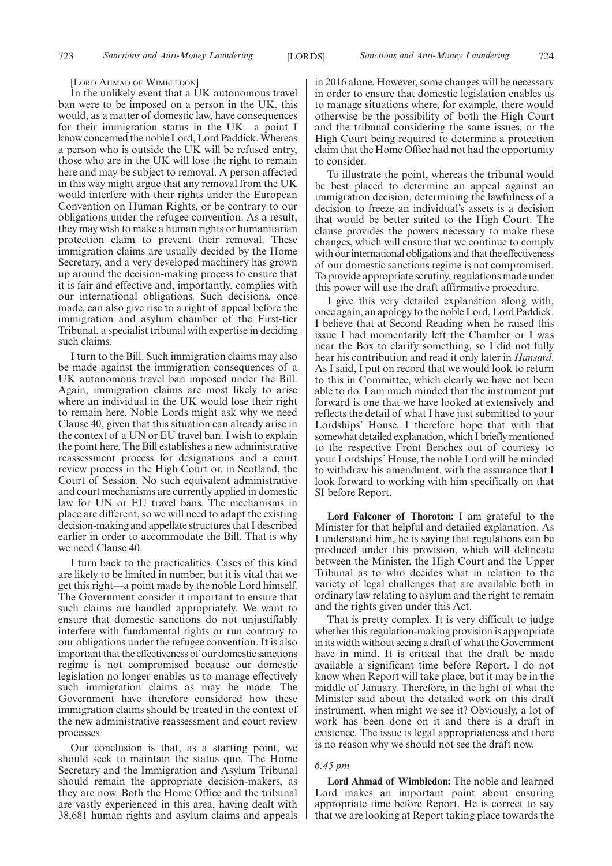#### [LORD AHMAD OF WIMBLEDON]

In the unlikely event that a UK autonomous travel ban were to be imposed on a person in the UK, this would, as a matter of domestic law, have consequences for their immigration status in the UK—a point I know concerned the noble Lord, Lord Paddick. Whereas a person who is outside the UK will be refused entry, those who are in the UK will lose the right to remain here and may be subject to removal. A person affected in this way might argue that any removal from the UK would interfere with their rights under the European Convention on Human Rights, or be contrary to our obligations under the refugee convention. As a result, they may wish to make a human rights or humanitarian protection claim to prevent their removal. These immigration claims are usually decided by the Home Secretary, and a very developed machinery has grown up around the decision-making process to ensure that it is fair and effective and, importantly, complies with our international obligations. Such decisions, once made, can also give rise to a right of appeal before the immigration and asylum chamber of the First-tier Tribunal, a specialist tribunal with expertise in deciding such claims.

I turn to the Bill. Such immigration claims may also be made against the immigration consequences of a UK autonomous travel ban imposed under the Bill. Again, immigration claims are most likely to arise where an individual in the UK would lose their right to remain here. Noble Lords might ask why we need Clause 40, given that this situation can already arise in the context of a UN or EU travel ban. I wish to explain the point here. The Bill establishes a new administrative reassessment process for designations and a court review process in the High Court or, in Scotland, the Court of Session. No such equivalent administrative and court mechanisms are currently applied in domestic law for UN or EU travel bans. The mechanisms in place are different, so we will need to adapt the existing decision-making and appellate structures that I described earlier in order to accommodate the Bill. That is why we need Clause 40.

I turn back to the practicalities. Cases of this kind are likely to be limited in number, but it is vital that we get this right—a point made by the noble Lord himself. The Government consider it important to ensure that such claims are handled appropriately. We want to ensure that domestic sanctions do not unjustifiably interfere with fundamental rights or run contrary to our obligations under the refugee convention. It is also important that the effectiveness of our domestic sanctions regime is not compromised because our domestic legislation no longer enables us to manage effectively such immigration claims as may be made. The Government have therefore considered how these immigration claims should be treated in the context of the new administrative reassessment and court review processes.

Our conclusion is that, as a starting point, we should seek to maintain the status quo. The Home Secretary and the Immigration and Asylum Tribunal should remain the appropriate decision-makers, as they are now. Both the Home Office and the tribunal are vastly experienced in this area, having dealt with 38,681 human rights and asylum claims and appeals in 2016 alone. However, some changes will be necessary in order to ensure that domestic legislation enables us to manage situations where, for example, there would otherwise be the possibility of both the High Court and the tribunal considering the same issues, or the High Court being required to determine a protection claim that the Home Office had not had the opportunity to consider.

To illustrate the point, whereas the tribunal would be best placed to determine an appeal against an immigration decision, determining the lawfulness of a decision to freeze an individual's assets is a decision that would be better suited to the High Court. The clause provides the powers necessary to make these changes, which will ensure that we continue to comply with our international obligations and that the effectiveness of our domestic sanctions regime is not compromised. To provide appropriate scrutiny, regulations made under this power will use the draft affirmative procedure.

I give this very detailed explanation along with, once again, an apology to the noble Lord, Lord Paddick. I believe that at Second Reading when he raised this issue I had momentarily left the Chamber or I was near the Box to clarify something, so I did not fully hear his contribution and read it only later in *Hansard*. As I said, I put on record that we would look to return to this in Committee, which clearly we have not been able to do. I am much minded that the instrument put forward is one that we have looked at extensively and reflects the detail of what I have just submitted to your Lordships' House. I therefore hope that with that somewhat detailed explanation, which I briefly mentioned to the respective Front Benches out of courtesy to your Lordships' House, the noble Lord will be minded to withdraw his amendment, with the assurance that I look forward to working with him specifically on that SI before Report.

**Lord Falconer of Thoroton:** I am grateful to the Minister for that helpful and detailed explanation. As I understand him, he is saying that regulations can be produced under this provision, which will delineate between the Minister, the High Court and the Upper Tribunal as to who decides what in relation to the variety of legal challenges that are available both in ordinary law relating to asylum and the right to remain and the rights given under this Act.

That is pretty complex. It is very difficult to judge whether this regulation-making provision is appropriate in its width without seeing a draft of what the Government have in mind. It is critical that the draft be made available a significant time before Report. I do not know when Report will take place, but it may be in the middle of January. Therefore, in the light of what the Minister said about the detailed work on this draft instrument, when might we see it? Obviously, a lot of work has been done on it and there is a draft in existence. The issue is legal appropriateness and there is no reason why we should not see the draft now.

#### *6.45 pm*

**Lord Ahmad of Wimbledon:** The noble and learned Lord makes an important point about ensuring appropriate time before Report. He is correct to say that we are looking at Report taking place towards the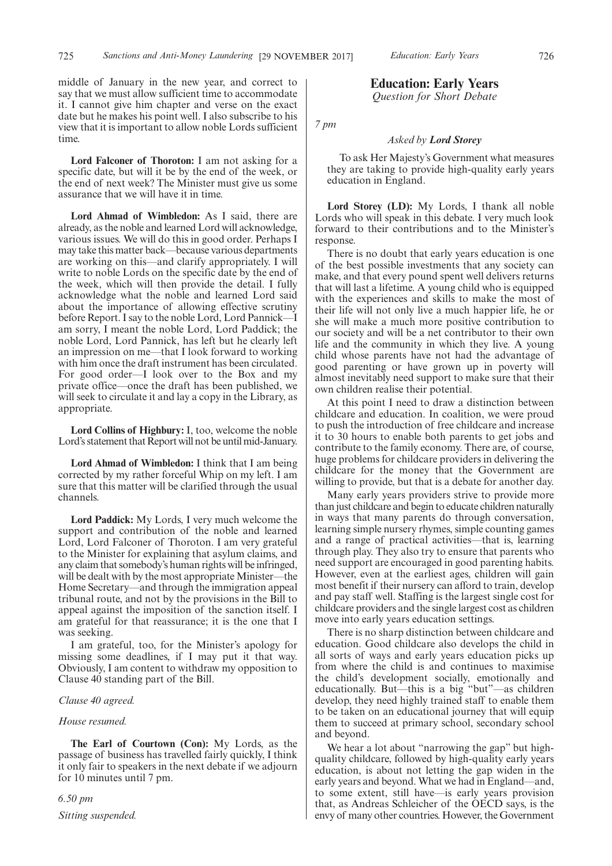middle of January in the new year, and correct to say that we must allow sufficient time to accommodate it. I cannot give him chapter and verse on the exact date but he makes his point well. I also subscribe to his view that it is important to allow noble Lords sufficient time.

**Lord Falconer of Thoroton:** I am not asking for a specific date, but will it be by the end of the week, or the end of next week? The Minister must give us some assurance that we will have it in time.

**Lord Ahmad of Wimbledon:** As I said, there are already, as the noble and learned Lord will acknowledge, various issues. We will do this in good order. Perhaps I may take this matter back—because various departments are working on this—and clarify appropriately. I will write to noble Lords on the specific date by the end of the week, which will then provide the detail. I fully acknowledge what the noble and learned Lord said about the importance of allowing effective scrutiny before Report. I say to the noble Lord, Lord Pannick—I am sorry, I meant the noble Lord, Lord Paddick; the noble Lord, Lord Pannick, has left but he clearly left an impression on me—that I look forward to working with him once the draft instrument has been circulated. For good order—I look over to the Box and my private office—once the draft has been published, we will seek to circulate it and lay a copy in the Library, as appropriate.

**Lord Collins of Highbury:** I, too, welcome the noble Lord's statement that Report will not be until mid-January.

**Lord Ahmad of Wimbledon:** I think that I am being corrected by my rather forceful Whip on my left. I am sure that this matter will be clarified through the usual channels.

**Lord Paddick:** My Lords, I very much welcome the support and contribution of the noble and learned Lord, Lord Falconer of Thoroton. I am very grateful to the Minister for explaining that asylum claims, and any claim that somebody's human rights will be infringed, will be dealt with by the most appropriate Minister—the Home Secretary—and through the immigration appeal tribunal route, and not by the provisions in the Bill to appeal against the imposition of the sanction itself. I am grateful for that reassurance; it is the one that I was seeking.

I am grateful, too, for the Minister's apology for missing some deadlines, if I may put it that way. Obviously, I am content to withdraw my opposition to Clause 40 standing part of the Bill.

#### *Clause 40 agreed.*

#### *House resumed.*

**The Earl of Courtown (Con):** My Lords, as the passage of business has travelled fairly quickly, I think it only fair to speakers in the next debate if we adjourn for 10 minutes until 7 pm.

*6.50 pm Sitting suspended.* **Education: Early Years** *Question for Short Debate*

*7 pm*

#### *Asked by Lord Storey*

To ask Her Majesty's Government what measures they are taking to provide high-quality early years education in England.

**Lord Storey (LD):** My Lords, I thank all noble Lords who will speak in this debate. I very much look forward to their contributions and to the Minister's response.

There is no doubt that early years education is one of the best possible investments that any society can make, and that every pound spent well delivers returns that will last a lifetime. A young child who is equipped with the experiences and skills to make the most of their life will not only live a much happier life, he or she will make a much more positive contribution to our society and will be a net contributor to their own life and the community in which they live. A young child whose parents have not had the advantage of good parenting or have grown up in poverty will almost inevitably need support to make sure that their own children realise their potential.

At this point I need to draw a distinction between childcare and education. In coalition, we were proud to push the introduction of free childcare and increase it to 30 hours to enable both parents to get jobs and contribute to the family economy. There are, of course, huge problems for childcare providers in delivering the childcare for the money that the Government are willing to provide, but that is a debate for another day.

Many early years providers strive to provide more than just childcare and begin to educate children naturally in ways that many parents do through conversation, learning simple nursery rhymes, simple counting games and a range of practical activities—that is, learning through play. They also try to ensure that parents who need support are encouraged in good parenting habits. However, even at the earliest ages, children will gain most benefit if their nursery can afford to train, develop and pay staff well. Staffing is the largest single cost for childcare providers and the single largest cost as children move into early years education settings.

There is no sharp distinction between childcare and education. Good childcare also develops the child in all sorts of ways and early years education picks up from where the child is and continues to maximise the child's development socially, emotionally and educationally. But—this is a big "but"—as children develop, they need highly trained staff to enable them to be taken on an educational journey that will equip them to succeed at primary school, secondary school and beyond.

We hear a lot about "narrowing the gap" but highquality childcare, followed by high-quality early years education, is about not letting the gap widen in the early years and beyond. What we had in England—and, to some extent, still have—is early years provision that, as Andreas Schleicher of the OECD says, is the envy of many other countries. However, the Government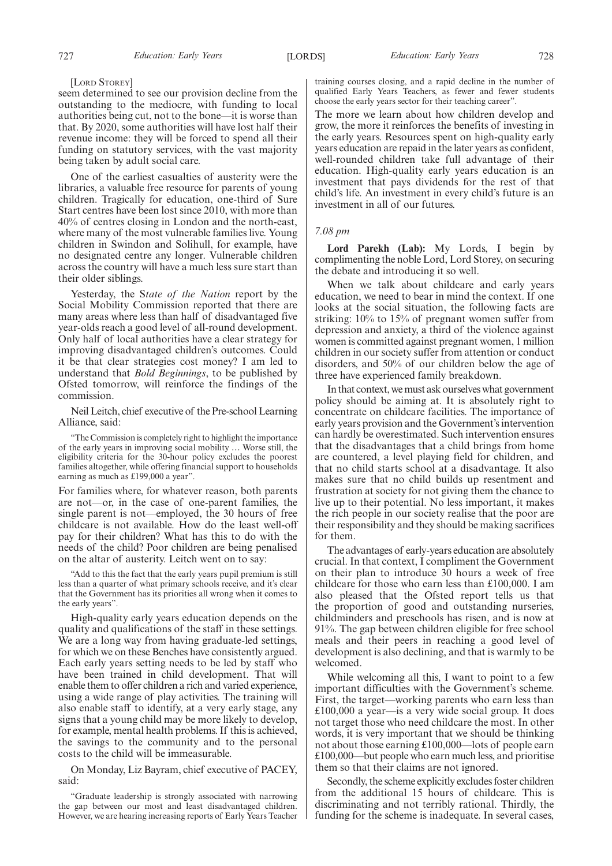#### [LORD STOREY]

seem determined to see our provision decline from the outstanding to the mediocre, with funding to local authorities being cut, not to the bone—it is worse than that. By 2020, some authorities will have lost half their revenue income: they will be forced to spend all their funding on statutory services, with the vast majority being taken by adult social care.

One of the earliest casualties of austerity were the libraries, a valuable free resource for parents of young children. Tragically for education, one-third of Sure Start centres have been lost since 2010, with more than 40% of centres closing in London and the north-east, where many of the most vulnerable families live. Young children in Swindon and Solihull, for example, have no designated centre any longer. Vulnerable children across the country will have a much less sure start than their older siblings.

Yesterday, the S*tate of the Nation* report by the Social Mobility Commission reported that there are many areas where less than half of disadvantaged five year-olds reach a good level of all-round development. Only half of local authorities have a clear strategy for improving disadvantaged children's outcomes. Could it be that clear strategies cost money? I am led to understand that *Bold Beginnings*, to be published by Ofsted tomorrow, will reinforce the findings of the commission.

Neil Leitch, chief executive of the Pre-school Learning Alliance, said:

"The Commission is completely right to highlight the importance of the early years in improving social mobility … Worse still, the eligibility criteria for the 30-hour policy excludes the poorest families altogether, while offering financial support to households earning as much as £199,000 a year".

For families where, for whatever reason, both parents are not—or, in the case of one-parent families, the single parent is not—employed, the 30 hours of free childcare is not available. How do the least well-off pay for their children? What has this to do with the needs of the child? Poor children are being penalised on the altar of austerity. Leitch went on to say:

"Add to this the fact that the early years pupil premium is still less than a quarter of what primary schools receive, and it's clear that the Government has its priorities all wrong when it comes to the early years".

High-quality early years education depends on the quality and qualifications of the staff in these settings. We are a long way from having graduate-led settings, for which we on these Benches have consistently argued. Each early years setting needs to be led by staff who have been trained in child development. That will enable them to offer children a rich and varied experience, using a wide range of play activities. The training will also enable staff to identify, at a very early stage, any signs that a young child may be more likely to develop, for example, mental health problems. If this is achieved, the savings to the community and to the personal costs to the child will be immeasurable.

On Monday, Liz Bayram, chief executive of PACEY, said:

"Graduate leadership is strongly associated with narrowing the gap between our most and least disadvantaged children. However, we are hearing increasing reports of Early Years Teacher training courses closing, and a rapid decline in the number of qualified Early Years Teachers, as fewer and fewer students choose the early years sector for their teaching career".

The more we learn about how children develop and grow, the more it reinforces the benefits of investing in the early years. Resources spent on high-quality early years education are repaid in the later years as confident, well-rounded children take full advantage of their education. High-quality early years education is an investment that pays dividends for the rest of that child's life. An investment in every child's future is an investment in all of our futures.

### *7.08 pm*

**Lord Parekh (Lab):** My Lords, I begin by complimenting the noble Lord, Lord Storey, on securing the debate and introducing it so well.

When we talk about childcare and early years education, we need to bear in mind the context. If one looks at the social situation, the following facts are striking: 10% to 15% of pregnant women suffer from depression and anxiety, a third of the violence against women is committed against pregnant women, 1 million children in our society suffer from attention or conduct disorders, and 50% of our children below the age of three have experienced family breakdown.

In that context, we must ask ourselves what government policy should be aiming at. It is absolutely right to concentrate on childcare facilities. The importance of early years provision and the Government's intervention can hardly be overestimated. Such intervention ensures that the disadvantages that a child brings from home are countered, a level playing field for children, and that no child starts school at a disadvantage. It also makes sure that no child builds up resentment and frustration at society for not giving them the chance to live up to their potential. No less important, it makes the rich people in our society realise that the poor are their responsibility and they should be making sacrifices for them.

The advantages of early-years education are absolutely crucial. In that context, I compliment the Government on their plan to introduce 30 hours a week of free childcare for those who earn less than £100,000. I am also pleased that the Ofsted report tells us that the proportion of good and outstanding nurseries, childminders and preschools has risen, and is now at 91%. The gap between children eligible for free school meals and their peers in reaching a good level of development is also declining, and that is warmly to be welcomed.

While welcoming all this, I want to point to a few important difficulties with the Government's scheme. First, the target—working parents who earn less than £100,000 a year—is a very wide social group. It does not target those who need childcare the most. In other words, it is very important that we should be thinking not about those earning £100,000—lots of people earn £100,000—but people who earn much less, and prioritise them so that their claims are not ignored.

Secondly, the scheme explicitly excludes foster children from the additional 15 hours of childcare. This is discriminating and not terribly rational. Thirdly, the funding for the scheme is inadequate. In several cases,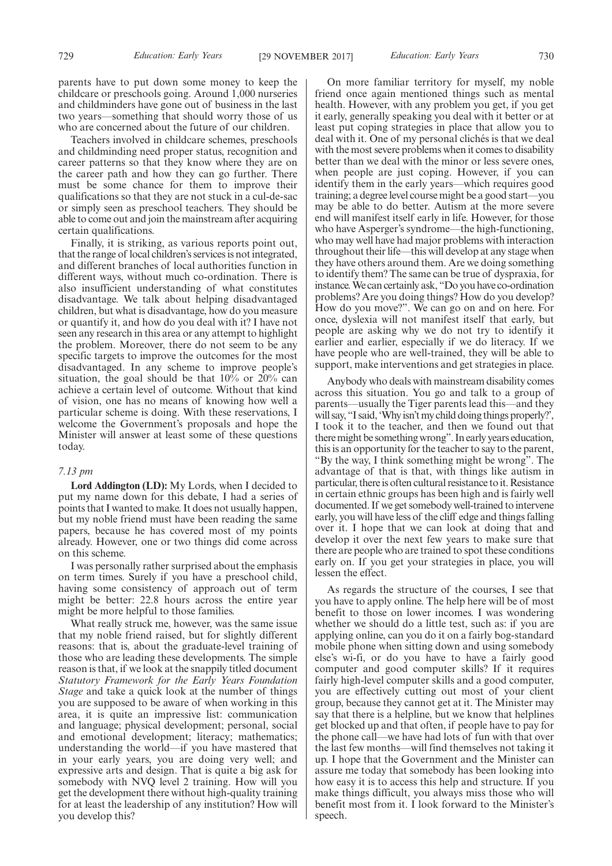parents have to put down some money to keep the childcare or preschools going. Around 1,000 nurseries and childminders have gone out of business in the last two years—something that should worry those of us who are concerned about the future of our children.

Teachers involved in childcare schemes, preschools and childminding need proper status, recognition and career patterns so that they know where they are on the career path and how they can go further. There must be some chance for them to improve their qualifications so that they are not stuck in a cul-de-sac or simply seen as preschool teachers. They should be able to come out and join the mainstream after acquiring certain qualifications.

Finally, it is striking, as various reports point out, that the range of local children's services is not integrated, and different branches of local authorities function in different ways, without much co-ordination. There is also insufficient understanding of what constitutes disadvantage. We talk about helping disadvantaged children, but what is disadvantage, how do you measure or quantify it, and how do you deal with it? I have not seen any research in this area or any attempt to highlight the problem. Moreover, there do not seem to be any specific targets to improve the outcomes for the most disadvantaged. In any scheme to improve people's situation, the goal should be that  $10\%$  or  $20\%$  can achieve a certain level of outcome. Without that kind of vision, one has no means of knowing how well a particular scheme is doing. With these reservations, I welcome the Government's proposals and hope the Minister will answer at least some of these questions today.

#### *7.13 pm*

**Lord Addington (LD):** My Lords, when I decided to put my name down for this debate, I had a series of points that I wanted to make. It does not usually happen, but my noble friend must have been reading the same papers, because he has covered most of my points already. However, one or two things did come across on this scheme.

I was personally rather surprised about the emphasis on term times. Surely if you have a preschool child, having some consistency of approach out of term might be better: 22.8 hours across the entire year might be more helpful to those families.

What really struck me, however, was the same issue that my noble friend raised, but for slightly different reasons: that is, about the graduate-level training of those who are leading these developments. The simple reason is that, if we look at the snappily titled document *Statutory Framework for the Early Years Foundation Stage* and take a quick look at the number of things you are supposed to be aware of when working in this area, it is quite an impressive list: communication and language; physical development; personal, social and emotional development; literacy; mathematics; understanding the world—if you have mastered that in your early years, you are doing very well; and expressive arts and design. That is quite a big ask for somebody with NVQ level 2 training. How will you get the development there without high-quality training for at least the leadership of any institution? How will you develop this?

On more familiar territory for myself, my noble friend once again mentioned things such as mental health. However, with any problem you get, if you get it early, generally speaking you deal with it better or at least put coping strategies in place that allow you to deal with it. One of my personal clichés is that we deal with the most severe problems when it comes to disability better than we deal with the minor or less severe ones, when people are just coping. However, if you can identify them in the early years—which requires good training; a degree level course might be a good start—you may be able to do better. Autism at the more severe end will manifest itself early in life. However, for those who have Asperger's syndrome—the high-functioning, who may well have had major problems with interaction throughout their life—this will develop at any stage when they have others around them. Are we doing something to identify them? The same can be true of dyspraxia, for instance. We can certainly ask, "Do you have co-ordination problems? Are you doing things? How do you develop? How do you move?". We can go on and on here. For once, dyslexia will not manifest itself that early, but people are asking why we do not try to identify it earlier and earlier, especially if we do literacy. If we have people who are well-trained, they will be able to support, make interventions and get strategies in place.

Anybody who deals with mainstream disability comes across this situation. You go and talk to a group of parents—usually the Tiger parents lead this—and they will say, "I said, 'Why isn't my child doing things properly?', I took it to the teacher, and then we found out that there might be something wrong". In early years education, this is an opportunity for the teacher to say to the parent, "By the way, I think something might be wrong". The advantage of that is that, with things like autism in particular, there is often cultural resistance to it. Resistance in certain ethnic groups has been high and is fairly well documented. If we get somebody well-trained to intervene early, you will have less of the cliff edge and things falling over it. I hope that we can look at doing that and develop it over the next few years to make sure that there are people who are trained to spot these conditions early on. If you get your strategies in place, you will lessen the effect.

As regards the structure of the courses, I see that you have to apply online. The help here will be of most benefit to those on lower incomes. I was wondering whether we should do a little test, such as: if you are applying online, can you do it on a fairly bog-standard mobile phone when sitting down and using somebody else's wi-fi, or do you have to have a fairly good computer and good computer skills? If it requires fairly high-level computer skills and a good computer, you are effectively cutting out most of your client group, because they cannot get at it. The Minister may say that there is a helpline, but we know that helplines get blocked up and that often, if people have to pay for the phone call—we have had lots of fun with that over the last few months—will find themselves not taking it up. I hope that the Government and the Minister can assure me today that somebody has been looking into how easy it is to access this help and structure. If you make things difficult, you always miss those who will benefit most from it. I look forward to the Minister's speech.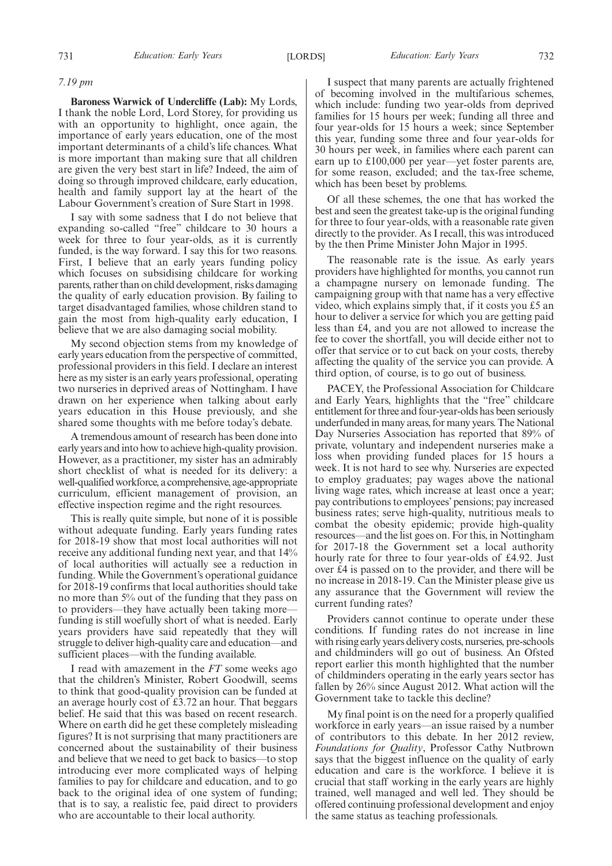#### *7.19 pm*

**Baroness Warwick of Undercliffe (Lab):** My Lords, I thank the noble Lord, Lord Storey, for providing us with an opportunity to highlight, once again, the importance of early years education, one of the most important determinants of a child's life chances. What is more important than making sure that all children are given the very best start in life? Indeed, the aim of doing so through improved childcare, early education, health and family support lay at the heart of the Labour Government's creation of Sure Start in 1998.

I say with some sadness that I do not believe that expanding so-called "free" childcare to 30 hours a week for three to four year-olds, as it is currently funded, is the way forward. I say this for two reasons. First, I believe that an early years funding policy which focuses on subsidising childcare for working parents, rather than on child development, risks damaging the quality of early education provision. By failing to target disadvantaged families, whose children stand to gain the most from high-quality early education, I believe that we are also damaging social mobility.

My second objection stems from my knowledge of early years education from the perspective of committed, professional providers in this field. I declare an interest here as my sister is an early years professional, operating two nurseries in deprived areas of Nottingham. I have drawn on her experience when talking about early years education in this House previously, and she shared some thoughts with me before today's debate.

A tremendous amount of research has been done into early years and into how to achieve high-quality provision. However, as a practitioner, my sister has an admirably short checklist of what is needed for its delivery: a well-qualified workforce, a comprehensive, age-appropriate curriculum, efficient management of provision, an effective inspection regime and the right resources.

This is really quite simple, but none of it is possible without adequate funding. Early years funding rates for 2018-19 show that most local authorities will not receive any additional funding next year, and that 14% of local authorities will actually see a reduction in funding. While the Government's operational guidance for 2018-19 confirms that local authorities should take no more than 5% out of the funding that they pass on to providers—they have actually been taking more funding is still woefully short of what is needed. Early years providers have said repeatedly that they will struggle to deliver high-quality care and education—and sufficient places—with the funding available.

I read with amazement in the *FT* some weeks ago that the children's Minister, Robert Goodwill, seems to think that good-quality provision can be funded at an average hourly cost of £3.72 an hour. That beggars belief. He said that this was based on recent research. Where on earth did he get these completely misleading figures? It is not surprising that many practitioners are concerned about the sustainability of their business and believe that we need to get back to basics—to stop introducing ever more complicated ways of helping families to pay for childcare and education, and to go back to the original idea of one system of funding; that is to say, a realistic fee, paid direct to providers who are accountable to their local authority.

I suspect that many parents are actually frightened of becoming involved in the multifarious schemes, which include: funding two year-olds from deprived families for 15 hours per week; funding all three and four year-olds for 15 hours a week; since September this year, funding some three and four year-olds for 30 hours per week, in families where each parent can earn up to £100,000 per year—yet foster parents are, for some reason, excluded; and the tax-free scheme, which has been beset by problems.

Of all these schemes, the one that has worked the best and seen the greatest take-up is the original funding for three to four year-olds, with a reasonable rate given directly to the provider. As I recall, this was introduced by the then Prime Minister John Major in 1995.

The reasonable rate is the issue. As early years providers have highlighted for months, you cannot run a champagne nursery on lemonade funding. The campaigning group with that name has a very effective video, which explains simply that, if it costs you £5 an hour to deliver a service for which you are getting paid less than £4, and you are not allowed to increase the fee to cover the shortfall, you will decide either not to offer that service or to cut back on your costs, thereby affecting the quality of the service you can provide. A third option, of course, is to go out of business.

PACEY, the Professional Association for Childcare and Early Years, highlights that the "free" childcare entitlement for three and four-year-olds has been seriously underfunded in many areas, for many years. The National Day Nurseries Association has reported that 89% of private, voluntary and independent nurseries make a loss when providing funded places for 15 hours a week. It is not hard to see why. Nurseries are expected to employ graduates; pay wages above the national living wage rates, which increase at least once a year; pay contributions to employees' pensions; pay increased business rates; serve high-quality, nutritious meals to combat the obesity epidemic; provide high-quality resources—and the list goes on. For this, in Nottingham for 2017-18 the Government set a local authority hourly rate for three to four year-olds of £4.92. Just over £4 is passed on to the provider, and there will be no increase in 2018-19. Can the Minister please give us any assurance that the Government will review the current funding rates?

Providers cannot continue to operate under these conditions. If funding rates do not increase in line with rising early years delivery costs, nurseries, pre-schools and childminders will go out of business. An Ofsted report earlier this month highlighted that the number of childminders operating in the early years sector has fallen by 26% since August 2012. What action will the Government take to tackle this decline?

My final point is on the need for a properly qualified workforce in early years—an issue raised by a number of contributors to this debate. In her 2012 review, *Foundations for Quality*, Professor Cathy Nutbrown says that the biggest influence on the quality of early education and care is the workforce. I believe it is crucial that staff working in the early years are highly trained, well managed and well led. They should be offered continuing professional development and enjoy the same status as teaching professionals.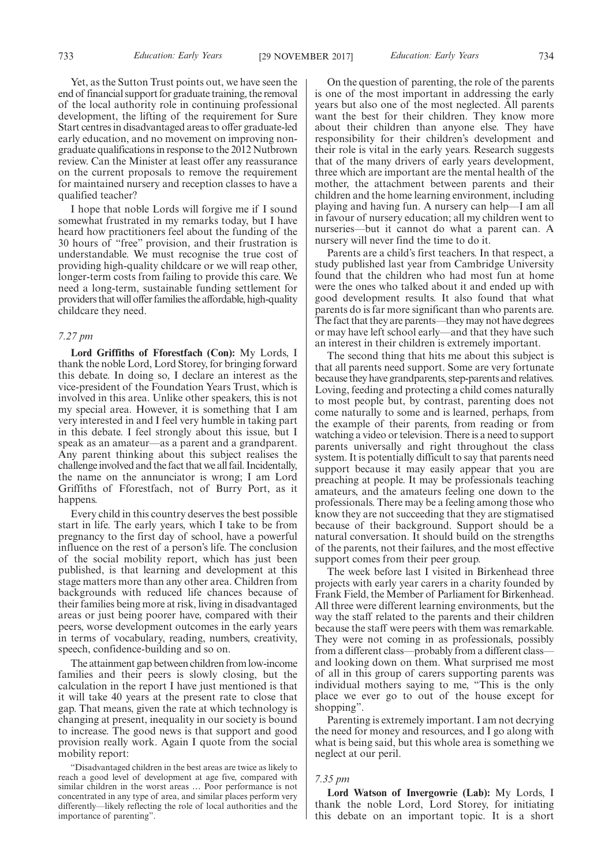733 *Education: Early Years* [29 NOVEMBER 2017] *Education: Early Years* 734

Yet, as the Sutton Trust points out, we have seen the end of financial support for graduate training, the removal of the local authority role in continuing professional development, the lifting of the requirement for Sure Start centres in disadvantaged areas to offer graduate-led early education, and no movement on improving nongraduate qualifications in response to the 2012 Nutbrown review. Can the Minister at least offer any reassurance on the current proposals to remove the requirement for maintained nursery and reception classes to have a qualified teacher?

I hope that noble Lords will forgive me if I sound somewhat frustrated in my remarks today, but I have heard how practitioners feel about the funding of the 30 hours of "free" provision, and their frustration is understandable. We must recognise the true cost of providing high-quality childcare or we will reap other, longer-term costs from failing to provide this care. We need a long-term, sustainable funding settlement for providers that will offer families the affordable, high-quality childcare they need.

#### *7.27 pm*

**Lord Griffiths of Fforestfach (Con):** My Lords, I thank the noble Lord, Lord Storey, for bringing forward this debate. In doing so, I declare an interest as the vice-president of the Foundation Years Trust, which is involved in this area. Unlike other speakers, this is not my special area. However, it is something that I am very interested in and I feel very humble in taking part in this debate. I feel strongly about this issue, but I speak as an amateur—as a parent and a grandparent. Any parent thinking about this subject realises the challenge involved and the fact that we all fail. Incidentally, the name on the annunciator is wrong; I am Lord Griffiths of Fforestfach, not of Burry Port, as it happens.

Every child in this country deserves the best possible start in life. The early years, which I take to be from pregnancy to the first day of school, have a powerful influence on the rest of a person's life. The conclusion of the social mobility report, which has just been published, is that learning and development at this stage matters more than any other area. Children from backgrounds with reduced life chances because of their families being more at risk, living in disadvantaged areas or just being poorer have, compared with their peers, worse development outcomes in the early years in terms of vocabulary, reading, numbers, creativity, speech, confidence-building and so on.

The attainment gap between children from low-income families and their peers is slowly closing, but the calculation in the report I have just mentioned is that it will take 40 years at the present rate to close that gap. That means, given the rate at which technology is changing at present, inequality in our society is bound to increase. The good news is that support and good provision really work. Again I quote from the social mobility report:

"Disadvantaged children in the best areas are twice as likely to reach a good level of development at age five, compared with similar children in the worst areas … Poor performance is not concentrated in any type of area, and similar places perform very differently—likely reflecting the role of local authorities and the importance of parenting".

On the question of parenting, the role of the parents is one of the most important in addressing the early years but also one of the most neglected. All parents want the best for their children. They know more about their children than anyone else. They have responsibility for their children's development and their role is vital in the early years. Research suggests that of the many drivers of early years development, three which are important are the mental health of the mother, the attachment between parents and their children and the home learning environment, including playing and having fun. A nursery can help—I am all in favour of nursery education; all my children went to nurseries—but it cannot do what a parent can. A nursery will never find the time to do it.

Parents are a child's first teachers. In that respect, a study published last year from Cambridge University found that the children who had most fun at home were the ones who talked about it and ended up with good development results. It also found that what parents do is far more significant than who parents are. The fact that they are parents—they may not have degrees or may have left school early—and that they have such an interest in their children is extremely important.

The second thing that hits me about this subject is that all parents need support. Some are very fortunate because they have grandparents, step-parents and relatives. Loving, feeding and protecting a child comes naturally to most people but, by contrast, parenting does not come naturally to some and is learned, perhaps, from the example of their parents, from reading or from watching a video or television. There is a need to support parents universally and right throughout the class system. It is potentially difficult to say that parents need support because it may easily appear that you are preaching at people. It may be professionals teaching amateurs, and the amateurs feeling one down to the professionals. There may be a feeling among those who know they are not succeeding that they are stigmatised because of their background. Support should be a natural conversation. It should build on the strengths of the parents, not their failures, and the most effective support comes from their peer group.

The week before last I visited in Birkenhead three projects with early year carers in a charity founded by Frank Field, the Member of Parliament for Birkenhead. All three were different learning environments, but the way the staff related to the parents and their children because the staff were peers with them was remarkable. They were not coming in as professionals, possibly from a different class—probably from a different class and looking down on them. What surprised me most of all in this group of carers supporting parents was individual mothers saying to me, "This is the only place we ever go to out of the house except for shopping".

Parenting is extremely important. I am not decrying the need for money and resources, and I go along with what is being said, but this whole area is something we neglect at our peril.

#### *7.35 pm*

**Lord Watson of Invergowrie (Lab):** My Lords, I thank the noble Lord, Lord Storey, for initiating this debate on an important topic. It is a short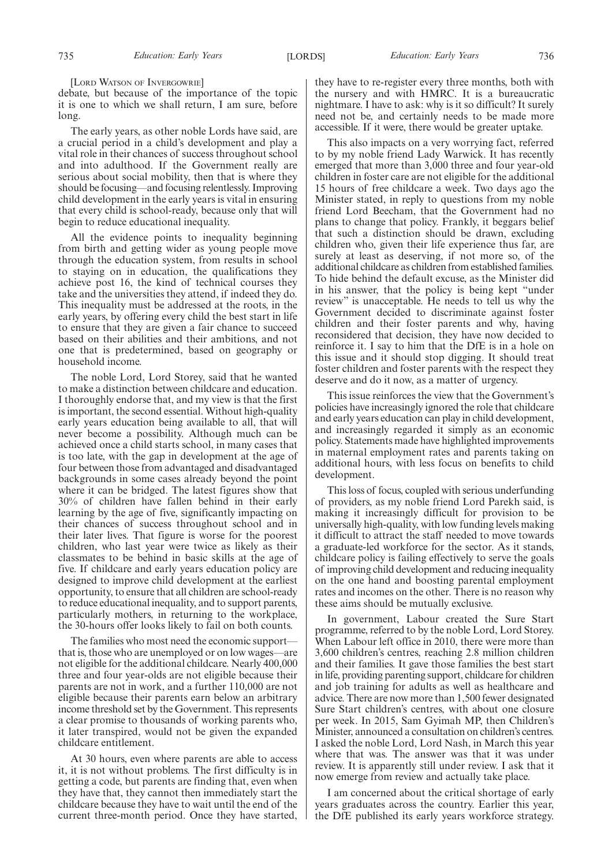[LORD WATSON OF INVERGOWRIE]

debate, but because of the importance of the topic it is one to which we shall return, I am sure, before long.

The early years, as other noble Lords have said, are a crucial period in a child's development and play a vital role in their chances of success throughout school and into adulthood. If the Government really are serious about social mobility, then that is where they should be focusing—and focusing relentlessly. Improving child development in the early years is vital in ensuring that every child is school-ready, because only that will begin to reduce educational inequality.

All the evidence points to inequality beginning from birth and getting wider as young people move through the education system, from results in school to staying on in education, the qualifications they achieve post 16, the kind of technical courses they take and the universities they attend, if indeed they do. This inequality must be addressed at the roots, in the early years, by offering every child the best start in life to ensure that they are given a fair chance to succeed based on their abilities and their ambitions, and not one that is predetermined, based on geography or household income.

The noble Lord, Lord Storey, said that he wanted to make a distinction between childcare and education. I thoroughly endorse that, and my view is that the first is important, the second essential. Without high-quality early years education being available to all, that will never become a possibility. Although much can be achieved once a child starts school, in many cases that is too late, with the gap in development at the age of four between those from advantaged and disadvantaged backgrounds in some cases already beyond the point where it can be bridged. The latest figures show that 30% of children have fallen behind in their early learning by the age of five, significantly impacting on their chances of success throughout school and in their later lives. That figure is worse for the poorest children, who last year were twice as likely as their classmates to be behind in basic skills at the age of five. If childcare and early years education policy are designed to improve child development at the earliest opportunity, to ensure that all children are school-ready to reduce educational inequality, and to support parents, particularly mothers, in returning to the workplace, the 30-hours offer looks likely to fail on both counts.

The families who most need the economic support that is, those who are unemployed or on low wages—are not eligible for the additional childcare. Nearly 400,000 three and four year-olds are not eligible because their parents are not in work, and a further 110,000 are not eligible because their parents earn below an arbitrary income threshold set by the Government. This represents a clear promise to thousands of working parents who, it later transpired, would not be given the expanded childcare entitlement.

At 30 hours, even where parents are able to access it, it is not without problems. The first difficulty is in getting a code, but parents are finding that, even when they have that, they cannot then immediately start the childcare because they have to wait until the end of the current three-month period. Once they have started, they have to re-register every three months, both with the nursery and with HMRC. It is a bureaucratic nightmare. I have to ask: why is it so difficult? It surely need not be, and certainly needs to be made more accessible. If it were, there would be greater uptake.

This also impacts on a very worrying fact, referred to by my noble friend Lady Warwick. It has recently emerged that more than 3,000 three and four year-old children in foster care are not eligible for the additional 15 hours of free childcare a week. Two days ago the Minister stated, in reply to questions from my noble friend Lord Beecham, that the Government had no plans to change that policy. Frankly, it beggars belief that such a distinction should be drawn, excluding children who, given their life experience thus far, are surely at least as deserving, if not more so, of the additional childcare as children from established families. To hide behind the default excuse, as the Minister did in his answer, that the policy is being kept "under review" is unacceptable. He needs to tell us why the Government decided to discriminate against foster children and their foster parents and why, having reconsidered that decision, they have now decided to reinforce it. I say to him that the DfE is in a hole on this issue and it should stop digging. It should treat foster children and foster parents with the respect they deserve and do it now, as a matter of urgency.

This issue reinforces the view that the Government's policies have increasingly ignored the role that childcare and early years education can play in child development, and increasingly regarded it simply as an economic policy. Statements made have highlighted improvements in maternal employment rates and parents taking on additional hours, with less focus on benefits to child development.

This loss of focus, coupled with serious underfunding of providers, as my noble friend Lord Parekh said, is making it increasingly difficult for provision to be universally high-quality, with low funding levels making it difficult to attract the staff needed to move towards a graduate-led workforce for the sector. As it stands, childcare policy is failing effectively to serve the goals of improving child development and reducing inequality on the one hand and boosting parental employment rates and incomes on the other. There is no reason why these aims should be mutually exclusive.

In government, Labour created the Sure Start programme, referred to by the noble Lord, Lord Storey. When Labour left office in 2010, there were more than 3,600 children's centres, reaching 2.8 million children and their families. It gave those families the best start in life, providing parenting support, childcare for children and job training for adults as well as healthcare and advice. There are now more than 1,500 fewer designated Sure Start children's centres, with about one closure per week. In 2015, Sam Gyimah MP, then Children's Minister, announced a consultation on children's centres. I asked the noble Lord, Lord Nash, in March this year where that was. The answer was that it was under review. It is apparently still under review. I ask that it now emerge from review and actually take place.

I am concerned about the critical shortage of early years graduates across the country. Earlier this year, the DfE published its early years workforce strategy.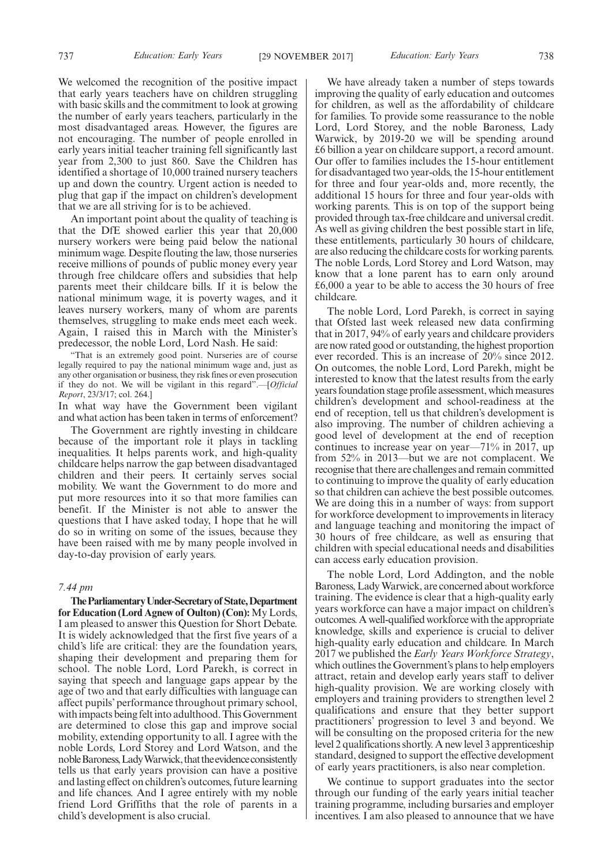737 *Education: Early Years* [29 NOVEMBER 2017] *Education: Early Years* 738

We welcomed the recognition of the positive impact that early years teachers have on children struggling with basic skills and the commitment to look at growing the number of early years teachers, particularly in the most disadvantaged areas. However, the figures are not encouraging. The number of people enrolled in early years initial teacher training fell significantly last year from 2,300 to just 860. Save the Children has identified a shortage of 10,000 trained nursery teachers up and down the country. Urgent action is needed to plug that gap if the impact on children's development that we are all striving for is to be achieved.

An important point about the quality of teaching is that the DfE showed earlier this year that 20,000 nursery workers were being paid below the national minimum wage. Despite flouting the law, those nurseries receive millions of pounds of public money every year through free childcare offers and subsidies that help parents meet their childcare bills. If it is below the national minimum wage, it is poverty wages, and it leaves nursery workers, many of whom are parents themselves, struggling to make ends meet each week. Again, I raised this in March with the Minister's predecessor, the noble Lord, Lord Nash. He said:

"That is an extremely good point. Nurseries are of course legally required to pay the national minimum wage and, just as any other organisation or business, they risk fines or even prosecution if they do not. We will be vigilant in this regard".—[*Official Report*, 23/3/17; col. 264.]

In what way have the Government been vigilant and what action has been taken in terms of enforcement?

The Government are rightly investing in childcare because of the important role it plays in tackling inequalities. It helps parents work, and high-quality childcare helps narrow the gap between disadvantaged children and their peers. It certainly serves social mobility. We want the Government to do more and put more resources into it so that more families can benefit. If the Minister is not able to answer the questions that I have asked today, I hope that he will do so in writing on some of the issues, because they have been raised with me by many people involved in day-to-day provision of early years.

#### *7.44 pm*

**TheParliamentaryUnder-Secretaryof State,Department for Education (Lord Agnew of Oulton) (Con):** My Lords, I am pleased to answer this Question for Short Debate. It is widely acknowledged that the first five years of a child's life are critical: they are the foundation years, shaping their development and preparing them for school. The noble Lord, Lord Parekh, is correct in saying that speech and language gaps appear by the age of two and that early difficulties with language can affect pupils' performance throughout primary school, with impacts being felt into adulthood. This Government are determined to close this gap and improve social mobility, extending opportunity to all. I agree with the noble Lords, Lord Storey and Lord Watson, and the noble Baroness, Lady Warwick, that the evidence consistently tells us that early years provision can have a positive and lasting effect on children's outcomes, future learning and life chances. And I agree entirely with my noble friend Lord Griffiths that the role of parents in a child's development is also crucial.

We have already taken a number of steps towards improving the quality of early education and outcomes for children, as well as the affordability of childcare for families. To provide some reassurance to the noble Lord, Lord Storey, and the noble Baroness, Lady Warwick, by 2019-20 we will be spending around £6 billion a year on childcare support, a record amount. Our offer to families includes the 15-hour entitlement for disadvantaged two year-olds, the 15-hour entitlement for three and four year-olds and, more recently, the additional 15 hours for three and four year-olds with working parents. This is on top of the support being provided through tax-free childcare and universal credit. As well as giving children the best possible start in life, these entitlements, particularly 30 hours of childcare, are also reducing the childcare costs for working parents. The noble Lords, Lord Storey and Lord Watson, may know that a lone parent has to earn only around £6,000 a year to be able to access the 30 hours of free childcare.

The noble Lord, Lord Parekh, is correct in saying that Ofsted last week released new data confirming that in 2017, 94% of early years and childcare providers are now rated good or outstanding, the highest proportion ever recorded. This is an increase of 20% since 2012. On outcomes, the noble Lord, Lord Parekh, might be interested to know that the latest results from the early years foundation stage profile assessment, which measures children's development and school-readiness at the end of reception, tell us that children's development is also improving. The number of children achieving a good level of development at the end of reception continues to increase year on year—71% in 2017, up from 52% in 2013—but we are not complacent. We recognise that there are challenges and remain committed to continuing to improve the quality of early education so that children can achieve the best possible outcomes. We are doing this in a number of ways: from support for workforce development to improvements in literacy and language teaching and monitoring the impact of 30 hours of free childcare, as well as ensuring that children with special educational needs and disabilities can access early education provision.

The noble Lord, Lord Addington, and the noble Baroness, Lady Warwick, are concerned about workforce training. The evidence is clear that a high-quality early years workforce can have a major impact on children's outcomes. A well-qualified workforce with the appropriate knowledge, skills and experience is crucial to deliver high-quality early education and childcare. In March 2017 we published the *Early Years Workforce Strategy*, which outlines the Government's plans to help employers attract, retain and develop early years staff to deliver high-quality provision. We are working closely with employers and training providers to strengthen level 2 qualifications and ensure that they better support practitioners' progression to level 3 and beyond. We will be consulting on the proposed criteria for the new level 2 qualifications shortly. A new level 3 apprenticeship standard, designed to support the effective development of early years practitioners, is also near completion.

We continue to support graduates into the sector through our funding of the early years initial teacher training programme, including bursaries and employer incentives. I am also pleased to announce that we have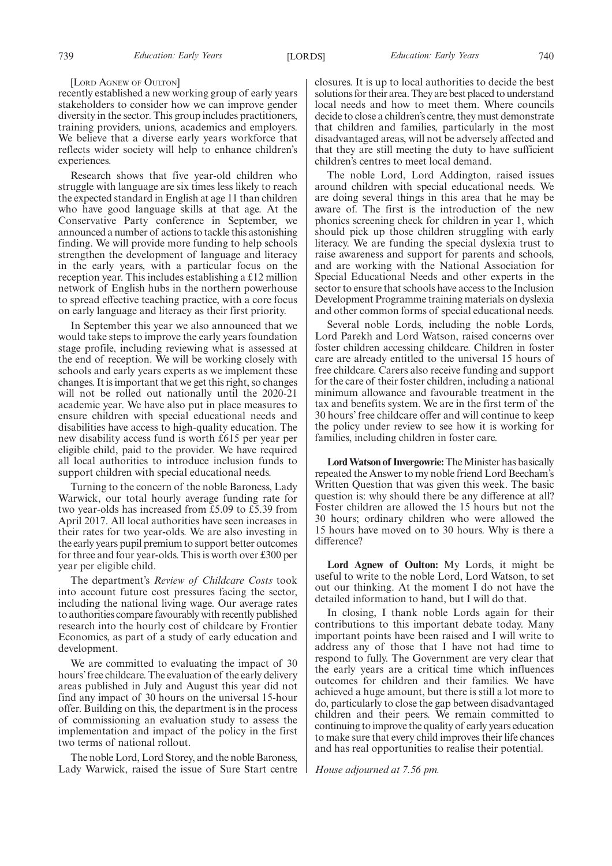#### [LORD AGNEW OF OULTON]

recently established a new working group of early years stakeholders to consider how we can improve gender diversity in the sector. This group includes practitioners, training providers, unions, academics and employers. We believe that a diverse early years workforce that reflects wider society will help to enhance children's experiences.

Research shows that five year-old children who struggle with language are six times less likely to reach the expected standard in English at age 11 than children who have good language skills at that age. At the Conservative Party conference in September, we announced a number of actions to tackle this astonishing finding. We will provide more funding to help schools strengthen the development of language and literacy in the early years, with a particular focus on the reception year. This includes establishing a £12 million network of English hubs in the northern powerhouse to spread effective teaching practice, with a core focus on early language and literacy as their first priority.

In September this year we also announced that we would take steps to improve the early years foundation stage profile, including reviewing what is assessed at the end of reception. We will be working closely with schools and early years experts as we implement these changes. It is important that we get this right, so changes will not be rolled out nationally until the 2020-21 academic year. We have also put in place measures to ensure children with special educational needs and disabilities have access to high-quality education. The new disability access fund is worth £615 per year per eligible child, paid to the provider. We have required all local authorities to introduce inclusion funds to support children with special educational needs.

Turning to the concern of the noble Baroness, Lady Warwick, our total hourly average funding rate for two year-olds has increased from £5.09 to £5.39 from April 2017. All local authorities have seen increases in their rates for two year-olds. We are also investing in the early years pupil premium to support better outcomes for three and four year-olds. This is worth over £300 per year per eligible child.

The department's *Review of Childcare Costs* took into account future cost pressures facing the sector, including the national living wage. Our average rates to authorities compare favourably with recently published research into the hourly cost of childcare by Frontier Economics, as part of a study of early education and development.

We are committed to evaluating the impact of 30 hours' free childcare. The evaluation of the early delivery areas published in July and August this year did not find any impact of 30 hours on the universal 15-hour offer. Building on this, the department is in the process of commissioning an evaluation study to assess the implementation and impact of the policy in the first two terms of national rollout.

The noble Lord, Lord Storey, and the noble Baroness, Lady Warwick, raised the issue of Sure Start centre closures. It is up to local authorities to decide the best solutions for their area. They are best placed to understand local needs and how to meet them. Where councils decide to close a children's centre, they must demonstrate that children and families, particularly in the most disadvantaged areas, will not be adversely affected and that they are still meeting the duty to have sufficient children's centres to meet local demand.

The noble Lord, Lord Addington, raised issues around children with special educational needs. We are doing several things in this area that he may be aware of. The first is the introduction of the new phonics screening check for children in year 1, which should pick up those children struggling with early literacy. We are funding the special dyslexia trust to raise awareness and support for parents and schools, and are working with the National Association for Special Educational Needs and other experts in the sector to ensure that schools have access to the Inclusion Development Programme training materials on dyslexia and other common forms of special educational needs.

Several noble Lords, including the noble Lords, Lord Parekh and Lord Watson, raised concerns over foster children accessing childcare. Children in foster care are already entitled to the universal 15 hours of free childcare. Carers also receive funding and support for the care of their foster children, including a national minimum allowance and favourable treatment in the tax and benefits system. We are in the first term of the 30 hours' free childcare offer and will continue to keep the policy under review to see how it is working for families, including children in foster care.

**Lord Watson of Invergowrie:**The Minister has basically repeated the Answer to my noble friend Lord Beecham's Written Question that was given this week. The basic question is: why should there be any difference at all? Foster children are allowed the 15 hours but not the 30 hours; ordinary children who were allowed the 15 hours have moved on to 30 hours. Why is there a difference?

**Lord Agnew of Oulton:** My Lords, it might be useful to write to the noble Lord, Lord Watson, to set out our thinking. At the moment I do not have the detailed information to hand, but I will do that.

In closing, I thank noble Lords again for their contributions to this important debate today. Many important points have been raised and I will write to address any of those that I have not had time to respond to fully. The Government are very clear that the early years are a critical time which influences outcomes for children and their families. We have achieved a huge amount, but there is still a lot more to do, particularly to close the gap between disadvantaged children and their peers. We remain committed to continuing to improve the quality of early years education to make sure that every child improves their life chances and has real opportunities to realise their potential.

*House adjourned at 7.56 pm.*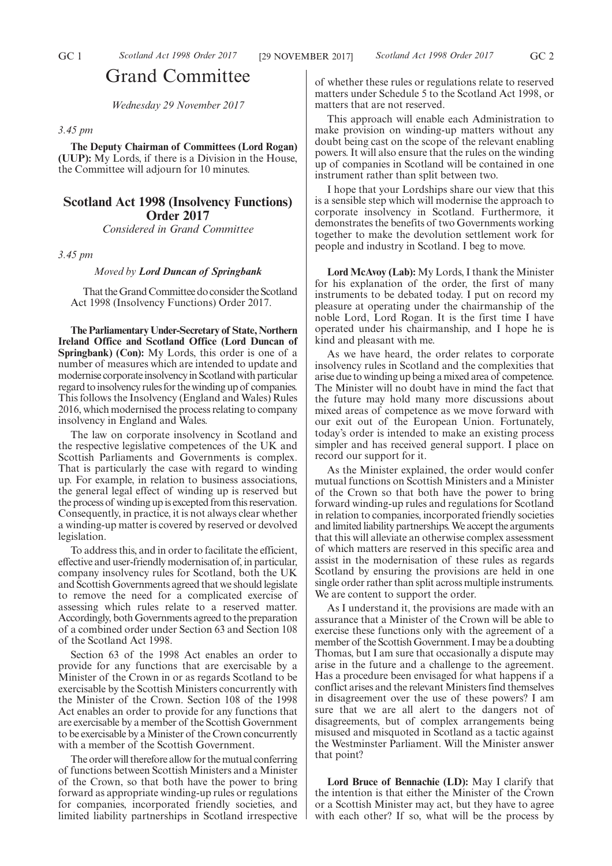# Grand Committee

*Wednesday 29 November 2017*

#### *3.45 pm*

**The Deputy Chairman of Committees (Lord Rogan) (UUP):** My Lords, if there is a Division in the House, the Committee will adjourn for 10 minutes.

# **Scotland Act 1998 (Insolvency Functions) Order 2017**

*Considered in Grand Committee*

*3.45 pm*

*Moved by Lord Duncan of Springbank*

That the Grand Committee do consider the Scotland Act 1998 (Insolvency Functions) Order 2017.

**The Parliamentary Under-Secretary of State, Northern Ireland Office and Scotland Office (Lord Duncan of Springbank) (Con):** My Lords, this order is one of a number of measures which are intended to update and modernise corporate insolvency in Scotland with particular regard to insolvency rules for the winding up of companies. This follows the Insolvency (England and Wales) Rules 2016, which modernised the process relating to company insolvency in England and Wales.

The law on corporate insolvency in Scotland and the respective legislative competences of the UK and Scottish Parliaments and Governments is complex. That is particularly the case with regard to winding up. For example, in relation to business associations, the general legal effect of winding up is reserved but the process of winding up is excepted from this reservation. Consequently, in practice, it is not always clear whether a winding-up matter is covered by reserved or devolved legislation.

To address this, and in order to facilitate the efficient, effective and user-friendly modernisation of, in particular, company insolvency rules for Scotland, both the UK and Scottish Governments agreed that we should legislate to remove the need for a complicated exercise of assessing which rules relate to a reserved matter. Accordingly, both Governments agreed to the preparation of a combined order under Section 63 and Section 108 of the Scotland Act 1998.

Section 63 of the 1998 Act enables an order to provide for any functions that are exercisable by a Minister of the Crown in or as regards Scotland to be exercisable by the Scottish Ministers concurrently with the Minister of the Crown. Section 108 of the 1998 Act enables an order to provide for any functions that are exercisable by a member of the Scottish Government to be exercisable by a Minister of the Crown concurrently with a member of the Scottish Government.

The order will therefore allow for the mutual conferring of functions between Scottish Ministers and a Minister of the Crown, so that both have the power to bring forward as appropriate winding-up rules or regulations for companies, incorporated friendly societies, and limited liability partnerships in Scotland irrespective of whether these rules or regulations relate to reserved matters under Schedule 5 to the Scotland Act 1998, or matters that are not reserved.

This approach will enable each Administration to make provision on winding-up matters without any doubt being cast on the scope of the relevant enabling powers. It will also ensure that the rules on the winding up of companies in Scotland will be contained in one instrument rather than split between two.

I hope that your Lordships share our view that this is a sensible step which will modernise the approach to corporate insolvency in Scotland. Furthermore, it demonstrates the benefits of two Governments working together to make the devolution settlement work for people and industry in Scotland. I beg to move.

**Lord McAvoy (Lab):** My Lords, I thank the Minister for his explanation of the order, the first of many instruments to be debated today. I put on record my pleasure at operating under the chairmanship of the noble Lord, Lord Rogan. It is the first time I have operated under his chairmanship, and I hope he is kind and pleasant with me.

As we have heard, the order relates to corporate insolvency rules in Scotland and the complexities that arise due to winding up being a mixed area of competence. The Minister will no doubt have in mind the fact that the future may hold many more discussions about mixed areas of competence as we move forward with our exit out of the European Union. Fortunately, today's order is intended to make an existing process simpler and has received general support. I place on record our support for it.

As the Minister explained, the order would confer mutual functions on Scottish Ministers and a Minister of the Crown so that both have the power to bring forward winding-up rules and regulations for Scotland in relation to companies, incorporated friendly societies and limited liability partnerships. We accept the arguments that this will alleviate an otherwise complex assessment of which matters are reserved in this specific area and assist in the modernisation of these rules as regards Scotland by ensuring the provisions are held in one single order rather than split across multiple instruments. We are content to support the order.

As I understand it, the provisions are made with an assurance that a Minister of the Crown will be able to exercise these functions only with the agreement of a member of the Scottish Government. I may be a doubting Thomas, but I am sure that occasionally a dispute may arise in the future and a challenge to the agreement. Has a procedure been envisaged for what happens if a conflict arises and the relevant Ministers find themselves in disagreement over the use of these powers? I am sure that we are all alert to the dangers not of disagreements, but of complex arrangements being misused and misquoted in Scotland as a tactic against the Westminster Parliament. Will the Minister answer that point?

**Lord Bruce of Bennachie (LD):** May I clarify that the intention is that either the Minister of the Crown or a Scottish Minister may act, but they have to agree with each other? If so, what will be the process by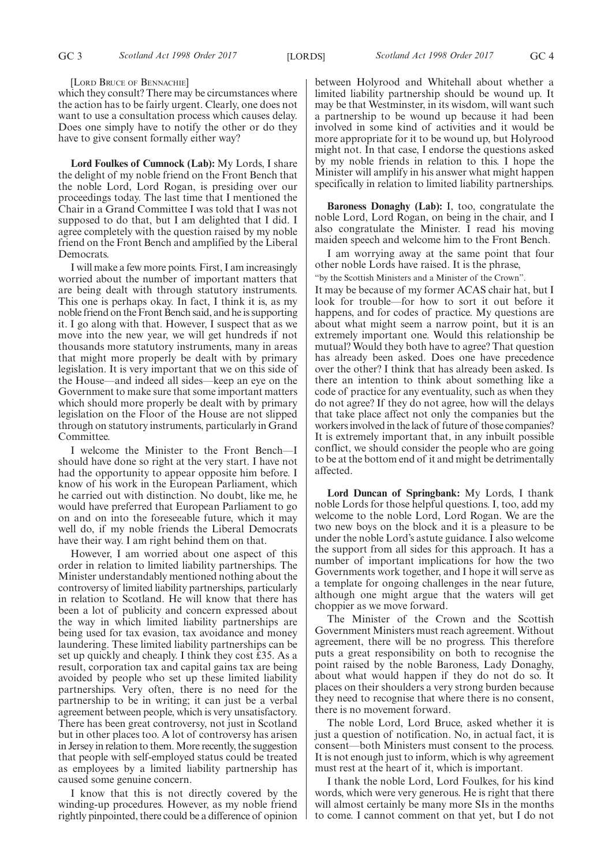#### [LORD BRUCE OF BENNACHIE]

which they consult? There may be circumstances where the action has to be fairly urgent. Clearly, one does not want to use a consultation process which causes delay. Does one simply have to notify the other or do they have to give consent formally either way?

**Lord Foulkes of Cumnock (Lab):** My Lords, I share the delight of my noble friend on the Front Bench that the noble Lord, Lord Rogan, is presiding over our proceedings today. The last time that I mentioned the Chair in a Grand Committee I was told that I was not supposed to do that, but I am delighted that I did. I agree completely with the question raised by my noble friend on the Front Bench and amplified by the Liberal Democrats.

I will make a few more points. First, I am increasingly worried about the number of important matters that are being dealt with through statutory instruments. This one is perhaps okay. In fact, I think it is, as my noble friend on the Front Bench said, and he is supporting it. I go along with that. However, I suspect that as we move into the new year, we will get hundreds if not thousands more statutory instruments, many in areas that might more properly be dealt with by primary legislation. It is very important that we on this side of the House—and indeed all sides—keep an eye on the Government to make sure that some important matters which should more properly be dealt with by primary legislation on the Floor of the House are not slipped through on statutory instruments, particularly in Grand Committee.

I welcome the Minister to the Front Bench—I should have done so right at the very start. I have not had the opportunity to appear opposite him before. I know of his work in the European Parliament, which he carried out with distinction. No doubt, like me, he would have preferred that European Parliament to go on and on into the foreseeable future, which it may well do, if my noble friends the Liberal Democrats have their way. I am right behind them on that.

However, I am worried about one aspect of this order in relation to limited liability partnerships. The Minister understandably mentioned nothing about the controversy of limited liability partnerships, particularly in relation to Scotland. He will know that there has been a lot of publicity and concern expressed about the way in which limited liability partnerships are being used for tax evasion, tax avoidance and money laundering. These limited liability partnerships can be set up quickly and cheaply. I think they cost £35. As a result, corporation tax and capital gains tax are being avoided by people who set up these limited liability partnerships. Very often, there is no need for the partnership to be in writing; it can just be a verbal agreement between people, which is very unsatisfactory. There has been great controversy, not just in Scotland but in other places too. A lot of controversy has arisen in Jersey in relation to them. More recently, the suggestion that people with self-employed status could be treated as employees by a limited liability partnership has caused some genuine concern.

I know that this is not directly covered by the winding-up procedures. However, as my noble friend rightly pinpointed, there could be a difference of opinion between Holyrood and Whitehall about whether a limited liability partnership should be wound up. It may be that Westminster, in its wisdom, will want such a partnership to be wound up because it had been involved in some kind of activities and it would be more appropriate for it to be wound up, but Holyrood might not. In that case, I endorse the questions asked by my noble friends in relation to this. I hope the Minister will amplify in his answer what might happen specifically in relation to limited liability partnerships.

**Baroness Donaghy (Lab):** I, too, congratulate the noble Lord, Lord Rogan, on being in the chair, and I also congratulate the Minister. I read his moving maiden speech and welcome him to the Front Bench.

I am worrying away at the same point that four other noble Lords have raised. It is the phrase, "by the Scottish Ministers and a Minister of the Crown".

It may be because of my former ACAS chair hat, but I look for trouble—for how to sort it out before it happens, and for codes of practice. My questions are about what might seem a narrow point, but it is an extremely important one. Would this relationship be mutual? Would they both have to agree? That question has already been asked. Does one have precedence over the other? I think that has already been asked. Is there an intention to think about something like a code of practice for any eventuality, such as when they do not agree? If they do not agree, how will the delays that take place affect not only the companies but the workers involved in the lack of future of those companies? It is extremely important that, in any inbuilt possible conflict, we should consider the people who are going to be at the bottom end of it and might be detrimentally affected.

**Lord Duncan of Springbank:** My Lords, I thank noble Lords for those helpful questions. I, too, add my welcome to the noble Lord, Lord Rogan. We are the two new boys on the block and it is a pleasure to be under the noble Lord's astute guidance. I also welcome the support from all sides for this approach. It has a number of important implications for how the two Governments work together, and I hope it will serve as a template for ongoing challenges in the near future, although one might argue that the waters will get choppier as we move forward.

The Minister of the Crown and the Scottish Government Ministers must reach agreement. Without agreement, there will be no progress. This therefore puts a great responsibility on both to recognise the point raised by the noble Baroness, Lady Donaghy, about what would happen if they do not do so. It places on their shoulders a very strong burden because they need to recognise that where there is no consent, there is no movement forward.

The noble Lord, Lord Bruce, asked whether it is just a question of notification. No, in actual fact, it is consent—both Ministers must consent to the process. It is not enough just to inform, which is why agreement must rest at the heart of it, which is important.

I thank the noble Lord, Lord Foulkes, for his kind words, which were very generous. He is right that there will almost certainly be many more SIs in the months to come. I cannot comment on that yet, but I do not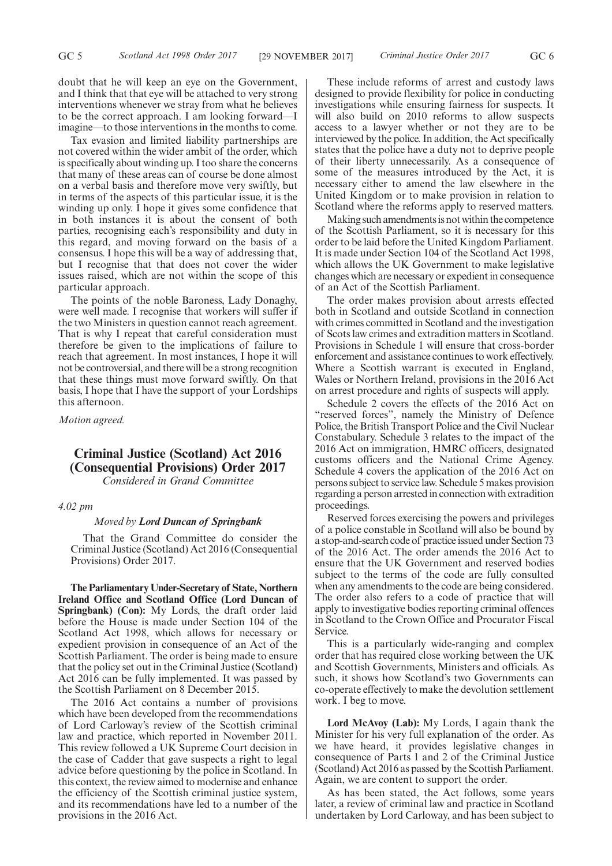Tax evasion and limited liability partnerships are not covered within the wider ambit of the order, which is specifically about winding up. I too share the concerns that many of these areas can of course be done almost on a verbal basis and therefore move very swiftly, but in terms of the aspects of this particular issue, it is the winding up only. I hope it gives some confidence that in both instances it is about the consent of both parties, recognising each's responsibility and duty in this regard, and moving forward on the basis of a consensus. I hope this will be a way of addressing that, but I recognise that that does not cover the wider issues raised, which are not within the scope of this particular approach.

The points of the noble Baroness, Lady Donaghy, were well made. I recognise that workers will suffer if the two Ministers in question cannot reach agreement. That is why I repeat that careful consideration must therefore be given to the implications of failure to reach that agreement. In most instances, I hope it will not be controversial, and there will be a strong recognition that these things must move forward swiftly. On that basis, I hope that I have the support of your Lordships this afternoon.

*Motion agreed.*

# **Criminal Justice (Scotland) Act 2016 (Consequential Provisions) Order 2017**

*Considered in Grand Committee*

### *4.02 pm*

#### *Moved by Lord Duncan of Springbank*

That the Grand Committee do consider the Criminal Justice (Scotland) Act 2016 (Consequential Provisions) Order 2017.

**The Parliamentary Under-Secretary of State, Northern Ireland Office and Scotland Office (Lord Duncan of Springbank) (Con):** My Lords, the draft order laid before the House is made under Section 104 of the Scotland Act 1998, which allows for necessary or expedient provision in consequence of an Act of the Scottish Parliament. The order is being made to ensure that the policy set out in the Criminal Justice (Scotland) Act 2016 can be fully implemented. It was passed by the Scottish Parliament on 8 December 2015.

The 2016 Act contains a number of provisions which have been developed from the recommendations of Lord Carloway's review of the Scottish criminal law and practice, which reported in November 2011. This review followed a UK Supreme Court decision in the case of Cadder that gave suspects a right to legal advice before questioning by the police in Scotland. In this context, the review aimed to modernise and enhance the efficiency of the Scottish criminal justice system, and its recommendations have led to a number of the provisions in the 2016 Act.

These include reforms of arrest and custody laws designed to provide flexibility for police in conducting investigations while ensuring fairness for suspects. It will also build on 2010 reforms to allow suspects access to a lawyer whether or not they are to be interviewed by the police. In addition, the Act specifically states that the police have a duty not to deprive people of their liberty unnecessarily. As a consequence of some of the measures introduced by the Act, it is necessary either to amend the law elsewhere in the United Kingdom or to make provision in relation to Scotland where the reforms apply to reserved matters.

Making such amendments is not within the competence of the Scottish Parliament, so it is necessary for this order to be laid before the United Kingdom Parliament. It is made under Section 104 of the Scotland Act 1998, which allows the UK Government to make legislative changes which are necessary or expedient in consequence of an Act of the Scottish Parliament.

The order makes provision about arrests effected both in Scotland and outside Scotland in connection with crimes committed in Scotland and the investigation of Scots law crimes and extradition matters in Scotland. Provisions in Schedule 1 will ensure that cross-border enforcement and assistance continues to work effectively. Where a Scottish warrant is executed in England, Wales or Northern Ireland, provisions in the 2016 Act on arrest procedure and rights of suspects will apply.

Schedule 2 covers the effects of the 2016 Act on "reserved forces", namely the Ministry of Defence Police, the British Transport Police and the Civil Nuclear Constabulary. Schedule 3 relates to the impact of the 2016 Act on immigration, HMRC officers, designated customs officers and the National Crime Agency. Schedule 4 covers the application of the 2016 Act on persons subject to service law. Schedule 5 makes provision regarding a person arrested in connection with extradition proceedings.

Reserved forces exercising the powers and privileges of a police constable in Scotland will also be bound by a stop-and-search code of practice issued under Section 73 of the 2016 Act. The order amends the 2016 Act to ensure that the UK Government and reserved bodies subject to the terms of the code are fully consulted when any amendments to the code are being considered. The order also refers to a code of practice that will apply to investigative bodies reporting criminal offences in Scotland to the Crown Office and Procurator Fiscal Service.

This is a particularly wide-ranging and complex order that has required close working between the UK and Scottish Governments, Ministers and officials. As such, it shows how Scotland's two Governments can co-operate effectively to make the devolution settlement work. I beg to move.

**Lord McAvoy (Lab):** My Lords, I again thank the Minister for his very full explanation of the order. As we have heard, it provides legislative changes in consequence of Parts 1 and 2 of the Criminal Justice (Scotland) Act 2016 as passed by the Scottish Parliament. Again, we are content to support the order.

As has been stated, the Act follows, some years later, a review of criminal law and practice in Scotland undertaken by Lord Carloway, and has been subject to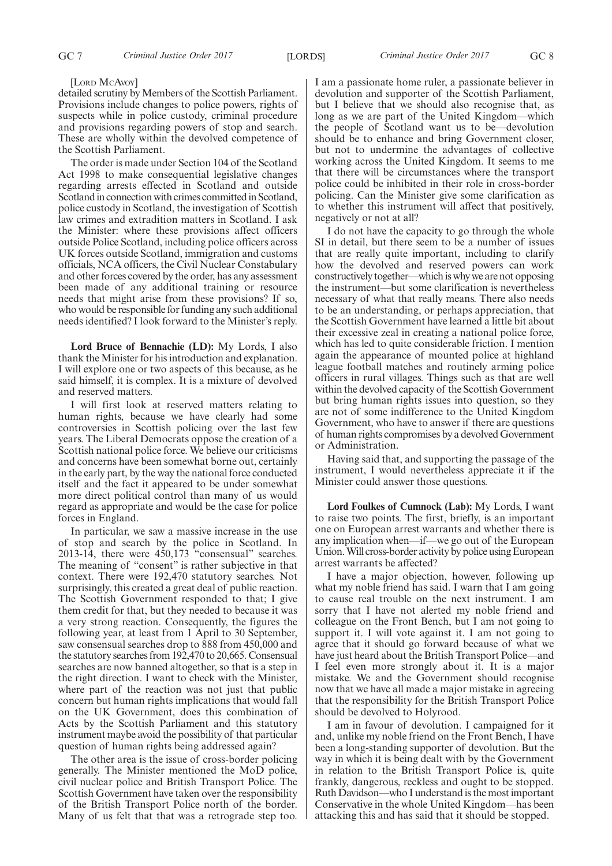#### [LORD McAvoy]

detailed scrutiny by Members of the Scottish Parliament. Provisions include changes to police powers, rights of suspects while in police custody, criminal procedure and provisions regarding powers of stop and search. These are wholly within the devolved competence of the Scottish Parliament.

The order is made under Section 104 of the Scotland Act 1998 to make consequential legislative changes regarding arrests effected in Scotland and outside Scotland in connection with crimes committed in Scotland, police custody in Scotland, the investigation of Scottish law crimes and extradition matters in Scotland. I ask the Minister: where these provisions affect officers outside Police Scotland, including police officers across UK forces outside Scotland, immigration and customs officials, NCA officers, the Civil Nuclear Constabulary and other forces covered by the order, has any assessment been made of any additional training or resource needs that might arise from these provisions? If so, who would be responsible for funding any such additional needs identified? I look forward to the Minister's reply.

**Lord Bruce of Bennachie (LD):** My Lords, I also thank the Minister for his introduction and explanation. I will explore one or two aspects of this because, as he said himself, it is complex. It is a mixture of devolved and reserved matters.

I will first look at reserved matters relating to human rights, because we have clearly had some controversies in Scottish policing over the last few years. The Liberal Democrats oppose the creation of a Scottish national police force. We believe our criticisms and concerns have been somewhat borne out, certainly in the early part, by the way the national force conducted itself and the fact it appeared to be under somewhat more direct political control than many of us would regard as appropriate and would be the case for police forces in England.

In particular, we saw a massive increase in the use of stop and search by the police in Scotland. In 2013-14, there were 450,173 "consensual" searches. The meaning of "consent" is rather subjective in that context. There were 192,470 statutory searches. Not surprisingly, this created a great deal of public reaction. The Scottish Government responded to that; I give them credit for that, but they needed to because it was a very strong reaction. Consequently, the figures the following year, at least from 1 April to 30 September, saw consensual searches drop to 888 from 450,000 and the statutory searches from 192,470 to 20,665. Consensual searches are now banned altogether, so that is a step in the right direction. I want to check with the Minister, where part of the reaction was not just that public concern but human rights implications that would fall on the UK Government, does this combination of Acts by the Scottish Parliament and this statutory instrument maybe avoid the possibility of that particular question of human rights being addressed again?

The other area is the issue of cross-border policing generally. The Minister mentioned the MoD police, civil nuclear police and British Transport Police. The Scottish Government have taken over the responsibility of the British Transport Police north of the border. Many of us felt that that was a retrograde step too. I am a passionate home ruler, a passionate believer in devolution and supporter of the Scottish Parliament, but I believe that we should also recognise that, as long as we are part of the United Kingdom—which the people of Scotland want us to be—devolution should be to enhance and bring Government closer, but not to undermine the advantages of collective working across the United Kingdom. It seems to me that there will be circumstances where the transport police could be inhibited in their role in cross-border policing. Can the Minister give some clarification as to whether this instrument will affect that positively, negatively or not at all?

I do not have the capacity to go through the whole SI in detail, but there seem to be a number of issues that are really quite important, including to clarify how the devolved and reserved powers can work constructively together—which is why we are not opposing the instrument—but some clarification is nevertheless necessary of what that really means. There also needs to be an understanding, or perhaps appreciation, that the Scottish Government have learned a little bit about their excessive zeal in creating a national police force, which has led to quite considerable friction. I mention again the appearance of mounted police at highland league football matches and routinely arming police officers in rural villages. Things such as that are well within the devolved capacity of the Scottish Government but bring human rights issues into question, so they are not of some indifference to the United Kingdom Government, who have to answer if there are questions of human rights compromises by a devolved Government or Administration.

Having said that, and supporting the passage of the instrument, I would nevertheless appreciate it if the Minister could answer those questions.

**Lord Foulkes of Cumnock (Lab):** My Lords, I want to raise two points. The first, briefly, is an important one on European arrest warrants and whether there is any implication when—if—we go out of the European Union. Will cross-border activity by police using European arrest warrants be affected?

I have a major objection, however, following up what my noble friend has said. I warn that I am going to cause real trouble on the next instrument. I am sorry that I have not alerted my noble friend and colleague on the Front Bench, but I am not going to support it. I will vote against it. I am not going to agree that it should go forward because of what we have just heard about the British Transport Police—and I feel even more strongly about it. It is a major mistake. We and the Government should recognise now that we have all made a major mistake in agreeing that the responsibility for the British Transport Police should be devolved to Holyrood.

I am in favour of devolution. I campaigned for it and, unlike my noble friend on the Front Bench, I have been a long-standing supporter of devolution. But the way in which it is being dealt with by the Government in relation to the British Transport Police is, quite frankly, dangerous, reckless and ought to be stopped. Ruth Davidson—who I understand is the most important Conservative in the whole United Kingdom—has been attacking this and has said that it should be stopped.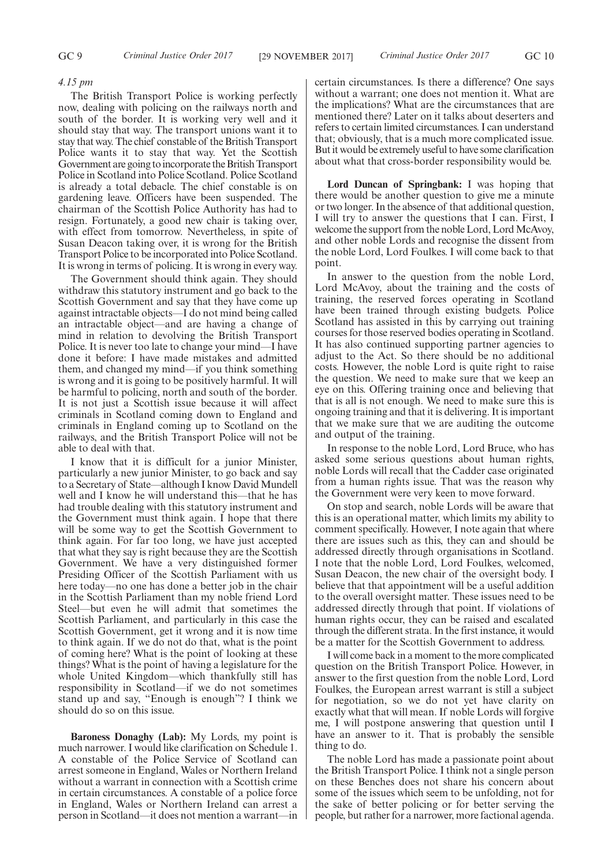#### *4.15 pm*

The British Transport Police is working perfectly now, dealing with policing on the railways north and south of the border. It is working very well and it should stay that way. The transport unions want it to stay that way. The chief constable of the British Transport Police wants it to stay that way. Yet the Scottish Government are going to incorporate the British Transport Police in Scotland into Police Scotland. Police Scotland is already a total debacle. The chief constable is on gardening leave. Officers have been suspended. The chairman of the Scottish Police Authority has had to resign. Fortunately, a good new chair is taking over, with effect from tomorrow. Nevertheless, in spite of Susan Deacon taking over, it is wrong for the British Transport Police to be incorporated into Police Scotland. It is wrong in terms of policing. It is wrong in every way.

The Government should think again. They should withdraw this statutory instrument and go back to the Scottish Government and say that they have come up against intractable objects—I do not mind being called an intractable object—and are having a change of mind in relation to devolving the British Transport Police. It is never too late to change your mind—I have done it before: I have made mistakes and admitted them, and changed my mind—if you think something is wrong and it is going to be positively harmful. It will be harmful to policing, north and south of the border. It is not just a Scottish issue because it will affect criminals in Scotland coming down to England and criminals in England coming up to Scotland on the railways, and the British Transport Police will not be able to deal with that.

I know that it is difficult for a junior Minister, particularly a new junior Minister, to go back and say to a Secretary of State—although I know David Mundell well and I know he will understand this—that he has had trouble dealing with this statutory instrument and the Government must think again. I hope that there will be some way to get the Scottish Government to think again. For far too long, we have just accepted that what they say is right because they are the Scottish Government. We have a very distinguished former Presiding Officer of the Scottish Parliament with us here today—no one has done a better job in the chair in the Scottish Parliament than my noble friend Lord Steel—but even he will admit that sometimes the Scottish Parliament, and particularly in this case the Scottish Government, get it wrong and it is now time to think again. If we do not do that, what is the point of coming here? What is the point of looking at these things? What is the point of having a legislature for the whole United Kingdom—which thankfully still has responsibility in Scotland—if we do not sometimes stand up and say, "Enough is enough"? I think we should do so on this issue.

**Baroness Donaghy (Lab):** My Lords, my point is much narrower. I would like clarification on Schedule 1. A constable of the Police Service of Scotland can arrest someone in England, Wales or Northern Ireland without a warrant in connection with a Scottish crime in certain circumstances. A constable of a police force in England, Wales or Northern Ireland can arrest a person in Scotland—it does not mention a warrant—in certain circumstances. Is there a difference? One says without a warrant; one does not mention it. What are the implications? What are the circumstances that are mentioned there? Later on it talks about deserters and refers to certain limited circumstances. I can understand that; obviously, that is a much more complicated issue. But it would be extremely useful to have some clarification about what that cross-border responsibility would be.

**Lord Duncan of Springbank:** I was hoping that there would be another question to give me a minute or two longer. In the absence of that additional question, I will try to answer the questions that I can. First, I welcome the support from the noble Lord, Lord McAvoy, and other noble Lords and recognise the dissent from the noble Lord, Lord Foulkes. I will come back to that point.

In answer to the question from the noble Lord, Lord McAvoy, about the training and the costs of training, the reserved forces operating in Scotland have been trained through existing budgets. Police Scotland has assisted in this by carrying out training courses for those reserved bodies operating in Scotland. It has also continued supporting partner agencies to adjust to the Act. So there should be no additional costs. However, the noble Lord is quite right to raise the question. We need to make sure that we keep an eye on this. Offering training once and believing that that is all is not enough. We need to make sure this is ongoing training and that it is delivering. It is important that we make sure that we are auditing the outcome and output of the training.

In response to the noble Lord, Lord Bruce, who has asked some serious questions about human rights, noble Lords will recall that the Cadder case originated from a human rights issue. That was the reason why the Government were very keen to move forward.

On stop and search, noble Lords will be aware that this is an operational matter, which limits my ability to comment specifically. However, I note again that where there are issues such as this, they can and should be addressed directly through organisations in Scotland. I note that the noble Lord, Lord Foulkes, welcomed, Susan Deacon, the new chair of the oversight body. I believe that that appointment will be a useful addition to the overall oversight matter. These issues need to be addressed directly through that point. If violations of human rights occur, they can be raised and escalated through the different strata. In the first instance, it would be a matter for the Scottish Government to address.

I will come back in a moment to the more complicated question on the British Transport Police. However, in answer to the first question from the noble Lord, Lord Foulkes, the European arrest warrant is still a subject for negotiation, so we do not yet have clarity on exactly what that will mean. If noble Lords will forgive me, I will postpone answering that question until I have an answer to it. That is probably the sensible thing to do.

The noble Lord has made a passionate point about the British Transport Police. I think not a single person on these Benches does not share his concern about some of the issues which seem to be unfolding, not for the sake of better policing or for better serving the people, but rather for a narrower, more factional agenda.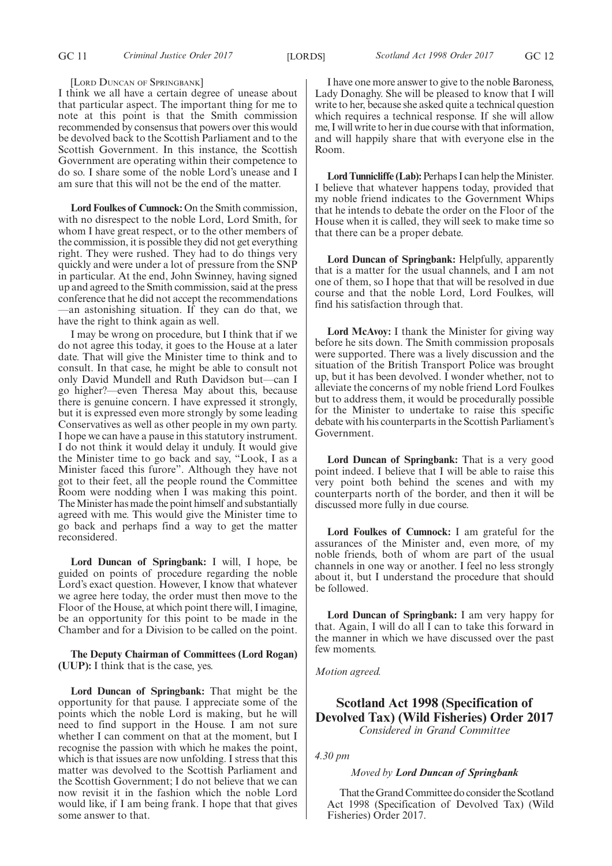[LORD DUNCAN OF SPRINGBANK]

I think we all have a certain degree of unease about that particular aspect. The important thing for me to note at this point is that the Smith commission recommended by consensus that powers over this would be devolved back to the Scottish Parliament and to the Scottish Government. In this instance, the Scottish Government are operating within their competence to do so. I share some of the noble Lord's unease and I am sure that this will not be the end of the matter.

**Lord Foulkes of Cumnock:** On the Smith commission, with no disrespect to the noble Lord, Lord Smith, for whom I have great respect, or to the other members of the commission, it is possible they did not get everything right. They were rushed. They had to do things very quickly and were under a lot of pressure from the SNP in particular. At the end, John Swinney, having signed up and agreed to the Smith commission, said at the press conference that he did not accept the recommendations —an astonishing situation. If they can do that, we have the right to think again as well.

I may be wrong on procedure, but I think that if we do not agree this today, it goes to the House at a later date. That will give the Minister time to think and to consult. In that case, he might be able to consult not only David Mundell and Ruth Davidson but—can I go higher?—even Theresa May about this, because there is genuine concern. I have expressed it strongly, but it is expressed even more strongly by some leading Conservatives as well as other people in my own party. I hope we can have a pause in this statutory instrument. I do not think it would delay it unduly. It would give the Minister time to go back and say, "Look, I as a Minister faced this furore". Although they have not got to their feet, all the people round the Committee Room were nodding when I was making this point. The Minister has made the point himself and substantially agreed with me. This would give the Minister time to go back and perhaps find a way to get the matter reconsidered.

**Lord Duncan of Springbank:** I will, I hope, be guided on points of procedure regarding the noble Lord's exact question. However, I know that whatever we agree here today, the order must then move to the Floor of the House, at which point there will, I imagine, be an opportunity for this point to be made in the Chamber and for a Division to be called on the point.

**The Deputy Chairman of Committees (Lord Rogan) (UUP):** I think that is the case, yes.

**Lord Duncan of Springbank:** That might be the opportunity for that pause. I appreciate some of the points which the noble Lord is making, but he will need to find support in the House. I am not sure whether I can comment on that at the moment, but I recognise the passion with which he makes the point, which is that issues are now unfolding. I stress that this matter was devolved to the Scottish Parliament and the Scottish Government; I do not believe that we can now revisit it in the fashion which the noble Lord would like, if I am being frank. I hope that that gives some answer to that.

I have one more answer to give to the noble Baroness, Lady Donaghy. She will be pleased to know that I will write to her, because she asked quite a technical question which requires a technical response. If she will allow me, I will write to her in due course with that information, and will happily share that with everyone else in the Room.

Lord Tunnicliffe (Lab): Perhaps I can help the Minister. I believe that whatever happens today, provided that my noble friend indicates to the Government Whips that he intends to debate the order on the Floor of the House when it is called, they will seek to make time so that there can be a proper debate.

**Lord Duncan of Springbank:** Helpfully, apparently that is a matter for the usual channels, and I am not one of them, so I hope that that will be resolved in due course and that the noble Lord, Lord Foulkes, will find his satisfaction through that.

**Lord McAvoy:** I thank the Minister for giving way before he sits down. The Smith commission proposals were supported. There was a lively discussion and the situation of the British Transport Police was brought up, but it has been devolved.  $\overrightarrow{l}$  wonder whether, not to alleviate the concerns of my noble friend Lord Foulkes but to address them, it would be procedurally possible for the Minister to undertake to raise this specific debate with his counterparts in the Scottish Parliament's Government.

**Lord Duncan of Springbank:** That is a very good point indeed. I believe that I will be able to raise this very point both behind the scenes and with my counterparts north of the border, and then it will be discussed more fully in due course.

**Lord Foulkes of Cumnock:** I am grateful for the assurances of the Minister and, even more, of my noble friends, both of whom are part of the usual channels in one way or another. I feel no less strongly about it, but I understand the procedure that should be followed.

**Lord Duncan of Springbank:** I am very happy for that. Again, I will do all  $\overline{I}$  can to take this forward in the manner in which we have discussed over the past few moments.

*Motion agreed.*

# **Scotland Act 1998 (Specification of Devolved Tax) (Wild Fisheries) Order 2017** *Considered in Grand Committee*

*4.30 pm*

#### *Moved by Lord Duncan of Springbank*

That the Grand Committee do consider the Scotland Act 1998 (Specification of Devolved Tax) (Wild Fisheries) Order 2017.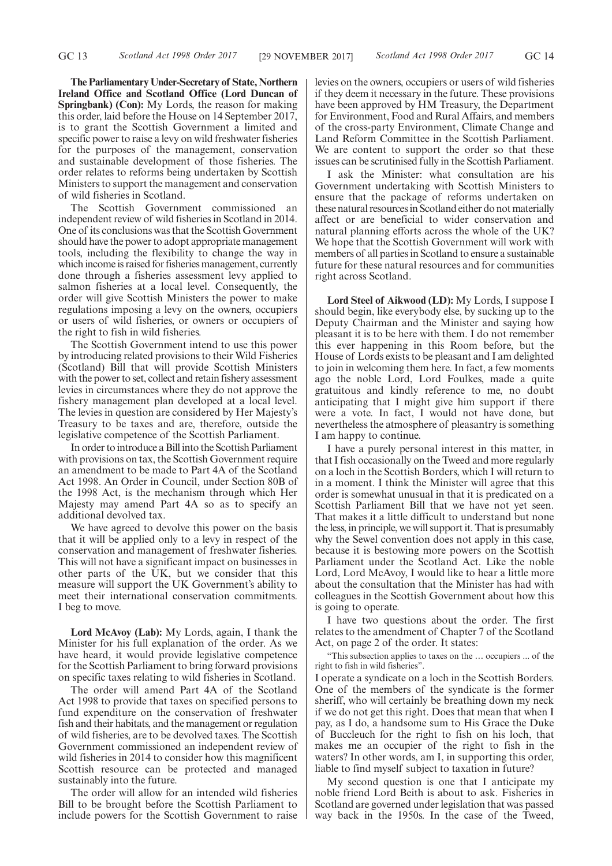**The Parliamentary Under-Secretary of State, Northern Ireland Office and Scotland Office (Lord Duncan of Springbank) (Con):** My Lords, the reason for making this order, laid before the House on 14 September 2017, is to grant the Scottish Government a limited and specific power to raise a levy on wild freshwater fisheries for the purposes of the management, conservation and sustainable development of those fisheries. The order relates to reforms being undertaken by Scottish Ministers to support the management and conservation of wild fisheries in Scotland.

The Scottish Government commissioned an independent review of wild fisheries in Scotland in 2014. One of its conclusions was that the Scottish Government should have the power to adopt appropriate management tools, including the flexibility to change the way in which income is raised for fisheries management, currently done through a fisheries assessment levy applied to salmon fisheries at a local level. Consequently, the order will give Scottish Ministers the power to make regulations imposing a levy on the owners, occupiers or users of wild fisheries, or owners or occupiers of the right to fish in wild fisheries.

The Scottish Government intend to use this power by introducing related provisions to their Wild Fisheries (Scotland) Bill that will provide Scottish Ministers with the power to set, collect and retain fishery assessment levies in circumstances where they do not approve the fishery management plan developed at a local level. The levies in question are considered by Her Majesty's Treasury to be taxes and are, therefore, outside the legislative competence of the Scottish Parliament.

In order to introduce a Bill into the Scottish Parliament with provisions on tax, the Scottish Government require an amendment to be made to Part 4A of the Scotland Act 1998. An Order in Council, under Section 80B of the 1998 Act, is the mechanism through which Her Majesty may amend Part 4A so as to specify an additional devolved tax.

We have agreed to devolve this power on the basis that it will be applied only to a levy in respect of the conservation and management of freshwater fisheries. This will not have a significant impact on businesses in other parts of the UK, but we consider that this measure will support the UK Government's ability to meet their international conservation commitments. I beg to move.

**Lord McAvoy (Lab):** My Lords, again, I thank the Minister for his full explanation of the order. As we have heard, it would provide legislative competence for the Scottish Parliament to bring forward provisions on specific taxes relating to wild fisheries in Scotland.

The order will amend Part 4A of the Scotland Act 1998 to provide that taxes on specified persons to fund expenditure on the conservation of freshwater fish and their habitats, and the management or regulation of wild fisheries, are to be devolved taxes. The Scottish Government commissioned an independent review of wild fisheries in 2014 to consider how this magnificent Scottish resource can be protected and managed sustainably into the future.

The order will allow for an intended wild fisheries Bill to be brought before the Scottish Parliament to include powers for the Scottish Government to raise levies on the owners, occupiers or users of wild fisheries if they deem it necessary in the future. These provisions have been approved by HM Treasury, the Department for Environment, Food and Rural Affairs, and members of the cross-party Environment, Climate Change and Land Reform Committee in the Scottish Parliament. We are content to support the order so that these issues can be scrutinised fully in the Scottish Parliament.

I ask the Minister: what consultation are his Government undertaking with Scottish Ministers to ensure that the package of reforms undertaken on these natural resources in Scotland either do not materially affect or are beneficial to wider conservation and natural planning efforts across the whole of the UK? We hope that the Scottish Government will work with members of all parties in Scotland to ensure a sustainable future for these natural resources and for communities right across Scotland.

**Lord Steel of Aikwood (LD):** My Lords, I suppose I should begin, like everybody else, by sucking up to the Deputy Chairman and the Minister and saying how pleasant it is to be here with them. I do not remember this ever happening in this Room before, but the House of Lords exists to be pleasant and I am delighted to join in welcoming them here. In fact, a few moments ago the noble Lord, Lord Foulkes, made a quite gratuitous and kindly reference to me, no doubt anticipating that I might give him support if there were a vote. In fact, I would not have done, but nevertheless the atmosphere of pleasantry is something I am happy to continue.

I have a purely personal interest in this matter, in that I fish occasionally on the Tweed and more regularly on a loch in the Scottish Borders, which I will return to in a moment. I think the Minister will agree that this order is somewhat unusual in that it is predicated on a Scottish Parliament Bill that we have not yet seen. That makes it a little difficult to understand but none the less, in principle, we will support it. That is presumably why the Sewel convention does not apply in this case, because it is bestowing more powers on the Scottish Parliament under the Scotland Act. Like the noble Lord, Lord McAvoy, I would like to hear a little more about the consultation that the Minister has had with colleagues in the Scottish Government about how this is going to operate.

I have two questions about the order. The first relates to the amendment of Chapter 7 of the Scotland Act, on page 2 of the order. It states:

"This subsection applies to taxes on the … occupiers ... of the right to fish in wild fisheries".

I operate a syndicate on a loch in the Scottish Borders. One of the members of the syndicate is the former sheriff, who will certainly be breathing down my neck if we do not get this right. Does that mean that when I pay, as I do, a handsome sum to His Grace the Duke of Buccleuch for the right to fish on his loch, that makes me an occupier of the right to fish in the waters? In other words, am I, in supporting this order, liable to find myself subject to taxation in future?

My second question is one that I anticipate my noble friend Lord Beith is about to ask. Fisheries in Scotland are governed under legislation that was passed way back in the 1950s. In the case of the Tweed,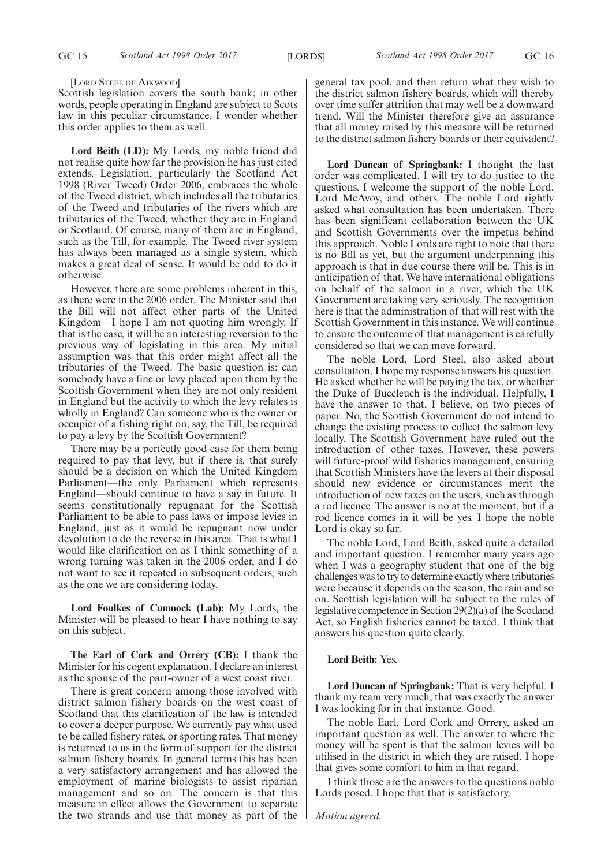[LORD STEEL OF AIKWOOD]

Scottish legislation covers the south bank; in other words, people operating in England are subject to Scots law in this peculiar circumstance. I wonder whether this order applies to them as well.

**Lord Beith (LD):** My Lords, my noble friend did not realise quite how far the provision he has just cited extends. Legislation, particularly the Scotland Act 1998 (River Tweed) Order 2006, embraces the whole of the Tweed district, which includes all the tributaries of the Tweed and tributaries of the rivers which are tributaries of the Tweed, whether they are in England or Scotland. Of course, many of them are in England, such as the Till, for example. The Tweed river system has always been managed as a single system, which makes a great deal of sense. It would be odd to do it otherwise.

However, there are some problems inherent in this, as there were in the 2006 order. The Minister said that the Bill will not affect other parts of the United Kingdom—I hope I am not quoting him wrongly. If that is the case, it will be an interesting reversion to the previous way of legislating in this area. My initial assumption was that this order might affect all the tributaries of the Tweed. The basic question is: can somebody have a fine or levy placed upon them by the Scottish Government when they are not only resident in England but the activity to which the levy relates is wholly in England? Can someone who is the owner or occupier of a fishing right on, say, the Till, be required to pay a levy by the Scottish Government?

There may be a perfectly good case for them being required to pay that levy, but if there is, that surely should be a decision on which the United Kingdom Parliament—the only Parliament which represents England—should continue to have a say in future. It seems constitutionally repugnant for the Scottish Parliament to be able to pass laws or impose levies in England, just as it would be repugnant now under devolution to do the reverse in this area. That is what I would like clarification on as I think something of a wrong turning was taken in the 2006 order, and I do not want to see it repeated in subsequent orders, such as the one we are considering today.

**Lord Foulkes of Cumnock (Lab):** My Lords, the Minister will be pleased to hear I have nothing to say on this subject.

**The Earl of Cork and Orrery (CB):** I thank the Minister for his cogent explanation. I declare an interest as the spouse of the part-owner of a west coast river.

There is great concern among those involved with district salmon fishery boards on the west coast of Scotland that this clarification of the law is intended to cover a deeper purpose. We currently pay what used to be called fishery rates, or sporting rates. That money is returned to us in the form of support for the district salmon fishery boards. In general terms this has been a very satisfactory arrangement and has allowed the employment of marine biologists to assist riparian management and so on. The concern is that this measure in effect allows the Government to separate the two strands and use that money as part of the general tax pool, and then return what they wish to the district salmon fishery boards, which will thereby over time suffer attrition that may well be a downward trend. Will the Minister therefore give an assurance that all money raised by this measure will be returned to the district salmon fishery boards or their equivalent?

**Lord Duncan of Springbank:** I thought the last order was complicated. I will try to do justice to the questions. I welcome the support of the noble Lord, Lord McAvoy, and others. The noble Lord rightly asked what consultation has been undertaken. There has been significant collaboration between the UK and Scottish Governments over the impetus behind this approach. Noble Lords are right to note that there is no Bill as yet, but the argument underpinning this approach is that in due course there will be. This is in anticipation of that. We have international obligations on behalf of the salmon in a river, which the UK Government are taking very seriously. The recognition here is that the administration of that will rest with the Scottish Government in this instance. We will continue to ensure the outcome of that management is carefully considered so that we can move forward.

The noble Lord, Lord Steel, also asked about consultation. I hope my response answers his question. He asked whether he will be paying the tax, or whether the Duke of Buccleuch is the individual. Helpfully, I have the answer to that, I believe, on two pieces of paper. No, the Scottish Government do not intend to change the existing process to collect the salmon levy locally. The Scottish Government have ruled out the introduction of other taxes. However, these powers will future-proof wild fisheries management, ensuring that Scottish Ministers have the levers at their disposal should new evidence or circumstances merit the introduction of new taxes on the users, such as through a rod licence. The answer is no at the moment, but if a rod licence comes in it will be yes. I hope the noble Lord is okay so far.

The noble Lord, Lord Beith, asked quite a detailed and important question. I remember many years ago when I was a geography student that one of the big challenges was to try to determine exactly where tributaries were because it depends on the season, the rain and so on. Scottish legislation will be subject to the rules of legislative competence in Section 29(2)(a) of the Scotland Act, so English fisheries cannot be taxed. I think that answers his question quite clearly.

### **Lord Beith:** Yes.

**Lord Duncan of Springbank:** That is very helpful. I thank my team very much; that was exactly the answer I was looking for in that instance. Good.

The noble Earl, Lord Cork and Orrery, asked an important question as well. The answer to where the money will be spent is that the salmon levies will be utilised in the district in which they are raised. I hope that gives some comfort to him in that regard.

I think those are the answers to the questions noble Lords posed. I hope that that is satisfactory.

*Motion agreed.*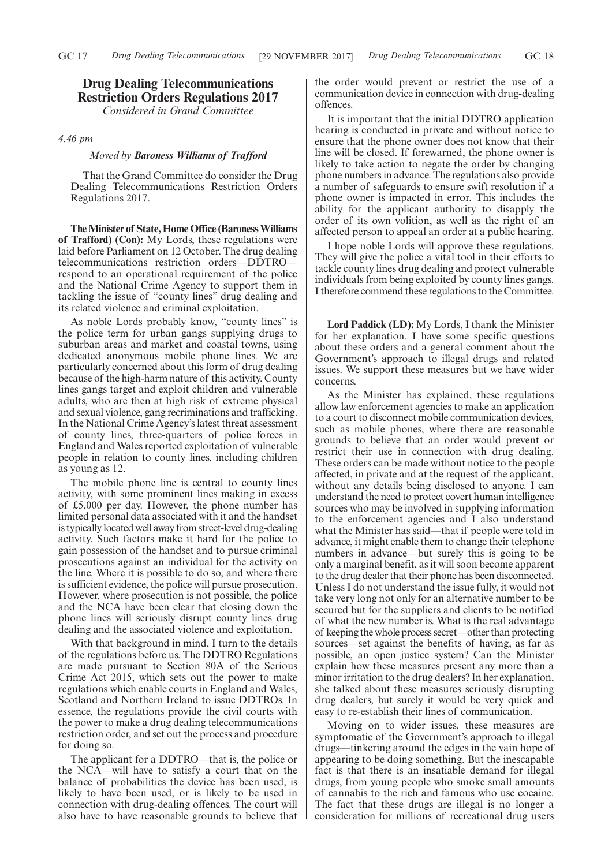# **Drug Dealing Telecommunications Restriction Orders Regulations 2017** *Considered in Grand Committee*

### *4.46 pm*

#### *Moved by Baroness Williams of Trafford*

That the Grand Committee do consider the Drug Dealing Telecommunications Restriction Orders Regulations 2017.

**The Minister of State, Home Office (Baroness Williams of Trafford) (Con):** My Lords, these regulations were laid before Parliament on 12 October. The drug dealing telecommunications restriction orders—DDTRO respond to an operational requirement of the police and the National Crime Agency to support them in tackling the issue of "county lines" drug dealing and its related violence and criminal exploitation.

As noble Lords probably know, "county lines" is the police term for urban gangs supplying drugs to suburban areas and market and coastal towns, using dedicated anonymous mobile phone lines. We are particularly concerned about this form of drug dealing because of the high-harm nature of this activity. County lines gangs target and exploit children and vulnerable adults, who are then at high risk of extreme physical and sexual violence, gang recriminations and trafficking. In the National Crime Agency's latest threat assessment of county lines, three-quarters of police forces in England and Wales reported exploitation of vulnerable people in relation to county lines, including children as young as 12.

The mobile phone line is central to county lines activity, with some prominent lines making in excess of £5,000 per day. However, the phone number has limited personal data associated with it and the handset is typically located well away from street-level drug-dealing activity. Such factors make it hard for the police to gain possession of the handset and to pursue criminal prosecutions against an individual for the activity on the line. Where it is possible to do so, and where there is sufficient evidence, the police will pursue prosecution. However, where prosecution is not possible, the police and the NCA have been clear that closing down the phone lines will seriously disrupt county lines drug dealing and the associated violence and exploitation.

With that background in mind, I turn to the details of the regulations before us. The DDTRO Regulations are made pursuant to Section 80A of the Serious Crime Act 2015, which sets out the power to make regulations which enable courts in England and Wales, Scotland and Northern Ireland to issue DDTROs. In essence, the regulations provide the civil courts with the power to make a drug dealing telecommunications restriction order, and set out the process and procedure for doing so.

The applicant for a DDTRO—that is, the police or the NCA—will have to satisfy a court that on the balance of probabilities the device has been used, is likely to have been used, or is likely to be used in connection with drug-dealing offences. The court will also have to have reasonable grounds to believe that the order would prevent or restrict the use of a communication device in connection with drug-dealing offences.

It is important that the initial DDTRO application hearing is conducted in private and without notice to ensure that the phone owner does not know that their line will be closed. If forewarned, the phone owner is likely to take action to negate the order by changing phone numbers in advance. The regulations also provide a number of safeguards to ensure swift resolution if a phone owner is impacted in error. This includes the ability for the applicant authority to disapply the order of its own volition, as well as the right of an affected person to appeal an order at a public hearing.

I hope noble Lords will approve these regulations. They will give the police a vital tool in their efforts to tackle county lines drug dealing and protect vulnerable individuals from being exploited by county lines gangs. I therefore commend these regulations to the Committee.

**Lord Paddick (LD):** My Lords, I thank the Minister for her explanation. I have some specific questions about these orders and a general comment about the Government's approach to illegal drugs and related issues. We support these measures but we have wider concerns.

As the Minister has explained, these regulations allow law enforcement agencies to make an application to a court to disconnect mobile communication devices, such as mobile phones, where there are reasonable grounds to believe that an order would prevent or restrict their use in connection with drug dealing. These orders can be made without notice to the people affected, in private and at the request of the applicant, without any details being disclosed to anyone. I can understand the need to protect covert human intelligence sources who may be involved in supplying information to the enforcement agencies and I also understand what the Minister has said—that if people were told in advance, it might enable them to change their telephone numbers in advance—but surely this is going to be only a marginal benefit, as it will soon become apparent to the drug dealer that their phone has been disconnected. Unless I do not understand the issue fully, it would not take very long not only for an alternative number to be secured but for the suppliers and clients to be notified of what the new number is. What is the real advantage of keeping the whole process secret—other than protecting sources—set against the benefits of having, as far as possible, an open justice system? Can the Minister explain how these measures present any more than a minor irritation to the drug dealers? In her explanation, she talked about these measures seriously disrupting drug dealers, but surely it would be very quick and easy to re-establish their lines of communication.

Moving on to wider issues, these measures are symptomatic of the Government's approach to illegal drugs—tinkering around the edges in the vain hope of appearing to be doing something. But the inescapable fact is that there is an insatiable demand for illegal drugs, from young people who smoke small amounts of cannabis to the rich and famous who use cocaine. The fact that these drugs are illegal is no longer a consideration for millions of recreational drug users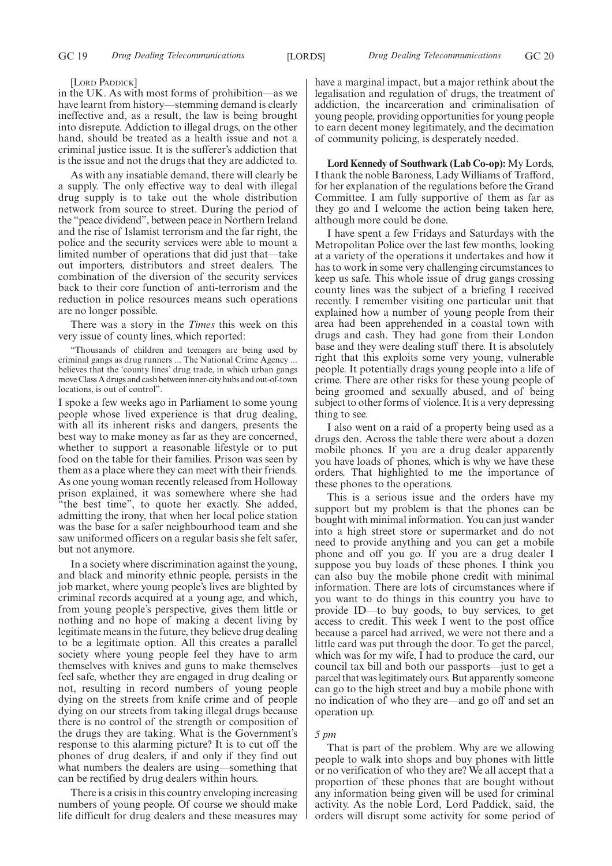[LORD PADDICK]

in the UK. As with most forms of prohibition—as we have learnt from history—stemming demand is clearly ineffective and, as a result, the law is being brought into disrepute. Addiction to illegal drugs, on the other hand, should be treated as a health issue and not a criminal justice issue. It is the sufferer's addiction that is the issue and not the drugs that they are addicted to.

As with any insatiable demand, there will clearly be a supply. The only effective way to deal with illegal drug supply is to take out the whole distribution network from source to street. During the period of the "peace dividend", between peace in Northern Ireland and the rise of Islamist terrorism and the far right, the police and the security services were able to mount a limited number of operations that did just that—take out importers, distributors and street dealers. The combination of the diversion of the security services back to their core function of anti-terrorism and the reduction in police resources means such operations are no longer possible.

There was a story in the *Times* this week on this very issue of county lines, which reported:

"Thousands of children and teenagers are being used by criminal gangs as drug runners ... The National Crime Agency ... believes that the 'county lines' drug trade, in which urban gangs move Class A drugs and cash between inner-city hubs and out-of-town locations, is out of control".

I spoke a few weeks ago in Parliament to some young people whose lived experience is that drug dealing, with all its inherent risks and dangers, presents the best way to make money as far as they are concerned, whether to support a reasonable lifestyle or to put food on the table for their families. Prison was seen by them as a place where they can meet with their friends. As one young woman recently released from Holloway prison explained, it was somewhere where she had "the best time", to quote her exactly. She added, admitting the irony, that when her local police station was the base for a safer neighbourhood team and she saw uniformed officers on a regular basis she felt safer, but not anymore.

In a society where discrimination against the young, and black and minority ethnic people, persists in the job market, where young people's lives are blighted by criminal records acquired at a young age, and which, from young people's perspective, gives them little or nothing and no hope of making a decent living by legitimate means in the future, they believe drug dealing to be a legitimate option. All this creates a parallel society where young people feel they have to arm themselves with knives and guns to make themselves feel safe, whether they are engaged in drug dealing or not, resulting in record numbers of young people dying on the streets from knife crime and of people dying on our streets from taking illegal drugs because there is no control of the strength or composition of the drugs they are taking. What is the Government's response to this alarming picture? It is to cut off the phones of drug dealers, if and only if they find out what numbers the dealers are using—something that can be rectified by drug dealers within hours.

There is a crisis in this country enveloping increasing numbers of young people. Of course we should make life difficult for drug dealers and these measures may have a marginal impact, but a major rethink about the legalisation and regulation of drugs, the treatment of addiction, the incarceration and criminalisation of young people, providing opportunities for young people to earn decent money legitimately, and the decimation of community policing, is desperately needed.

**Lord Kennedy of Southwark (Lab Co-op):** My Lords, I thank the noble Baroness, Lady Williams of Trafford, for her explanation of the regulations before the Grand Committee. I am fully supportive of them as far as they go and I welcome the action being taken here, although more could be done.

I have spent a few Fridays and Saturdays with the Metropolitan Police over the last few months, looking at a variety of the operations it undertakes and how it has to work in some very challenging circumstances to keep us safe. This whole issue of drug gangs crossing county lines was the subject of a briefing I received recently. I remember visiting one particular unit that explained how a number of young people from their area had been apprehended in a coastal town with drugs and cash. They had gone from their London base and they were dealing stuff there. It is absolutely right that this exploits some very young, vulnerable people. It potentially drags young people into a life of crime. There are other risks for these young people of being groomed and sexually abused, and of being subject to other forms of violence. It is a very depressing thing to see.

I also went on a raid of a property being used as a drugs den. Across the table there were about a dozen mobile phones. If you are a drug dealer apparently you have loads of phones, which is why we have these orders. That highlighted to me the importance of these phones to the operations.

This is a serious issue and the orders have my support but my problem is that the phones can be bought with minimal information. You can just wander into a high street store or supermarket and do not need to provide anything and you can get a mobile phone and off you go. If you are a drug dealer I suppose you buy loads of these phones. I think you can also buy the mobile phone credit with minimal information. There are lots of circumstances where if you want to do things in this country you have to provide ID—to buy goods, to buy services, to get access to credit. This week I went to the post office because a parcel had arrived, we were not there and a little card was put through the door. To get the parcel, which was for my wife, I had to produce the card, our council tax bill and both our passports—just to get a parcel that was legitimately ours. But apparently someone can go to the high street and buy a mobile phone with no indication of who they are—and go off and set an operation up.

#### *5 pm*

That is part of the problem. Why are we allowing people to walk into shops and buy phones with little or no verification of who they are? We all accept that a proportion of these phones that are bought without any information being given will be used for criminal activity. As the noble Lord, Lord Paddick, said, the orders will disrupt some activity for some period of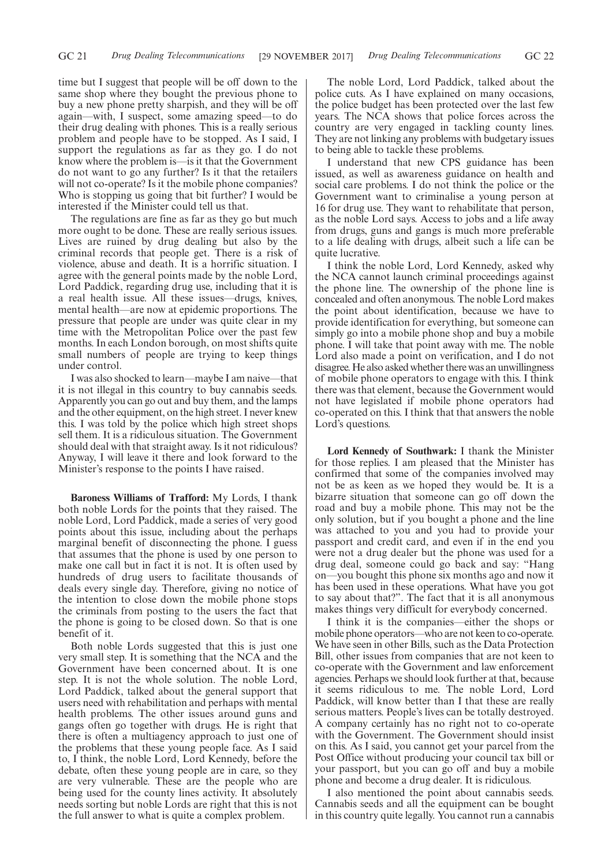time but I suggest that people will be off down to the same shop where they bought the previous phone to buy a new phone pretty sharpish, and they will be off again—with, I suspect, some amazing speed—to do their drug dealing with phones. This is a really serious problem and people have to be stopped. As I said, I support the regulations as far as they go. I do not know where the problem is—is it that the Government do not want to go any further? Is it that the retailers will not co-operate? Is it the mobile phone companies? Who is stopping us going that bit further? I would be interested if the Minister could tell us that.

The regulations are fine as far as they go but much more ought to be done. These are really serious issues. Lives are ruined by drug dealing but also by the criminal records that people get. There is a risk of violence, abuse and death. It is a horrific situation. I agree with the general points made by the noble Lord, Lord Paddick, regarding drug use, including that it is a real health issue. All these issues—drugs, knives, mental health—are now at epidemic proportions. The pressure that people are under was quite clear in my time with the Metropolitan Police over the past few months. In each London borough, on most shifts quite small numbers of people are trying to keep things under control.

I was also shocked to learn—maybe I am naive—that it is not illegal in this country to buy cannabis seeds. Apparently you can go out and buy them, and the lamps and the other equipment, on the high street. I never knew this. I was told by the police which high street shops sell them. It is a ridiculous situation. The Government should deal with that straight away. Is it not ridiculous? Anyway, I will leave it there and look forward to the Minister's response to the points I have raised.

**Baroness Williams of Trafford:** My Lords, I thank both noble Lords for the points that they raised. The noble Lord, Lord Paddick, made a series of very good points about this issue, including about the perhaps marginal benefit of disconnecting the phone. I guess that assumes that the phone is used by one person to make one call but in fact it is not. It is often used by hundreds of drug users to facilitate thousands of deals every single day. Therefore, giving no notice of the intention to close down the mobile phone stops the criminals from posting to the users the fact that the phone is going to be closed down. So that is one benefit of it.

Both noble Lords suggested that this is just one very small step. It is something that the NCA and the Government have been concerned about. It is one step. It is not the whole solution. The noble Lord, Lord Paddick, talked about the general support that users need with rehabilitation and perhaps with mental health problems. The other issues around guns and gangs often go together with drugs. He is right that there is often a multiagency approach to just one of the problems that these young people face. As I said to, I think, the noble Lord, Lord Kennedy, before the debate, often these young people are in care, so they are very vulnerable. These are the people who are being used for the county lines activity. It absolutely needs sorting but noble Lords are right that this is not the full answer to what is quite a complex problem.

The noble Lord, Lord Paddick, talked about the police cuts. As I have explained on many occasions, the police budget has been protected over the last few years. The NCA shows that police forces across the country are very engaged in tackling county lines. They are not linking any problems with budgetary issues to being able to tackle these problems.

I understand that new CPS guidance has been issued, as well as awareness guidance on health and social care problems. I do not think the police or the Government want to criminalise a young person at 16 for drug use. They want to rehabilitate that person, as the noble Lord says. Access to jobs and a life away from drugs, guns and gangs is much more preferable to a life dealing with drugs, albeit such a life can be quite lucrative.

I think the noble Lord, Lord Kennedy, asked why the NCA cannot launch criminal proceedings against the phone line. The ownership of the phone line is concealed and often anonymous. The noble Lord makes the point about identification, because we have to provide identification for everything, but someone can simply go into a mobile phone shop and buy a mobile phone. I will take that point away with me. The noble Lord also made a point on verification, and I do not disagree. He also asked whether there was an unwillingness of mobile phone operators to engage with this. I think there was that element, because the Government would not have legislated if mobile phone operators had co-operated on this. I think that that answers the noble Lord's questions.

**Lord Kennedy of Southwark:** I thank the Minister for those replies. I am pleased that the Minister has confirmed that some of the companies involved may not be as keen as we hoped they would be. It is a bizarre situation that someone can go off down the road and buy a mobile phone. This may not be the only solution, but if you bought a phone and the line was attached to you and you had to provide your passport and credit card, and even if in the end you were not a drug dealer but the phone was used for a drug deal, someone could go back and say: "Hang on—you bought this phone six months ago and now it has been used in these operations. What have you got to say about that?". The fact that it is all anonymous makes things very difficult for everybody concerned.

I think it is the companies—either the shops or mobile phone operators—who are not keen to co-operate. We have seen in other Bills, such as the Data Protection Bill, other issues from companies that are not keen to co-operate with the Government and law enforcement agencies. Perhaps we should look further at that, because it seems ridiculous to me. The noble Lord, Lord Paddick, will know better than I that these are really serious matters. People's lives can be totally destroyed. A company certainly has no right not to co-operate with the Government. The Government should insist on this. As I said, you cannot get your parcel from the Post Office without producing your council tax bill or your passport, but you can go off and buy a mobile phone and become a drug dealer. It is ridiculous.

I also mentioned the point about cannabis seeds. Cannabis seeds and all the equipment can be bought in this country quite legally. You cannot run a cannabis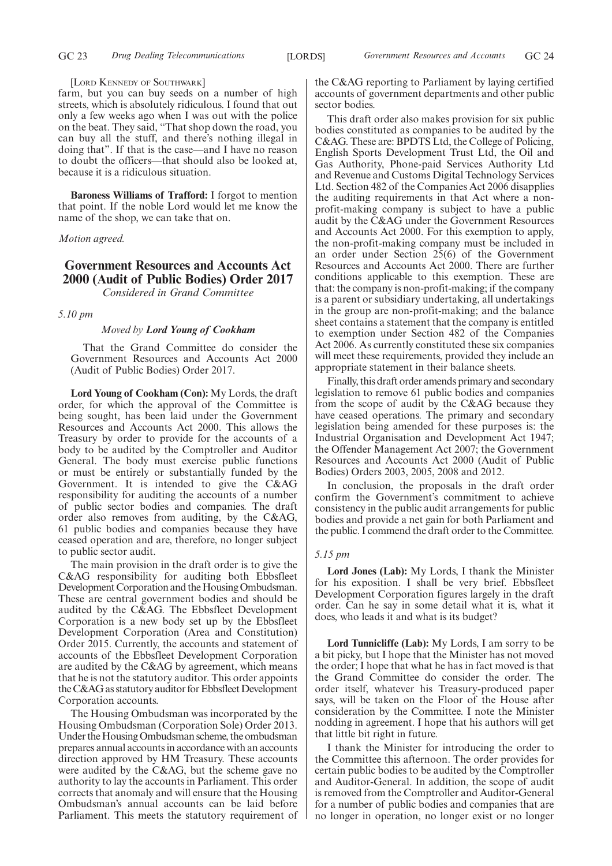#### [LORD KENNEDY OF SOUTHWARK]

farm, but you can buy seeds on a number of high streets, which is absolutely ridiculous. I found that out only a few weeks ago when I was out with the police on the beat. They said, "That shop down the road, you can buy all the stuff, and there's nothing illegal in doing that". If that is the case—and I have no reason to doubt the officers—that should also be looked at, because it is a ridiculous situation.

**Baroness Williams of Trafford:** I forgot to mention that point. If the noble Lord would let me know the name of the shop, we can take that on.

*Motion agreed.*

# **Government Resources and Accounts Act 2000 (Audit of Public Bodies) Order 2017** *Considered in Grand Committee*

#### *5.10 pm*

#### *Moved by Lord Young of Cookham*

That the Grand Committee do consider the Government Resources and Accounts Act 2000 (Audit of Public Bodies) Order 2017.

**Lord Young of Cookham (Con):** My Lords, the draft order, for which the approval of the Committee is being sought, has been laid under the Government Resources and Accounts Act 2000. This allows the Treasury by order to provide for the accounts of a body to be audited by the Comptroller and Auditor General. The body must exercise public functions or must be entirely or substantially funded by the Government. It is intended to give the C&AG responsibility for auditing the accounts of a number of public sector bodies and companies. The draft order also removes from auditing, by the C&AG, 61 public bodies and companies because they have ceased operation and are, therefore, no longer subject to public sector audit.

The main provision in the draft order is to give the C&AG responsibility for auditing both Ebbsfleet Development Corporation and the Housing Ombudsman. These are central government bodies and should be audited by the C&AG. The Ebbsfleet Development Corporation is a new body set up by the Ebbsfleet Development Corporation (Area and Constitution) Order 2015. Currently, the accounts and statement of accounts of the Ebbsfleet Development Corporation are audited by the C&AG by agreement, which means that he is not the statutory auditor. This order appoints the C&AG as statutory auditor for Ebbsfleet Development Corporation accounts.

The Housing Ombudsman was incorporated by the Housing Ombudsman (Corporation Sole) Order 2013. Under the Housing Ombudsman scheme, the ombudsman prepares annual accounts in accordance with an accounts direction approved by HM Treasury. These accounts were audited by the C&AG, but the scheme gave no authority to lay the accounts in Parliament. This order corrects that anomaly and will ensure that the Housing Ombudsman's annual accounts can be laid before Parliament. This meets the statutory requirement of the C&AG reporting to Parliament by laying certified accounts of government departments and other public sector bodies.

This draft order also makes provision for six public bodies constituted as companies to be audited by the C&AG. These are: BPDTS Ltd, the College of Policing, English Sports Development Trust Ltd, the Oil and Gas Authority, Phone-paid Services Authority Ltd and Revenue and Customs Digital Technology Services Ltd. Section 482 of the Companies Act 2006 disapplies the auditing requirements in that Act where a nonprofit-making company is subject to have a public audit by the C&AG under the Government Resources and Accounts Act 2000. For this exemption to apply, the non-profit-making company must be included in an order under Section 25(6) of the Government Resources and Accounts Act 2000. There are further conditions applicable to this exemption. These are that: the company is non-profit-making; if the company is a parent or subsidiary undertaking, all undertakings in the group are non-profit-making; and the balance sheet contains a statement that the company is entitled to exemption under Section 482 of the Companies Act 2006. As currently constituted these six companies will meet these requirements, provided they include an appropriate statement in their balance sheets.

Finally, this draft order amends primary and secondary legislation to remove 61 public bodies and companies from the scope of audit by the C&AG because they have ceased operations. The primary and secondary legislation being amended for these purposes is: the Industrial Organisation and Development Act 1947; the Offender Management Act 2007; the Government Resources and Accounts Act 2000 (Audit of Public Bodies) Orders 2003, 2005, 2008 and 2012.

In conclusion, the proposals in the draft order confirm the Government's commitment to achieve consistency in the public audit arrangements for public bodies and provide a net gain for both Parliament and the public. I commend the draft order to the Committee.

#### *5.15 pm*

**Lord Jones (Lab):** My Lords, I thank the Minister for his exposition. I shall be very brief. Ebbsfleet Development Corporation figures largely in the draft order. Can he say in some detail what it is, what it does, who leads it and what is its budget?

**Lord Tunnicliffe (Lab):** My Lords, I am sorry to be a bit picky, but I hope that the Minister has not moved the order; I hope that what he has in fact moved is that the Grand Committee do consider the order. The order itself, whatever his Treasury-produced paper says, will be taken on the Floor of the House after consideration by the Committee. I note the Minister nodding in agreement. I hope that his authors will get that little bit right in future.

I thank the Minister for introducing the order to the Committee this afternoon. The order provides for certain public bodies to be audited by the Comptroller and Auditor-General. In addition, the scope of audit is removed from the Comptroller and Auditor-General for a number of public bodies and companies that are no longer in operation, no longer exist or no longer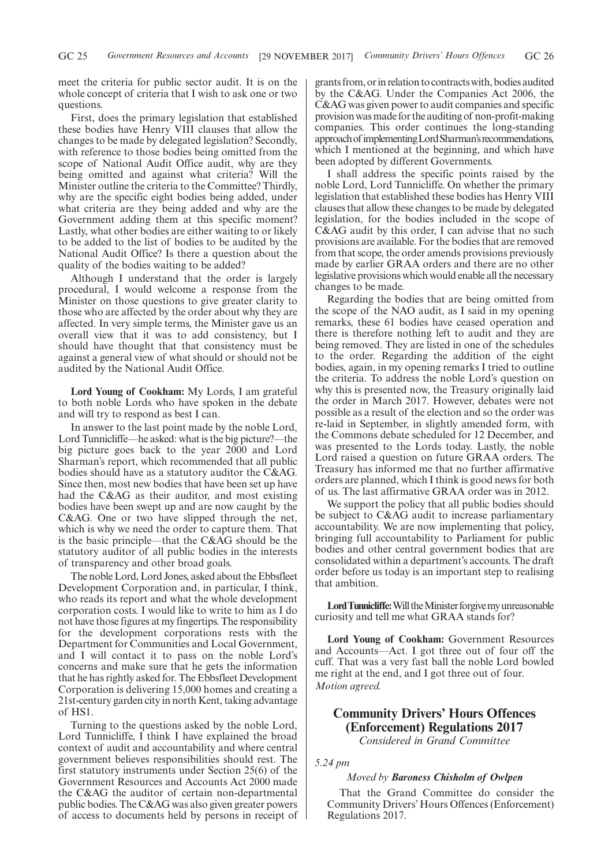meet the criteria for public sector audit. It is on the whole concept of criteria that I wish to ask one or two questions.

First, does the primary legislation that established these bodies have Henry VIII clauses that allow the changes to be made by delegated legislation? Secondly, with reference to those bodies being omitted from the scope of National Audit Office audit, why are they being omitted and against what criteria? Will the Minister outline the criteria to the Committee? Thirdly, why are the specific eight bodies being added, under what criteria are they being added and why are the Government adding them at this specific moment? Lastly, what other bodies are either waiting to or likely to be added to the list of bodies to be audited by the National Audit Office? Is there a question about the quality of the bodies waiting to be added?

Although I understand that the order is largely procedural, I would welcome a response from the Minister on those questions to give greater clarity to those who are affected by the order about why they are affected. In very simple terms, the Minister gave us an overall view that it was to add consistency, but I should have thought that that consistency must be against a general view of what should or should not be audited by the National Audit Office.

**Lord Young of Cookham:** My Lords, I am grateful to both noble Lords who have spoken in the debate and will try to respond as best I can.

In answer to the last point made by the noble Lord, Lord Tunnicliffe—he asked: what is the big picture?—the big picture goes back to the year 2000 and Lord Sharman's report, which recommended that all public bodies should have as a statutory auditor the C&AG. Since then, most new bodies that have been set up have had the C&AG as their auditor, and most existing bodies have been swept up and are now caught by the C&AG. One or two have slipped through the net, which is why we need the order to capture them. That is the basic principle—that the C&AG should be the statutory auditor of all public bodies in the interests of transparency and other broad goals.

The noble Lord, Lord Jones, asked about the Ebbsfleet Development Corporation and, in particular, I think, who reads its report and what the whole development corporation costs. I would like to write to him as I do not have those figures at my fingertips. The responsibility for the development corporations rests with the Department for Communities and Local Government, and I will contact it to pass on the noble Lord's concerns and make sure that he gets the information that he has rightly asked for. The Ebbsfleet Development Corporation is delivering 15,000 homes and creating a 21st-century garden city in north Kent, taking advantage of HS1.

Turning to the questions asked by the noble Lord, Lord Tunnicliffe, I think I have explained the broad context of audit and accountability and where central government believes responsibilities should rest. The first statutory instruments under Section 25(6) of the Government Resources and Accounts Act 2000 made the C&AG the auditor of certain non-departmental public bodies. The C&AG was also given greater powers of access to documents held by persons in receipt of grants from, or in relation to contracts with, bodies audited by the C&AG. Under the Companies Act 2006, the C&AG was given power to audit companies and specific provision was made for the auditing of non-profit-making companies. This order continues the long-standing approachof implementingLordSharman'srecommendations, which I mentioned at the beginning, and which have been adopted by different Governments.

I shall address the specific points raised by the noble Lord, Lord Tunnicliffe. On whether the primary legislation that established these bodies has Henry VIII clauses that allow these changes to be made by delegated legislation, for the bodies included in the scope of C&AG audit by this order, I can advise that no such provisions are available. For the bodies that are removed from that scope, the order amends provisions previously made by earlier GRAA orders and there are no other legislative provisions which would enable all the necessary changes to be made.

Regarding the bodies that are being omitted from the scope of the NAO audit, as I said in my opening remarks, these 61 bodies have ceased operation and there is therefore nothing left to audit and they are being removed. They are listed in one of the schedules to the order. Regarding the addition of the eight bodies, again, in my opening remarks I tried to outline the criteria. To address the noble Lord's question on why this is presented now, the Treasury originally laid the order in March 2017. However, debates were not possible as a result of the election and so the order was re-laid in September, in slightly amended form, with the Commons debate scheduled for 12 December, and was presented to the Lords today. Lastly, the noble Lord raised a question on future GRAA orders. The Treasury has informed me that no further affirmative orders are planned, which I think is good news for both of us. The last affirmative GRAA order was in 2012.

We support the policy that all public bodies should be subject to C&AG audit to increase parliamentary accountability. We are now implementing that policy, bringing full accountability to Parliament for public bodies and other central government bodies that are consolidated within a department's accounts. The draft order before us today is an important step to realising that ambition.

Lord Tunnicliffe: Will the Minister forgive my unreasonable curiosity and tell me what GRAA stands for?

**Lord Young of Cookham:** Government Resources and Accounts—Act. I got three out of four off the cuff. That was a very fast ball the noble Lord bowled me right at the end, and I got three out of four. *Motion agreed.*

# **Community Drivers' Hours Offences (Enforcement) Regulations 2017**

*Considered in Grand Committee*

*5.24 pm*

### *Moved by Baroness Chisholm of Owlpen*

That the Grand Committee do consider the Community Drivers' Hours Offences (Enforcement) Regulations 2017.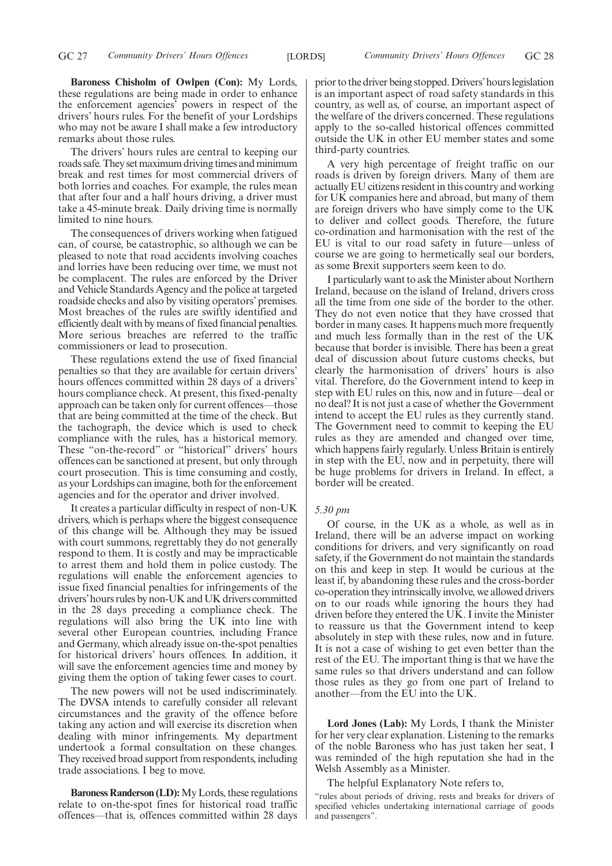**Baroness Chisholm of Owlpen (Con):** My Lords, these regulations are being made in order to enhance the enforcement agencies' powers in respect of the drivers' hours rules. For the benefit of your Lordships who may not be aware I shall make a few introductory remarks about those rules.

The drivers' hours rules are central to keeping our roads safe. They set maximum driving times and minimum break and rest times for most commercial drivers of both lorries and coaches. For example, the rules mean that after four and a half hours driving, a driver must take a 45-minute break. Daily driving time is normally limited to nine hours.

The consequences of drivers working when fatigued can, of course, be catastrophic, so although we can be pleased to note that road accidents involving coaches and lorries have been reducing over time, we must not be complacent. The rules are enforced by the Driver and Vehicle Standards Agency and the police at targeted roadside checks and also by visiting operators' premises. Most breaches of the rules are swiftly identified and efficiently dealt with by means of fixed financial penalties. More serious breaches are referred to the traffic commissioners or lead to prosecution.

These regulations extend the use of fixed financial penalties so that they are available for certain drivers' hours offences committed within 28 days of a drivers' hours compliance check. At present, this fixed-penalty approach can be taken only for current offences—those that are being committed at the time of the check. But the tachograph, the device which is used to check compliance with the rules, has a historical memory. These "on-the-record" or "historical" drivers' hours offences can be sanctioned at present, but only through court prosecution. This is time consuming and costly, as your Lordships can imagine, both for the enforcement agencies and for the operator and driver involved.

It creates a particular difficulty in respect of non-UK drivers, which is perhaps where the biggest consequence of this change will be. Although they may be issued with court summons, regrettably they do not generally respond to them. It is costly and may be impracticable to arrest them and hold them in police custody. The regulations will enable the enforcement agencies to issue fixed financial penalties for infringements of the drivers'hours rules by non-UK and UK drivers committed in the 28 days preceding a compliance check. The regulations will also bring the UK into line with several other European countries, including France and Germany, which already issue on-the-spot penalties for historical drivers' hours offences. In addition, it will save the enforcement agencies time and money by giving them the option of taking fewer cases to court.

The new powers will not be used indiscriminately. The DVSA intends to carefully consider all relevant circumstances and the gravity of the offence before taking any action and will exercise its discretion when dealing with minor infringements. My department undertook a formal consultation on these changes. They received broad support from respondents, including trade associations. I beg to move.

**Baroness Randerson (LD):** My Lords, these regulations relate to on-the-spot fines for historical road traffic offences—that is, offences committed within 28 days prior to the driver being stopped. Drivers'hours legislation is an important aspect of road safety standards in this country, as well as, of course, an important aspect of the welfare of the drivers concerned. These regulations apply to the so-called historical offences committed outside the UK in other EU member states and some third-party countries.

A very high percentage of freight traffic on our roads is driven by foreign drivers. Many of them are actually EU citizens resident in this country and working for UK companies here and abroad, but many of them are foreign drivers who have simply come to the UK to deliver and collect goods. Therefore, the future co-ordination and harmonisation with the rest of the EU is vital to our road safety in future—unless of course we are going to hermetically seal our borders, as some Brexit supporters seem keen to do.

I particularly want to ask the Minister about Northern Ireland, because on the island of Ireland, drivers cross all the time from one side of the border to the other. They do not even notice that they have crossed that border in many cases. It happens much more frequently and much less formally than in the rest of the UK because that border is invisible. There has been a great deal of discussion about future customs checks, but clearly the harmonisation of drivers' hours is also vital. Therefore, do the Government intend to keep in step with EU rules on this, now and in future—deal or no deal? It is not just a case of whether the Government intend to accept the EU rules as they currently stand. The Government need to commit to keeping the EU rules as they are amended and changed over time, which happens fairly regularly. Unless Britain is entirely in step with the EU, now and in perpetuity, there will be huge problems for drivers in Ireland. In effect, a border will be created.

#### *5.30 pm*

Of course, in the UK as a whole, as well as in Ireland, there will be an adverse impact on working conditions for drivers, and very significantly on road safety, if the Government do not maintain the standards on this and keep in step. It would be curious at the least if, by abandoning these rules and the cross-border co-operation they intrinsically involve, we allowed drivers on to our roads while ignoring the hours they had driven before they entered the UK. I invite the Minister to reassure us that the Government intend to keep absolutely in step with these rules, now and in future. It is not a case of wishing to get even better than the rest of the EU. The important thing is that we have the same rules so that drivers understand and can follow those rules as they go from one part of Ireland to another—from the EU into the UK.

**Lord Jones (Lab):** My Lords, I thank the Minister for her very clear explanation. Listening to the remarks of the noble Baroness who has just taken her seat, I was reminded of the high reputation she had in the Welsh Assembly as a Minister.

The helpful Explanatory Note refers to,

"rules about periods of driving, rests and breaks for drivers of specified vehicles undertaking international carriage of goods and passengers".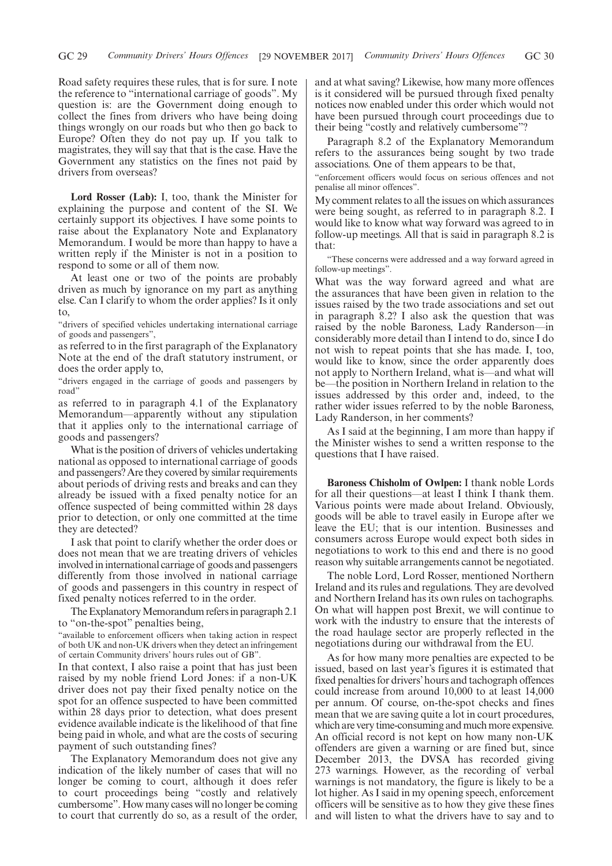Road safety requires these rules, that is for sure. I note the reference to "international carriage of goods". My question is: are the Government doing enough to collect the fines from drivers who have being doing things wrongly on our roads but who then go back to Europe? Often they do not pay up. If you talk to magistrates, they will say that that is the case. Have the Government any statistics on the fines not paid by drivers from overseas?

**Lord Rosser (Lab):** I, too, thank the Minister for explaining the purpose and content of the SI. We certainly support its objectives. I have some points to raise about the Explanatory Note and Explanatory Memorandum. I would be more than happy to have a written reply if the Minister is not in a position to respond to some or all of them now.

At least one or two of the points are probably driven as much by ignorance on my part as anything else. Can I clarify to whom the order applies? Is it only to,

"drivers of specified vehicles undertaking international carriage of goods and passengers",

as referred to in the first paragraph of the Explanatory Note at the end of the draft statutory instrument, or does the order apply to,

"drivers engaged in the carriage of goods and passengers by road"

as referred to in paragraph 4.1 of the Explanatory Memorandum—apparently without any stipulation that it applies only to the international carriage of goods and passengers?

What is the position of drivers of vehicles undertaking national as opposed to international carriage of goods and passengers? Are they covered by similar requirements about periods of driving rests and breaks and can they already be issued with a fixed penalty notice for an offence suspected of being committed within 28 days prior to detection, or only one committed at the time they are detected?

I ask that point to clarify whether the order does or does not mean that we are treating drivers of vehicles involved in international carriage of goods and passengers differently from those involved in national carriage of goods and passengers in this country in respect of fixed penalty notices referred to in the order.

The Explanatory Memorandum refers in paragraph 2.1 to "on-the-spot" penalties being,

"available to enforcement officers when taking action in respect of both UK and non-UK drivers when they detect an infringement of certain Community drivers' hours rules out of GB".

In that context, I also raise a point that has just been raised by my noble friend Lord Jones: if a non-UK driver does not pay their fixed penalty notice on the spot for an offence suspected to have been committed within 28 days prior to detection, what does present evidence available indicate is the likelihood of that fine being paid in whole, and what are the costs of securing payment of such outstanding fines?

The Explanatory Memorandum does not give any indication of the likely number of cases that will no longer be coming to court, although it does refer to court proceedings being "costly and relatively cumbersome". How many cases will no longer be coming to court that currently do so, as a result of the order,

and at what saving? Likewise, how many more offences is it considered will be pursued through fixed penalty notices now enabled under this order which would not have been pursued through court proceedings due to their being "costly and relatively cumbersome"?

Paragraph 8.2 of the Explanatory Memorandum refers to the assurances being sought by two trade associations. One of them appears to be that,

"enforcement officers would focus on serious offences and not penalise all minor offences".

My comment relates to all the issues on which assurances were being sought, as referred to in paragraph 8.2. I would like to know what way forward was agreed to in follow-up meetings. All that is said in paragraph 8.2 is that:

"These concerns were addressed and a way forward agreed in follow-up meetings".

What was the way forward agreed and what are the assurances that have been given in relation to the issues raised by the two trade associations and set out in paragraph 8.2? I also ask the question that was raised by the noble Baroness, Lady Randerson—in considerably more detail than I intend to do, since I do not wish to repeat points that she has made. I, too, would like to know, since the order apparently does not apply to Northern Ireland, what is—and what will be—the position in Northern Ireland in relation to the issues addressed by this order and, indeed, to the rather wider issues referred to by the noble Baroness, Lady Randerson, in her comments?

As I said at the beginning, I am more than happy if the Minister wishes to send a written response to the questions that I have raised.

**Baroness Chisholm of Owlpen:** I thank noble Lords for all their questions—at least I think I thank them. Various points were made about Ireland. Obviously, goods will be able to travel easily in Europe after we leave the EU; that is our intention. Businesses and consumers across Europe would expect both sides in negotiations to work to this end and there is no good reason why suitable arrangements cannot be negotiated.

The noble Lord, Lord Rosser, mentioned Northern Ireland and its rules and regulations. They are devolved and Northern Ireland has its own rules on tachographs. On what will happen post Brexit, we will continue to work with the industry to ensure that the interests of the road haulage sector are properly reflected in the negotiations during our withdrawal from the EU.

As for how many more penalties are expected to be issued, based on last year's figures it is estimated that fixed penalties for drivers'hours and tachograph offences could increase from around 10,000 to at least 14,000 per annum. Of course, on-the-spot checks and fines mean that we are saving quite a lot in court procedures, which are very time-consuming and much more expensive. An official record is not kept on how many non-UK offenders are given a warning or are fined but, since December 2013, the DVSA has recorded giving 273 warnings. However, as the recording of verbal warnings is not mandatory, the figure is likely to be a lot higher. As I said in my opening speech, enforcement officers will be sensitive as to how they give these fines and will listen to what the drivers have to say and to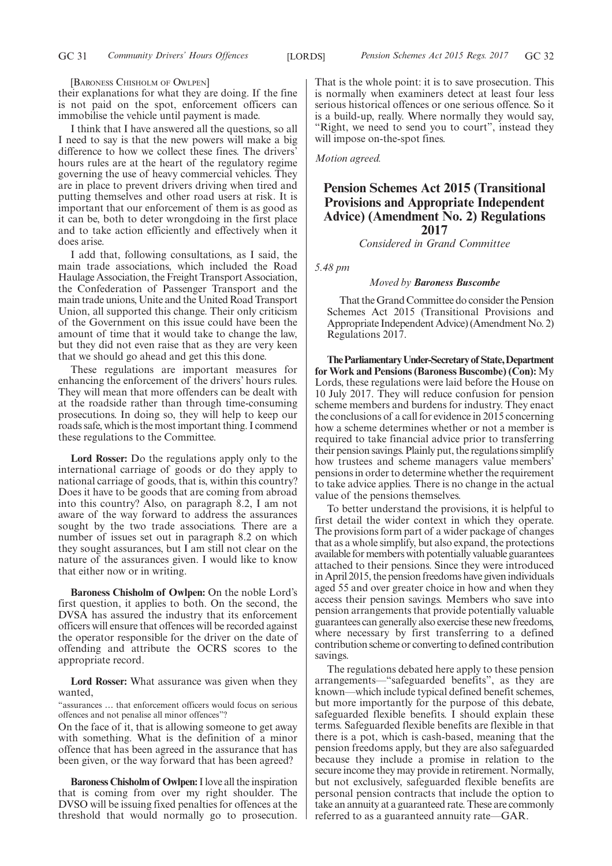[BARONESS CHISHOLM OF OWLPEN]

their explanations for what they are doing. If the fine is not paid on the spot, enforcement officers can immobilise the vehicle until payment is made.

I think that I have answered all the questions, so all I need to say is that the new powers will make a big difference to how we collect these fines. The drivers' hours rules are at the heart of the regulatory regime governing the use of heavy commercial vehicles. They are in place to prevent drivers driving when tired and putting themselves and other road users at risk. It is important that our enforcement of them is as good as it can be, both to deter wrongdoing in the first place and to take action efficiently and effectively when it does arise.

I add that, following consultations, as I said, the main trade associations, which included the Road Haulage Association, the Freight Transport Association, the Confederation of Passenger Transport and the main trade unions, Unite and the United Road Transport Union, all supported this change. Their only criticism of the Government on this issue could have been the amount of time that it would take to change the law, but they did not even raise that as they are very keen that we should go ahead and get this this done.

These regulations are important measures for enhancing the enforcement of the drivers' hours rules. They will mean that more offenders can be dealt with at the roadside rather than through time-consuming prosecutions. In doing so, they will help to keep our roads safe, which is the most important thing. I commend these regulations to the Committee.

**Lord Rosser:** Do the regulations apply only to the international carriage of goods or do they apply to national carriage of goods, that is, within this country? Does it have to be goods that are coming from abroad into this country? Also, on paragraph 8.2, I am not aware of the way forward to address the assurances sought by the two trade associations. There are a number of issues set out in paragraph 8.2 on which they sought assurances, but I am still not clear on the nature of the assurances given. I would like to know that either now or in writing.

**Baroness Chisholm of Owlpen:** On the noble Lord's first question, it applies to both. On the second, the DVSA has assured the industry that its enforcement officers will ensure that offences will be recorded against the operator responsible for the driver on the date of offending and attribute the OCRS scores to the appropriate record.

**Lord Rosser:** What assurance was given when they wanted,

"assurances … that enforcement officers would focus on serious offences and not penalise all minor offences"?

On the face of it, that is allowing someone to get away with something. What is the definition of a minor offence that has been agreed in the assurance that has been given, or the way forward that has been agreed?

**Baroness Chisholm of Owlpen:**I love all the inspiration that is coming from over my right shoulder. The DVSO will be issuing fixed penalties for offences at the threshold that would normally go to prosecution. That is the whole point: it is to save prosecution. This is normally when examiners detect at least four less serious historical offences or one serious offence. So it is a build-up, really. Where normally they would say, "Right, we need to send you to court", instead they will impose on-the-spot fines.

*Motion agreed.*

# **Pension Schemes Act 2015 (Transitional Provisions and Appropriate Independent Advice) (Amendment No. 2) Regulations 2017**

*Considered in Grand Committee*

*5.48 pm*

#### *Moved by Baroness Buscombe*

That the Grand Committee do consider the Pension Schemes Act 2015 (Transitional Provisions and Appropriate Independent Advice) (Amendment No. 2) Regulations 2017.

**TheParliamentaryUnder-Secretaryof State,Department for Work and Pensions (Baroness Buscombe) (Con):** My Lords, these regulations were laid before the House on 10 July 2017. They will reduce confusion for pension scheme members and burdens for industry. They enact the conclusions of a call for evidence in 2015 concerning how a scheme determines whether or not a member is required to take financial advice prior to transferring their pension savings. Plainly put, the regulations simplify how trustees and scheme managers value members' pensions in order to determine whether the requirement to take advice applies. There is no change in the actual value of the pensions themselves.

To better understand the provisions, it is helpful to first detail the wider context in which they operate. The provisions form part of a wider package of changes that as a whole simplify, but also expand, the protections available for members with potentially valuable guarantees attached to their pensions. Since they were introduced in April 2015, the pension freedoms have given individuals aged 55 and over greater choice in how and when they access their pension savings. Members who save into pension arrangements that provide potentially valuable guarantees can generally also exercise these new freedoms, where necessary by first transferring to a defined contribution scheme or converting to defined contribution savings.

The regulations debated here apply to these pension arrangements—"safeguarded benefits", as they are known—which include typical defined benefit schemes, but more importantly for the purpose of this debate, safeguarded flexible benefits. I should explain these terms. Safeguarded flexible benefits are flexible in that there is a pot, which is cash-based, meaning that the pension freedoms apply, but they are also safeguarded because they include a promise in relation to the secure income they may provide in retirement. Normally, but not exclusively, safeguarded flexible benefits are personal pension contracts that include the option to take an annuity at a guaranteed rate. These are commonly referred to as a guaranteed annuity rate—GAR.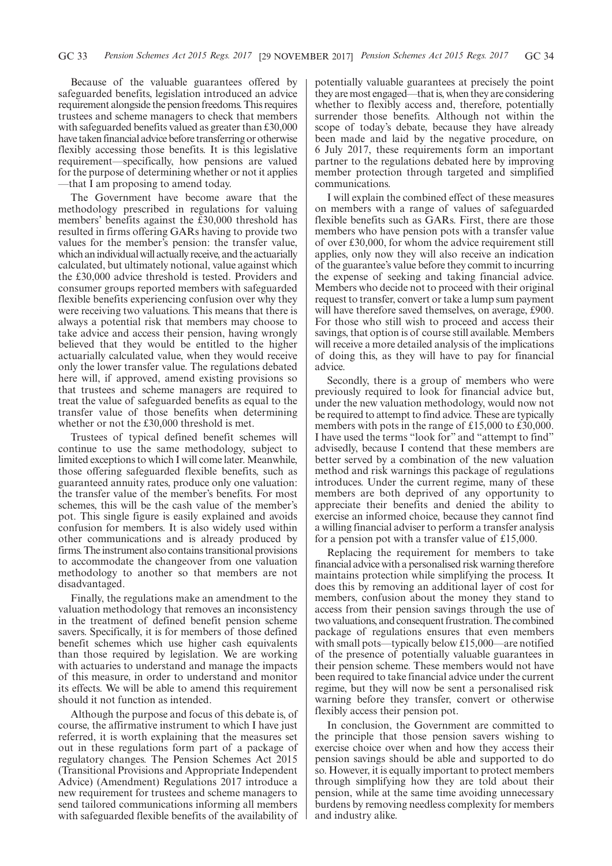Because of the valuable guarantees offered by safeguarded benefits, legislation introduced an advice requirement alongside the pension freedoms. This requires trustees and scheme managers to check that members with safeguarded benefits valued as greater than £30,000 have taken financial advice before transferring or otherwise flexibly accessing those benefits. It is this legislative requirement—specifically, how pensions are valued for the purpose of determining whether or not it applies —that I am proposing to amend today.

The Government have become aware that the methodology prescribed in regulations for valuing members' benefits against the £30,000 threshold has resulted in firms offering GARs having to provide two values for the member's pension: the transfer value, which an individual will actually receive, and the actuarially calculated, but ultimately notional, value against which the £30,000 advice threshold is tested. Providers and consumer groups reported members with safeguarded flexible benefits experiencing confusion over why they were receiving two valuations. This means that there is always a potential risk that members may choose to take advice and access their pension, having wrongly believed that they would be entitled to the higher actuarially calculated value, when they would receive only the lower transfer value. The regulations debated here will, if approved, amend existing provisions so that trustees and scheme managers are required to treat the value of safeguarded benefits as equal to the transfer value of those benefits when determining whether or not the £30,000 threshold is met.

Trustees of typical defined benefit schemes will continue to use the same methodology, subject to limited exceptions to which I will come later. Meanwhile, those offering safeguarded flexible benefits, such as guaranteed annuity rates, produce only one valuation: the transfer value of the member's benefits. For most schemes, this will be the cash value of the member's pot. This single figure is easily explained and avoids confusion for members. It is also widely used within other communications and is already produced by firms. The instrument also contains transitional provisions to accommodate the changeover from one valuation methodology to another so that members are not disadvantaged.

Finally, the regulations make an amendment to the valuation methodology that removes an inconsistency in the treatment of defined benefit pension scheme savers. Specifically, it is for members of those defined benefit schemes which use higher cash equivalents than those required by legislation. We are working with actuaries to understand and manage the impacts of this measure, in order to understand and monitor its effects. We will be able to amend this requirement should it not function as intended.

Although the purpose and focus of this debate is, of course, the affirmative instrument to which I have just referred, it is worth explaining that the measures set out in these regulations form part of a package of regulatory changes. The Pension Schemes Act 2015 (Transitional Provisions and Appropriate Independent Advice) (Amendment) Regulations 2017 introduce a new requirement for trustees and scheme managers to send tailored communications informing all members with safeguarded flexible benefits of the availability of potentially valuable guarantees at precisely the point they are most engaged—that is, when they are considering whether to flexibly access and, therefore, potentially surrender those benefits. Although not within the scope of today's debate, because they have already been made and laid by the negative procedure, on 6 July 2017, these requirements form an important partner to the regulations debated here by improving member protection through targeted and simplified communications.

I will explain the combined effect of these measures on members with a range of values of safeguarded flexible benefits such as GARs. First, there are those members who have pension pots with a transfer value of over £30,000, for whom the advice requirement still applies, only now they will also receive an indication of the guarantee's value before they commit to incurring the expense of seeking and taking financial advice. Members who decide not to proceed with their original request to transfer, convert or take a lump sum payment will have therefore saved themselves, on average, £900. For those who still wish to proceed and access their savings, that option is of course still available. Members will receive a more detailed analysis of the implications of doing this, as they will have to pay for financial advice.

Secondly, there is a group of members who were previously required to look for financial advice but, under the new valuation methodology, would now not be required to attempt to find advice. These are typically members with pots in the range of £15,000 to £30,000. I have used the terms "look for" and "attempt to find" advisedly, because I contend that these members are better served by a combination of the new valuation method and risk warnings this package of regulations introduces. Under the current regime, many of these members are both deprived of any opportunity to appreciate their benefits and denied the ability to exercise an informed choice, because they cannot find a willing financial adviser to perform a transfer analysis for a pension pot with a transfer value of £15,000.

Replacing the requirement for members to take financial advice with a personalised risk warning therefore maintains protection while simplifying the process. It does this by removing an additional layer of cost for members, confusion about the money they stand to access from their pension savings through the use of two valuations, and consequent frustration. The combined package of regulations ensures that even members with small pots—typically below £15,000—are notified of the presence of potentially valuable guarantees in their pension scheme. These members would not have been required to take financial advice under the current regime, but they will now be sent a personalised risk warning before they transfer, convert or otherwise flexibly access their pension pot.

In conclusion, the Government are committed to the principle that those pension savers wishing to exercise choice over when and how they access their pension savings should be able and supported to do so. However, it is equally important to protect members through simplifying how they are told about their pension, while at the same time avoiding unnecessary burdens by removing needless complexity for members and industry alike.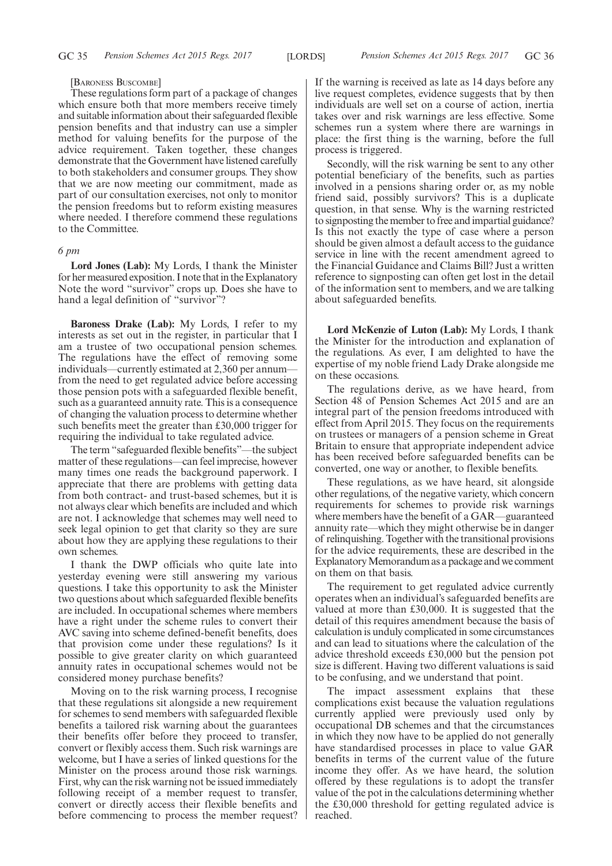#### [BARONESS BUSCOMBE]

These regulations form part of a package of changes which ensure both that more members receive timely and suitable information about their safeguarded flexible pension benefits and that industry can use a simpler method for valuing benefits for the purpose of the advice requirement. Taken together, these changes demonstrate that the Government have listened carefully to both stakeholders and consumer groups. They show that we are now meeting our commitment, made as part of our consultation exercises, not only to monitor the pension freedoms but to reform existing measures where needed. I therefore commend these regulations to the Committee.

#### *6 pm*

**Lord Jones (Lab):** My Lords, I thank the Minister for her measured exposition. I note that in the Explanatory Note the word "survivor" crops up. Does she have to hand a legal definition of "survivor"?

**Baroness Drake (Lab):** My Lords, I refer to my interests as set out in the register, in particular that I am a trustee of two occupational pension schemes. The regulations have the effect of removing some individuals—currently estimated at 2,360 per annum from the need to get regulated advice before accessing those pension pots with a safeguarded flexible benefit, such as a guaranteed annuity rate. This is a consequence of changing the valuation process to determine whether such benefits meet the greater than £30,000 trigger for requiring the individual to take regulated advice.

The term "safeguarded flexible benefits"—the subject matter of these regulations—can feel imprecise, however many times one reads the background paperwork. I appreciate that there are problems with getting data from both contract- and trust-based schemes, but it is not always clear which benefits are included and which are not. I acknowledge that schemes may well need to seek legal opinion to get that clarity so they are sure about how they are applying these regulations to their own schemes.

I thank the DWP officials who quite late into yesterday evening were still answering my various questions. I take this opportunity to ask the Minister two questions about which safeguarded flexible benefits are included. In occupational schemes where members have a right under the scheme rules to convert their AVC saving into scheme defined-benefit benefits, does that provision come under these regulations? Is it possible to give greater clarity on which guaranteed annuity rates in occupational schemes would not be considered money purchase benefits?

Moving on to the risk warning process, I recognise that these regulations sit alongside a new requirement for schemes to send members with safeguarded flexible benefits a tailored risk warning about the guarantees their benefits offer before they proceed to transfer, convert or flexibly access them. Such risk warnings are welcome, but I have a series of linked questions for the Minister on the process around those risk warnings. First, why can the risk warning not be issued immediately following receipt of a member request to transfer, convert or directly access their flexible benefits and before commencing to process the member request? If the warning is received as late as 14 days before any live request completes, evidence suggests that by then individuals are well set on a course of action, inertia takes over and risk warnings are less effective. Some schemes run a system where there are warnings in place: the first thing is the warning, before the full process is triggered.

Secondly, will the risk warning be sent to any other potential beneficiary of the benefits, such as parties involved in a pensions sharing order or, as my noble friend said, possibly survivors? This is a duplicate question, in that sense. Why is the warning restricted to signposting the member to free and impartial guidance? Is this not exactly the type of case where a person should be given almost a default access to the guidance service in line with the recent amendment agreed to the Financial Guidance and Claims Bill? Just a written reference to signposting can often get lost in the detail of the information sent to members, and we are talking about safeguarded benefits.

**Lord McKenzie of Luton (Lab):** My Lords, I thank the Minister for the introduction and explanation of the regulations. As ever, I am delighted to have the expertise of my noble friend Lady Drake alongside me on these occasions.

The regulations derive, as we have heard, from Section 48 of Pension Schemes Act 2015 and are an integral part of the pension freedoms introduced with effect from April 2015. They focus on the requirements on trustees or managers of a pension scheme in Great Britain to ensure that appropriate independent advice has been received before safeguarded benefits can be converted, one way or another, to flexible benefits.

These regulations, as we have heard, sit alongside other regulations, of the negative variety, which concern requirements for schemes to provide risk warnings where members have the benefit of a GAR—guaranteed annuity rate—which they might otherwise be in danger of relinquishing. Together with the transitional provisions for the advice requirements, these are described in the Explanatory Memorandum as a package and we comment on them on that basis.

The requirement to get regulated advice currently operates when an individual's safeguarded benefits are valued at more than £30,000. It is suggested that the detail of this requires amendment because the basis of calculation is unduly complicated in some circumstances and can lead to situations where the calculation of the advice threshold exceeds £30,000 but the pension pot size is different. Having two different valuations is said to be confusing, and we understand that point.

The impact assessment explains that these complications exist because the valuation regulations currently applied were previously used only by occupational DB schemes and that the circumstances in which they now have to be applied do not generally have standardised processes in place to value GAR benefits in terms of the current value of the future income they offer. As we have heard, the solution offered by these regulations is to adopt the transfer value of the pot in the calculations determining whether the £30,000 threshold for getting regulated advice is reached.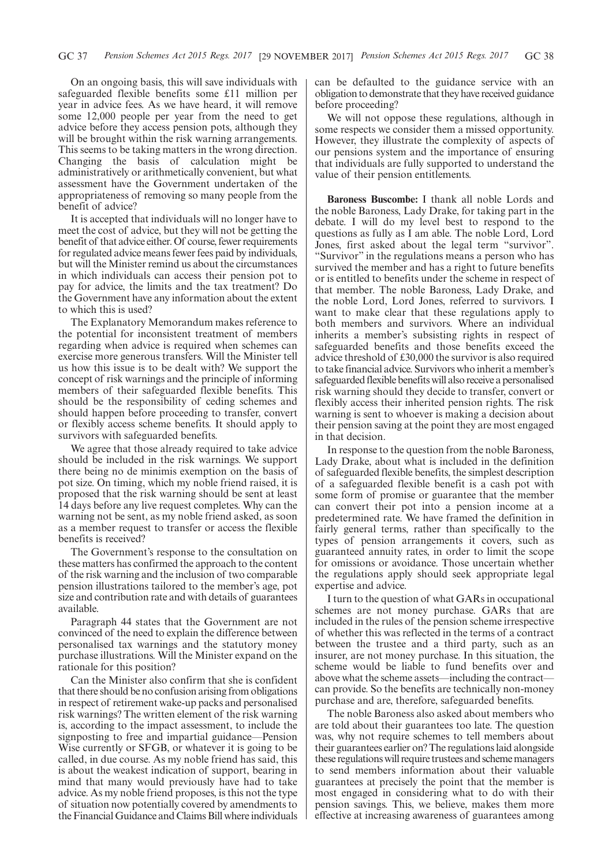On an ongoing basis, this will save individuals with safeguarded flexible benefits some £11 million per year in advice fees. As we have heard, it will remove some 12,000 people per year from the need to get advice before they access pension pots, although they will be brought within the risk warning arrangements. This seems to be taking matters in the wrong direction. Changing the basis of calculation might be administratively or arithmetically convenient, but what assessment have the Government undertaken of the appropriateness of removing so many people from the benefit of advice?

It is accepted that individuals will no longer have to meet the cost of advice, but they will not be getting the benefit of that advice either. Of course, fewer requirements for regulated advice means fewer fees paid by individuals, but will the Minister remind us about the circumstances in which individuals can access their pension pot to pay for advice, the limits and the tax treatment? Do the Government have any information about the extent to which this is used?

The Explanatory Memorandum makes reference to the potential for inconsistent treatment of members regarding when advice is required when schemes can exercise more generous transfers. Will the Minister tell us how this issue is to be dealt with? We support the concept of risk warnings and the principle of informing members of their safeguarded flexible benefits. This should be the responsibility of ceding schemes and should happen before proceeding to transfer, convert or flexibly access scheme benefits. It should apply to survivors with safeguarded benefits.

We agree that those already required to take advice should be included in the risk warnings. We support there being no de minimis exemption on the basis of pot size. On timing, which my noble friend raised, it is proposed that the risk warning should be sent at least 14 days before any live request completes. Why can the warning not be sent, as my noble friend asked, as soon as a member request to transfer or access the flexible benefits is received?

The Government's response to the consultation on these matters has confirmed the approach to the content of the risk warning and the inclusion of two comparable pension illustrations tailored to the member's age, pot size and contribution rate and with details of guarantees available.

Paragraph 44 states that the Government are not convinced of the need to explain the difference between personalised tax warnings and the statutory money purchase illustrations. Will the Minister expand on the rationale for this position?

Can the Minister also confirm that she is confident that there should be no confusion arising from obligations in respect of retirement wake-up packs and personalised risk warnings? The written element of the risk warning is, according to the impact assessment, to include the signposting to free and impartial guidance—Pension Wise currently or SFGB, or whatever it is going to be called, in due course. As my noble friend has said, this is about the weakest indication of support, bearing in mind that many would previously have had to take advice. As my noble friend proposes, is this not the type of situation now potentially covered by amendments to the Financial Guidance and Claims Bill where individuals can be defaulted to the guidance service with an obligation to demonstrate that they have received guidance before proceeding?

We will not oppose these regulations, although in some respects we consider them a missed opportunity. However, they illustrate the complexity of aspects of our pensions system and the importance of ensuring that individuals are fully supported to understand the value of their pension entitlements.

**Baroness Buscombe:** I thank all noble Lords and the noble Baroness, Lady Drake, for taking part in the debate. I will do my level best to respond to the questions as fully as I am able. The noble Lord, Lord Jones, first asked about the legal term "survivor". "Survivor" in the regulations means a person who has survived the member and has a right to future benefits or is entitled to benefits under the scheme in respect of that member. The noble Baroness, Lady Drake, and the noble Lord, Lord Jones, referred to survivors. I want to make clear that these regulations apply to both members and survivors. Where an individual inherits a member's subsisting rights in respect of safeguarded benefits and those benefits exceed the advice threshold of £30,000 the survivor is also required to take financial advice. Survivors who inherit a member's safeguarded flexible benefits will also receive a personalised risk warning should they decide to transfer, convert or flexibly access their inherited pension rights. The risk warning is sent to whoever is making a decision about their pension saving at the point they are most engaged in that decision.

In response to the question from the noble Baroness, Lady Drake, about what is included in the definition of safeguarded flexible benefits, the simplest description of a safeguarded flexible benefit is a cash pot with some form of promise or guarantee that the member can convert their pot into a pension income at a predetermined rate. We have framed the definition in fairly general terms, rather than specifically to the types of pension arrangements it covers, such as guaranteed annuity rates, in order to limit the scope for omissions or avoidance. Those uncertain whether the regulations apply should seek appropriate legal expertise and advice.

I turn to the question of what GARs in occupational schemes are not money purchase. GARs that are included in the rules of the pension scheme irrespective of whether this was reflected in the terms of a contract between the trustee and a third party, such as an insurer, are not money purchase. In this situation, the scheme would be liable to fund benefits over and above what the scheme assets—including the contract can provide. So the benefits are technically non-money purchase and are, therefore, safeguarded benefits.

The noble Baroness also asked about members who are told about their guarantees too late. The question was, why not require schemes to tell members about their guarantees earlier on? The regulations laid alongside these regulations will require trustees and scheme managers to send members information about their valuable guarantees at precisely the point that the member is most engaged in considering what to do with their pension savings. This, we believe, makes them more effective at increasing awareness of guarantees among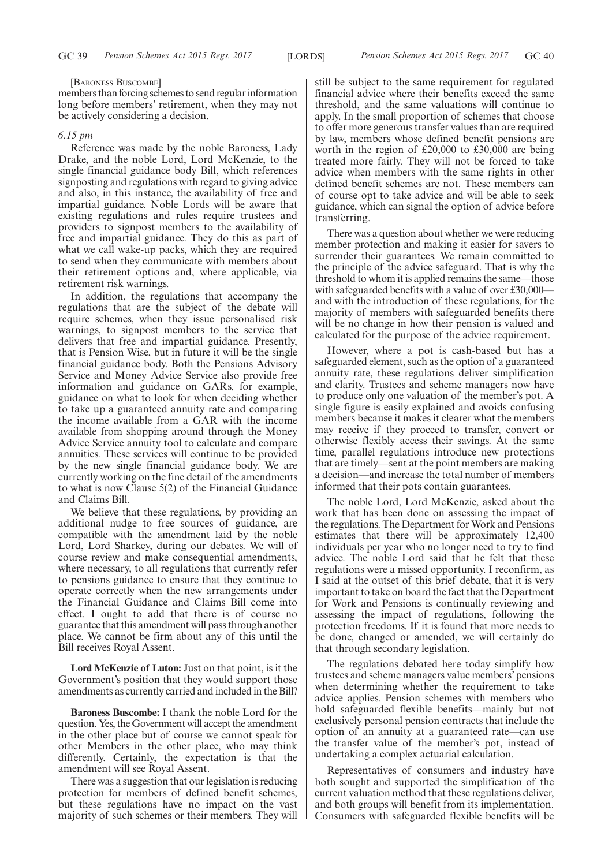#### [BARONESS BUSCOMBE]

members than forcing schemes to send regular information long before members' retirement, when they may not be actively considering a decision.

#### *6.15 pm*

Reference was made by the noble Baroness, Lady Drake, and the noble Lord, Lord McKenzie, to the single financial guidance body Bill, which references signposting and regulations with regard to giving advice and also, in this instance, the availability of free and impartial guidance. Noble Lords will be aware that existing regulations and rules require trustees and providers to signpost members to the availability of free and impartial guidance. They do this as part of what we call wake-up packs, which they are required to send when they communicate with members about their retirement options and, where applicable, via retirement risk warnings.

In addition, the regulations that accompany the regulations that are the subject of the debate will require schemes, when they issue personalised risk warnings, to signpost members to the service that delivers that free and impartial guidance. Presently, that is Pension Wise, but in future it will be the single financial guidance body. Both the Pensions Advisory Service and Money Advice Service also provide free information and guidance on GARs, for example, guidance on what to look for when deciding whether to take up a guaranteed annuity rate and comparing the income available from a GAR with the income available from shopping around through the Money Advice Service annuity tool to calculate and compare annuities. These services will continue to be provided by the new single financial guidance body. We are currently working on the fine detail of the amendments to what is now Clause 5(2) of the Financial Guidance and Claims Bill.

We believe that these regulations, by providing an additional nudge to free sources of guidance, are compatible with the amendment laid by the noble Lord, Lord Sharkey, during our debates. We will of course review and make consequential amendments, where necessary, to all regulations that currently refer to pensions guidance to ensure that they continue to operate correctly when the new arrangements under the Financial Guidance and Claims Bill come into effect. I ought to add that there is of course no guarantee that this amendment will pass through another place. We cannot be firm about any of this until the Bill receives Royal Assent.

**Lord McKenzie of Luton:** Just on that point, is it the Government's position that they would support those amendments as currently carried and included in the Bill?

**Baroness Buscombe:** I thank the noble Lord for the question. Yes, the Government will accept the amendment in the other place but of course we cannot speak for other Members in the other place, who may think differently. Certainly, the expectation is that the amendment will see Royal Assent.

There was a suggestion that our legislation is reducing protection for members of defined benefit schemes, but these regulations have no impact on the vast majority of such schemes or their members. They will still be subject to the same requirement for regulated financial advice where their benefits exceed the same threshold, and the same valuations will continue to apply. In the small proportion of schemes that choose to offer more generous transfer values than are required by law, members whose defined benefit pensions are worth in the region of £20,000 to £30,000 are being treated more fairly. They will not be forced to take advice when members with the same rights in other defined benefit schemes are not. These members can of course opt to take advice and will be able to seek guidance, which can signal the option of advice before transferring.

There was a question about whether we were reducing member protection and making it easier for savers to surrender their guarantees. We remain committed to the principle of the advice safeguard. That is why the threshold to whom it is applied remains the same—those with safeguarded benefits with a value of over £30,000– and with the introduction of these regulations, for the majority of members with safeguarded benefits there will be no change in how their pension is valued and calculated for the purpose of the advice requirement.

However, where a pot is cash-based but has a safeguarded element, such as the option of a guaranteed annuity rate, these regulations deliver simplification and clarity. Trustees and scheme managers now have to produce only one valuation of the member's pot. A single figure is easily explained and avoids confusing members because it makes it clearer what the members may receive if they proceed to transfer, convert or otherwise flexibly access their savings. At the same time, parallel regulations introduce new protections that are timely—sent at the point members are making a decision—and increase the total number of members informed that their pots contain guarantees.

The noble Lord, Lord McKenzie, asked about the work that has been done on assessing the impact of the regulations. The Department for Work and Pensions estimates that there will be approximately 12,400 individuals per year who no longer need to try to find advice. The noble Lord said that he felt that these regulations were a missed opportunity. I reconfirm, as I said at the outset of this brief debate, that it is very important to take on board the fact that the Department for Work and Pensions is continually reviewing and assessing the impact of regulations, following the protection freedoms. If it is found that more needs to be done, changed or amended, we will certainly do that through secondary legislation.

The regulations debated here today simplify how trustees and scheme managers value members' pensions when determining whether the requirement to take advice applies. Pension schemes with members who hold safeguarded flexible benefits—mainly but not exclusively personal pension contracts that include the option of an annuity at a guaranteed rate—can use the transfer value of the member's pot, instead of undertaking a complex actuarial calculation.

Representatives of consumers and industry have both sought and supported the simplification of the current valuation method that these regulations deliver, and both groups will benefit from its implementation. Consumers with safeguarded flexible benefits will be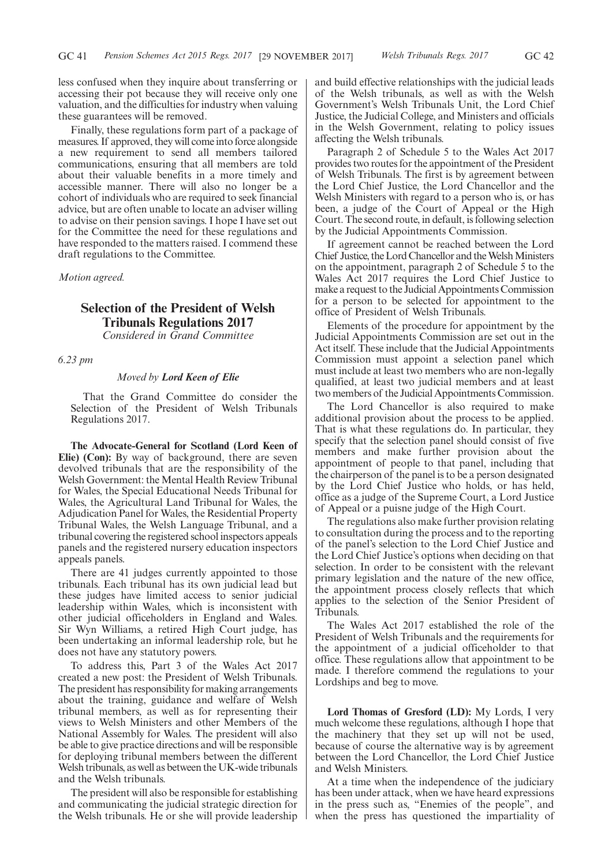less confused when they inquire about transferring or accessing their pot because they will receive only one valuation, and the difficulties for industry when valuing these guarantees will be removed.

Finally, these regulations form part of a package of measures. If approved, they will come into force alongside a new requirement to send all members tailored communications, ensuring that all members are told about their valuable benefits in a more timely and accessible manner. There will also no longer be a cohort of individuals who are required to seek financial advice, but are often unable to locate an adviser willing to advise on their pension savings. I hope I have set out for the Committee the need for these regulations and have responded to the matters raised. I commend these draft regulations to the Committee.

*Motion agreed.*

# **Selection of the President of Welsh Tribunals Regulations 2017**

*Considered in Grand Committee*

*6.23 pm*

## *Moved by Lord Keen of Elie*

That the Grand Committee do consider the Selection of the President of Welsh Tribunals Regulations 2017.

**The Advocate-General for Scotland (Lord Keen of Elie) (Con):** By way of background, there are seven devolved tribunals that are the responsibility of the Welsh Government: the Mental Health Review Tribunal for Wales, the Special Educational Needs Tribunal for Wales, the Agricultural Land Tribunal for Wales, the Adjudication Panel for Wales, the Residential Property Tribunal Wales, the Welsh Language Tribunal, and a tribunal covering the registered school inspectors appeals panels and the registered nursery education inspectors appeals panels.

There are 41 judges currently appointed to those tribunals. Each tribunal has its own judicial lead but these judges have limited access to senior judicial leadership within Wales, which is inconsistent with other judicial officeholders in England and Wales. Sir Wyn Williams, a retired High Court judge, has been undertaking an informal leadership role, but he does not have any statutory powers.

To address this, Part 3 of the Wales Act 2017 created a new post: the President of Welsh Tribunals. The president has responsibility for making arrangements about the training, guidance and welfare of Welsh tribunal members, as well as for representing their views to Welsh Ministers and other Members of the National Assembly for Wales. The president will also be able to give practice directions and will be responsible for deploying tribunal members between the different Welsh tribunals, as well as between the UK-wide tribunals and the Welsh tribunals.

The president will also be responsible for establishing and communicating the judicial strategic direction for the Welsh tribunals. He or she will provide leadership and build effective relationships with the judicial leads of the Welsh tribunals, as well as with the Welsh Government's Welsh Tribunals Unit, the Lord Chief Justice, the Judicial College, and Ministers and officials in the Welsh Government, relating to policy issues affecting the Welsh tribunals.

Paragraph 2 of Schedule 5 to the Wales Act 2017 provides two routes for the appointment of the President of Welsh Tribunals. The first is by agreement between the Lord Chief Justice, the Lord Chancellor and the Welsh Ministers with regard to a person who is, or has been, a judge of the Court of Appeal or the High Court. The second route, in default, is following selection by the Judicial Appointments Commission.

If agreement cannot be reached between the Lord Chief Justice, the Lord Chancellor and the Welsh Ministers on the appointment, paragraph 2 of Schedule 5 to the Wales Act 2017 requires the Lord Chief Justice to make a request to the Judicial Appointments Commission for a person to be selected for appointment to the office of President of Welsh Tribunals.

Elements of the procedure for appointment by the Judicial Appointments Commission are set out in the Act itself. These include that the Judicial Appointments Commission must appoint a selection panel which must include at least two members who are non-legally qualified, at least two judicial members and at least two members of the Judicial Appointments Commission.

The Lord Chancellor is also required to make additional provision about the process to be applied. That is what these regulations do. In particular, they specify that the selection panel should consist of five members and make further provision about the appointment of people to that panel, including that the chairperson of the panel is to be a person designated by the Lord Chief Justice who holds, or has held, office as a judge of the Supreme Court, a Lord Justice of Appeal or a puisne judge of the High Court.

The regulations also make further provision relating to consultation during the process and to the reporting of the panel's selection to the Lord Chief Justice and the Lord Chief Justice's options when deciding on that selection. In order to be consistent with the relevant primary legislation and the nature of the new office, the appointment process closely reflects that which applies to the selection of the Senior President of Tribunals.

The Wales Act 2017 established the role of the President of Welsh Tribunals and the requirements for the appointment of a judicial officeholder to that office. These regulations allow that appointment to be made. I therefore commend the regulations to your Lordships and beg to move.

**Lord Thomas of Gresford (LD):** My Lords, I very much welcome these regulations, although I hope that the machinery that they set up will not be used, because of course the alternative way is by agreement between the Lord Chancellor, the Lord Chief Justice and Welsh Ministers.

At a time when the independence of the judiciary has been under attack, when we have heard expressions in the press such as, "Enemies of the people", and when the press has questioned the impartiality of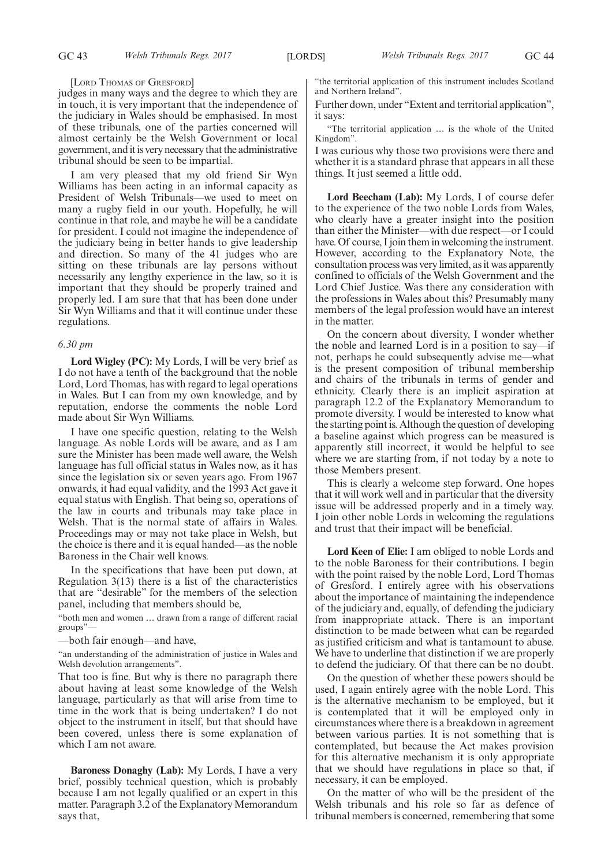#### [LORD THOMAS OF GRESFORD]

judges in many ways and the degree to which they are in touch, it is very important that the independence of the judiciary in Wales should be emphasised. In most of these tribunals, one of the parties concerned will almost certainly be the Welsh Government or local government, and it is very necessary that the administrative tribunal should be seen to be impartial.

I am very pleased that my old friend Sir Wyn Williams has been acting in an informal capacity as President of Welsh Tribunals—we used to meet on many a rugby field in our youth. Hopefully, he will continue in that role, and maybe he will be a candidate for president. I could not imagine the independence of the judiciary being in better hands to give leadership and direction. So many of the 41 judges who are sitting on these tribunals are lay persons without necessarily any lengthy experience in the law, so it is important that they should be properly trained and properly led. I am sure that that has been done under Sir Wyn Williams and that it will continue under these regulations.

#### *6.30 pm*

**Lord Wigley (PC):** My Lords, I will be very brief as I do not have a tenth of the background that the noble Lord, Lord Thomas, has with regard to legal operations in Wales. But I can from my own knowledge, and by reputation, endorse the comments the noble Lord made about Sir Wyn Williams.

I have one specific question, relating to the Welsh language. As noble Lords will be aware, and as I am sure the Minister has been made well aware, the Welsh language has full official status in Wales now, as it has since the legislation six or seven years ago. From 1967 onwards, it had equal validity, and the 1993 Act gave it equal status with English. That being so, operations of the law in courts and tribunals may take place in Welsh. That is the normal state of affairs in Wales. Proceedings may or may not take place in Welsh, but the choice is there and it is equal handed—as the noble Baroness in the Chair well knows.

In the specifications that have been put down, at Regulation 3(13) there is a list of the characteristics that are "desirable" for the members of the selection panel, including that members should be,

"both men and women … drawn from a range of different racial groups"—

—both fair enough—and have,

"an understanding of the administration of justice in Wales and Welsh devolution arrangements".

That too is fine. But why is there no paragraph there about having at least some knowledge of the Welsh language, particularly as that will arise from time to time in the work that is being undertaken? I do not object to the instrument in itself, but that should have been covered, unless there is some explanation of which I am not aware.

**Baroness Donaghy (Lab):** My Lords, I have a very brief, possibly technical question, which is probably because I am not legally qualified or an expert in this matter. Paragraph 3.2 of the Explanatory Memorandum says that,

"the territorial application of this instrument includes Scotland and Northern Ireland".

Further down, under "Extent and territorial application", it says:

"The territorial application … is the whole of the United Kingdom".

I was curious why those two provisions were there and whether it is a standard phrase that appears in all these things. It just seemed a little odd.

**Lord Beecham (Lab):** My Lords, I of course defer to the experience of the two noble Lords from Wales, who clearly have a greater insight into the position than either the Minister—with due respect—or I could have. Of course, I join them in welcoming the instrument. However, according to the Explanatory Note, the consultation process was very limited, as it was apparently confined to officials of the Welsh Government and the Lord Chief Justice. Was there any consideration with the professions in Wales about this? Presumably many members of the legal profession would have an interest in the matter.

On the concern about diversity, I wonder whether the noble and learned Lord is in a position to say—if not, perhaps he could subsequently advise me—what is the present composition of tribunal membership and chairs of the tribunals in terms of gender and ethnicity. Clearly there is an implicit aspiration at paragraph 12.2 of the Explanatory Memorandum to promote diversity. I would be interested to know what the starting point is. Although the question of developing a baseline against which progress can be measured is apparently still incorrect, it would be helpful to see where we are starting from, if not today by a note to those Members present.

This is clearly a welcome step forward. One hopes that it will work well and in particular that the diversity issue will be addressed properly and in a timely way. I join other noble Lords in welcoming the regulations and trust that their impact will be beneficial.

**Lord Keen of Elie:** I am obliged to noble Lords and to the noble Baroness for their contributions. I begin with the point raised by the noble Lord, Lord Thomas of Gresford. I entirely agree with his observations about the importance of maintaining the independence of the judiciary and, equally, of defending the judiciary from inappropriate attack. There is an important distinction to be made between what can be regarded as justified criticism and what is tantamount to abuse. We have to underline that distinction if we are properly to defend the judiciary. Of that there can be no doubt.

On the question of whether these powers should be used, I again entirely agree with the noble Lord. This is the alternative mechanism to be employed, but it is contemplated that it will be employed only in circumstances where there is a breakdown in agreement between various parties. It is not something that is contemplated, but because the Act makes provision for this alternative mechanism it is only appropriate that we should have regulations in place so that, if necessary, it can be employed.

On the matter of who will be the president of the Welsh tribunals and his role so far as defence of tribunal members is concerned, remembering that some